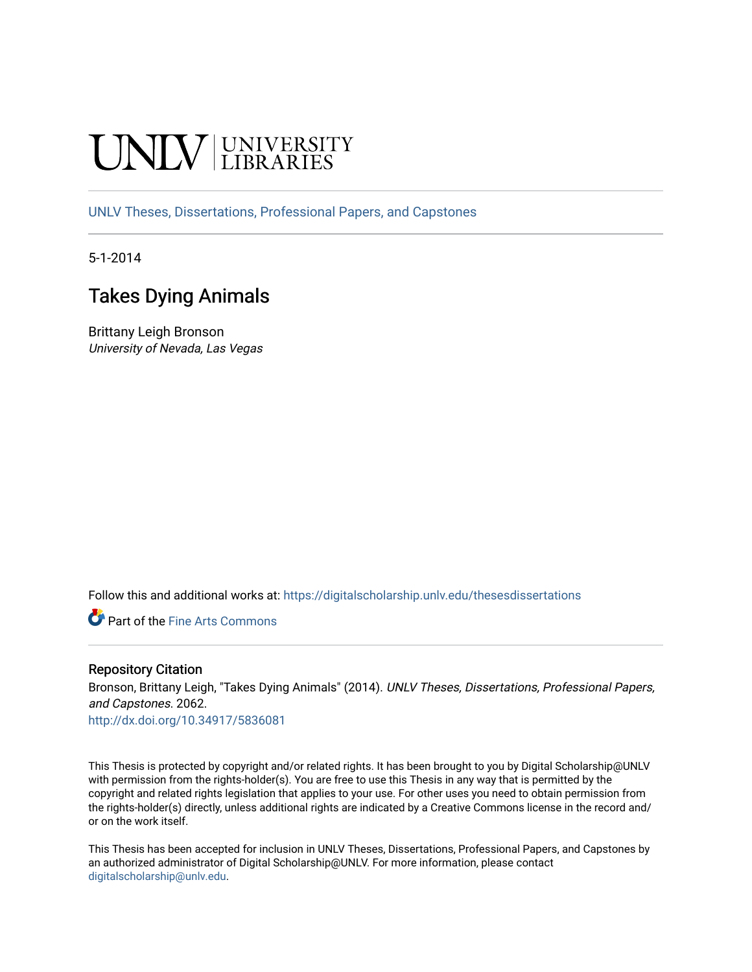# **INIVERSITY**

[UNLV Theses, Dissertations, Professional Papers, and Capstones](https://digitalscholarship.unlv.edu/thesesdissertations)

5-1-2014

# Takes Dying Animals

Brittany Leigh Bronson University of Nevada, Las Vegas

Follow this and additional works at: [https://digitalscholarship.unlv.edu/thesesdissertations](https://digitalscholarship.unlv.edu/thesesdissertations?utm_source=digitalscholarship.unlv.edu%2Fthesesdissertations%2F2062&utm_medium=PDF&utm_campaign=PDFCoverPages)

Part of the [Fine Arts Commons](http://network.bepress.com/hgg/discipline/1141?utm_source=digitalscholarship.unlv.edu%2Fthesesdissertations%2F2062&utm_medium=PDF&utm_campaign=PDFCoverPages) 

### Repository Citation

Bronson, Brittany Leigh, "Takes Dying Animals" (2014). UNLV Theses, Dissertations, Professional Papers, and Capstones. 2062.

<http://dx.doi.org/10.34917/5836081>

This Thesis is protected by copyright and/or related rights. It has been brought to you by Digital Scholarship@UNLV with permission from the rights-holder(s). You are free to use this Thesis in any way that is permitted by the copyright and related rights legislation that applies to your use. For other uses you need to obtain permission from the rights-holder(s) directly, unless additional rights are indicated by a Creative Commons license in the record and/ or on the work itself.

This Thesis has been accepted for inclusion in UNLV Theses, Dissertations, Professional Papers, and Capstones by an authorized administrator of Digital Scholarship@UNLV. For more information, please contact [digitalscholarship@unlv.edu](mailto:digitalscholarship@unlv.edu).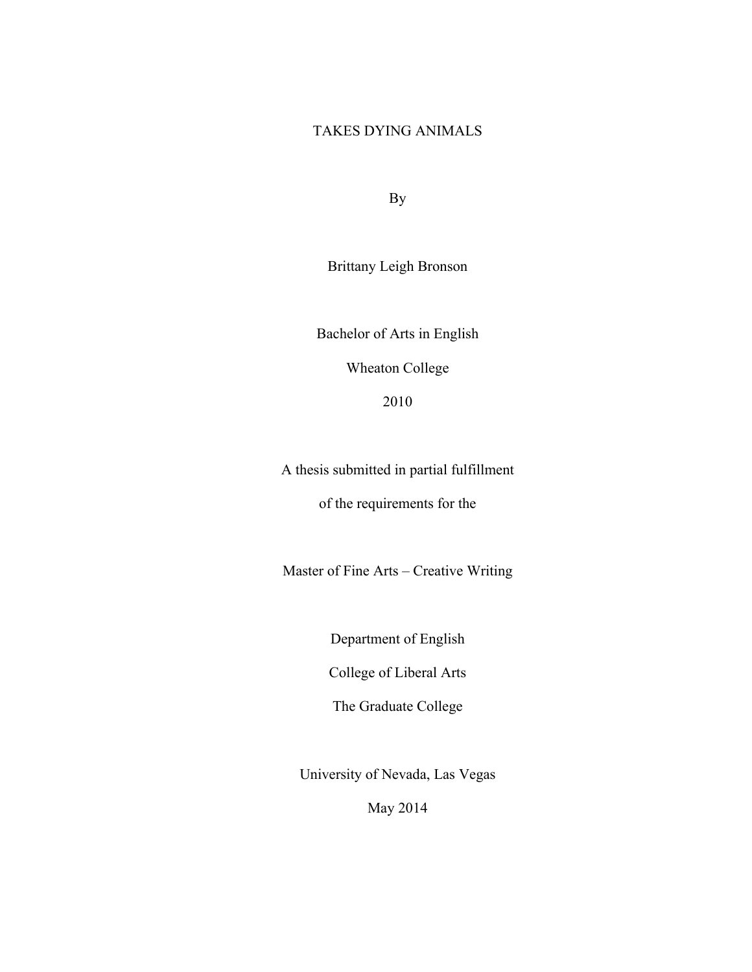## TAKES DYING ANIMALS

By

Brittany Leigh Bronson

Bachelor of Arts in English Wheaton College 2010

A thesis submitted in partial fulfillment of the requirements for the

Master of Fine Arts – Creative Writing

Department of English

College of Liberal Arts

The Graduate College

University of Nevada, Las Vegas

May 2014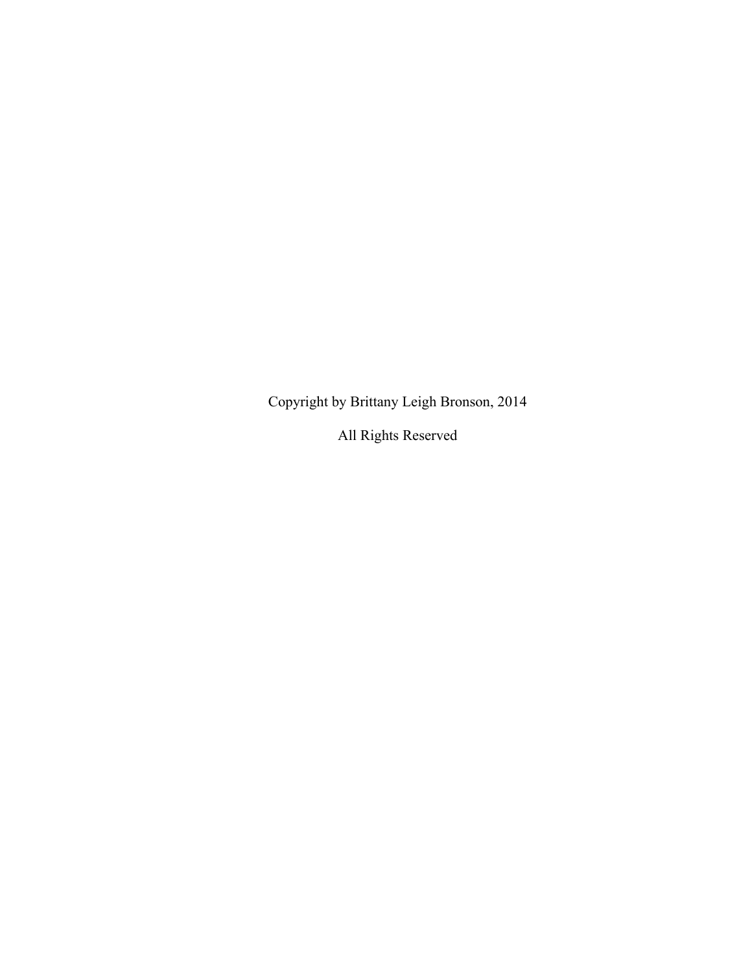Copyright by Brittany Leigh Bronson, 2014

All Rights Reserved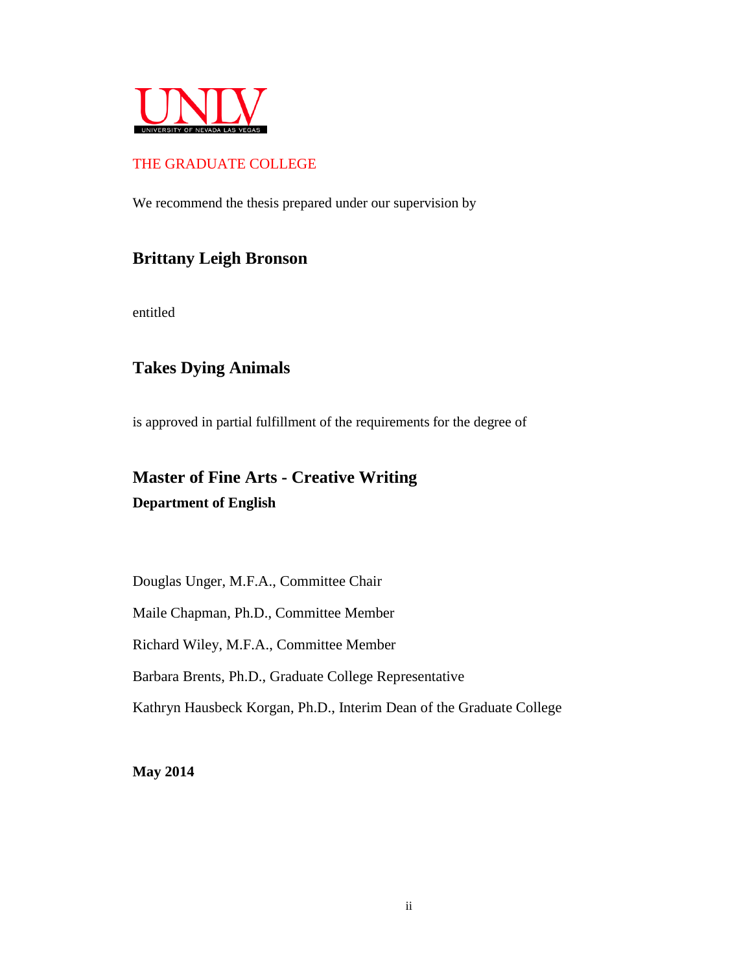

## THE GRADUATE COLLEGE

We recommend the thesis prepared under our supervision by

# **Brittany Leigh Bronson**

entitled

## **Takes Dying Animals**

is approved in partial fulfillment of the requirements for the degree of

# **Master of Fine Arts - Creative Writing Department of English**

Douglas Unger, M.F.A., Committee Chair

Maile Chapman, Ph.D., Committee Member

Richard Wiley, M.F.A., Committee Member

Barbara Brents, Ph.D., Graduate College Representative

Kathryn Hausbeck Korgan, Ph.D., Interim Dean of the Graduate College

**May 2014**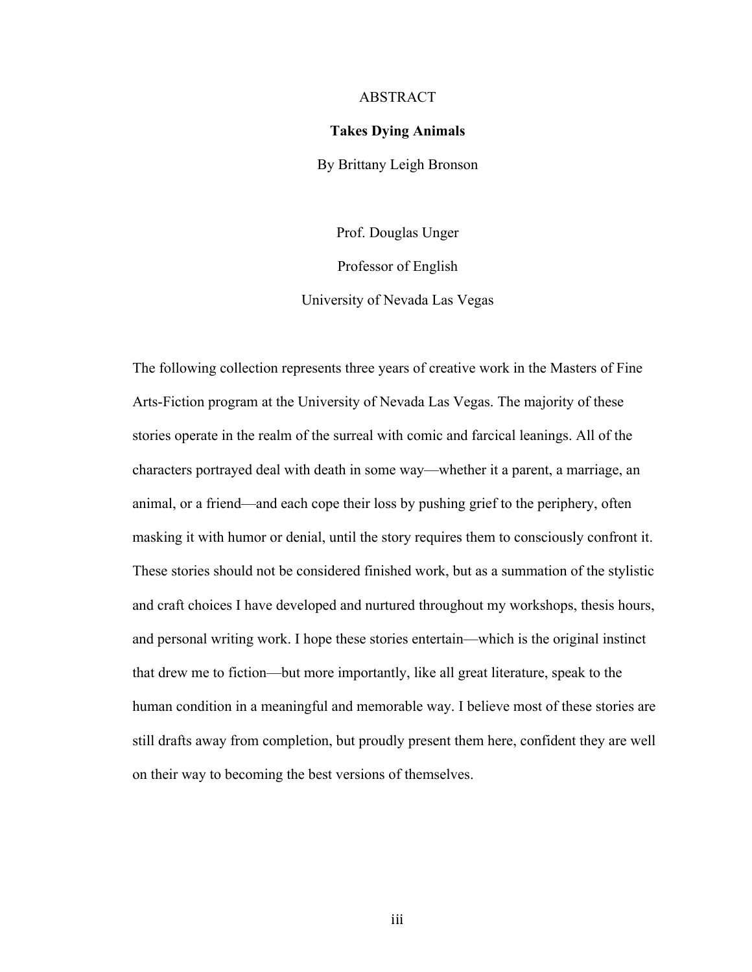#### ABSTRACT

#### **Takes Dying Animals**

By Brittany Leigh Bronson

Prof. Douglas Unger Professor of English University of Nevada Las Vegas

The following collection represents three years of creative work in the Masters of Fine Arts-Fiction program at the University of Nevada Las Vegas. The majority of these stories operate in the realm of the surreal with comic and farcical leanings. All of the characters portrayed deal with death in some way—whether it a parent, a marriage, an animal, or a friend—and each cope their loss by pushing grief to the periphery, often masking it with humor or denial, until the story requires them to consciously confront it. These stories should not be considered finished work, but as a summation of the stylistic and craft choices I have developed and nurtured throughout my workshops, thesis hours, and personal writing work. I hope these stories entertain—which is the original instinct that drew me to fiction—but more importantly, like all great literature, speak to the human condition in a meaningful and memorable way. I believe most of these stories are still drafts away from completion, but proudly present them here, confident they are well on their way to becoming the best versions of themselves.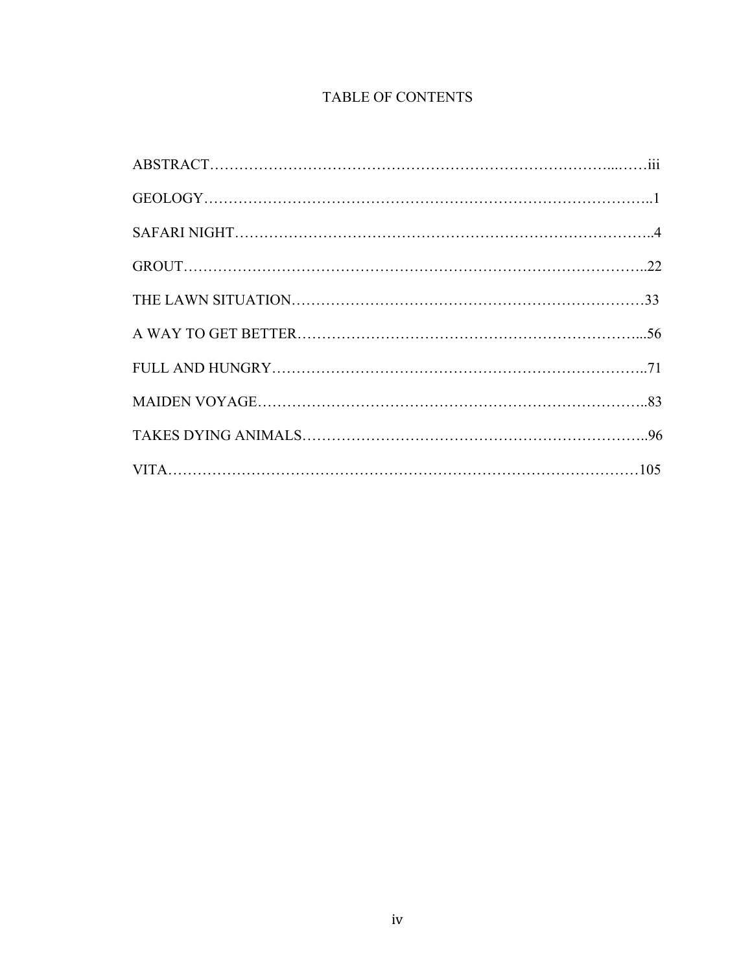# TABLE OF CONTENTS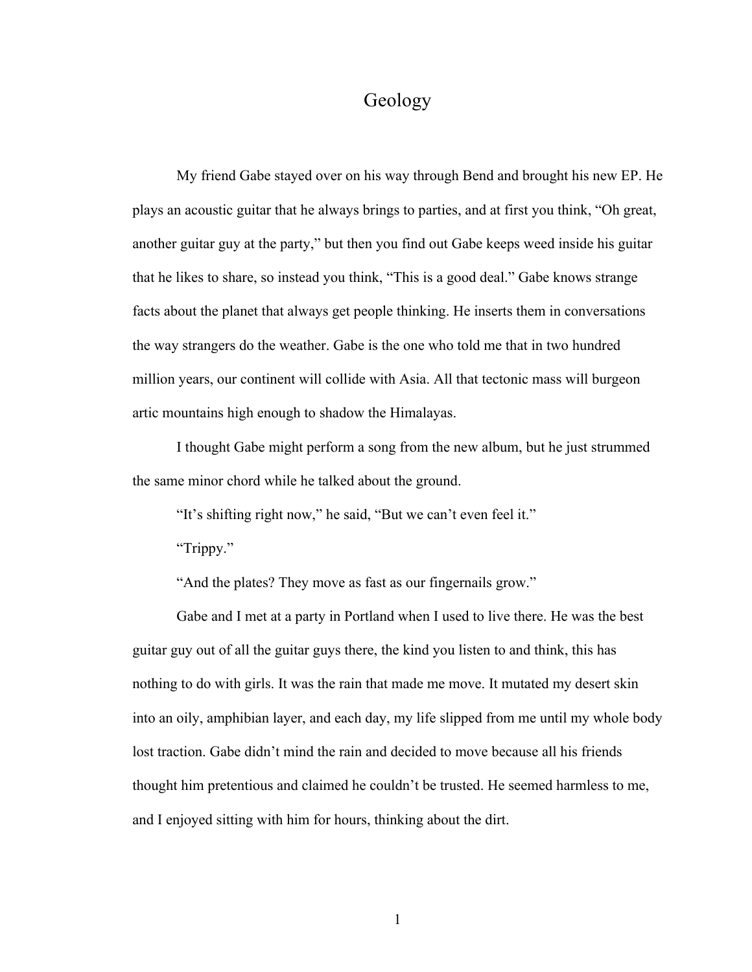# Geology

My friend Gabe stayed over on his way through Bend and brought his new EP. He plays an acoustic guitar that he always brings to parties, and at first you think, "Oh great, another guitar guy at the party," but then you find out Gabe keeps weed inside his guitar that he likes to share, so instead you think, "This is a good deal." Gabe knows strange facts about the planet that always get people thinking. He inserts them in conversations the way strangers do the weather. Gabe is the one who told me that in two hundred million years, our continent will collide with Asia. All that tectonic mass will burgeon artic mountains high enough to shadow the Himalayas.

I thought Gabe might perform a song from the new album, but he just strummed the same minor chord while he talked about the ground.

"It's shifting right now," he said, "But we can't even feel it."

"Trippy."

"And the plates? They move as fast as our fingernails grow."

Gabe and I met at a party in Portland when I used to live there. He was the best guitar guy out of all the guitar guys there, the kind you listen to and think, this has nothing to do with girls. It was the rain that made me move. It mutated my desert skin into an oily, amphibian layer, and each day, my life slipped from me until my whole body lost traction. Gabe didn't mind the rain and decided to move because all his friends thought him pretentious and claimed he couldn't be trusted. He seemed harmless to me, and I enjoyed sitting with him for hours, thinking about the dirt.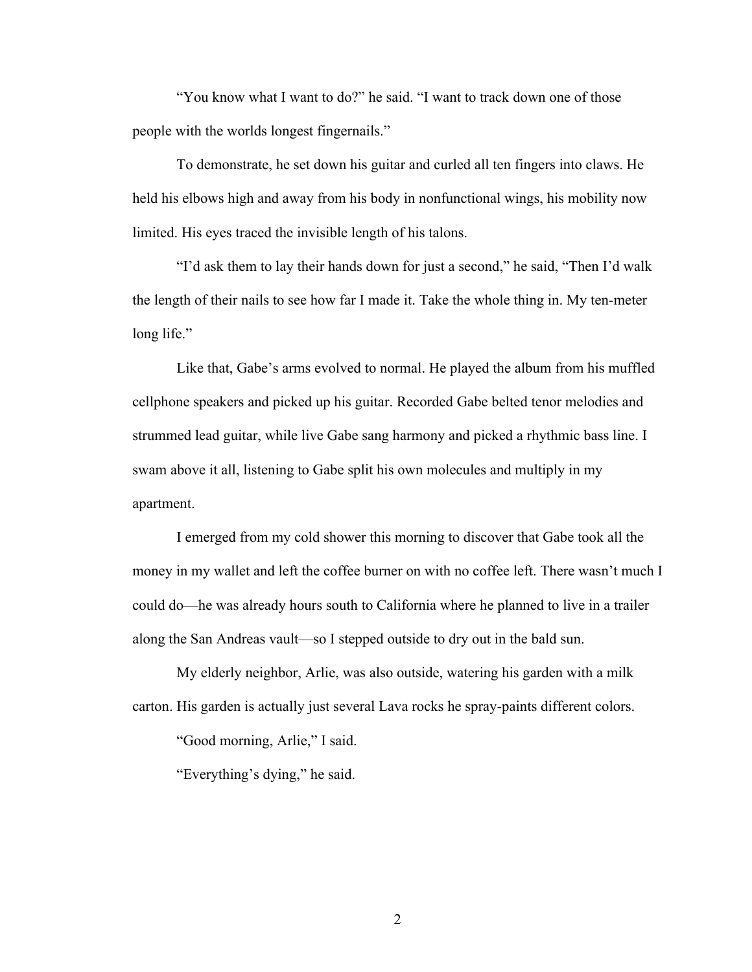"You know what I want to do?" he said. "I want to track down one of those people with the worlds longest fingernails."

To demonstrate, he set down his guitar and curled all ten fingers into claws. He held his elbows high and away from his body in nonfunctional wings, his mobility now limited. His eyes traced the invisible length of his talons.

"I'd ask them to lay their hands down for just a second," he said, "Then I'd walk the length of their nails to see how far I made it. Take the whole thing in. My ten-meter long life."

Like that, Gabe's arms evolved to normal. He played the album from his muffled cellphone speakers and picked up his guitar. Recorded Gabe belted tenor melodies and strummed lead guitar, while live Gabe sang harmony and picked a rhythmic bass line. I swam above it all, listening to Gabe split his own molecules and multiply in my apartment.

I emerged from my cold shower this morning to discover that Gabe took all the money in my wallet and left the coffee burner on with no coffee left. There wasn't much I could do—he was already hours south to California where he planned to live in a trailer along the San Andreas vault—so I stepped outside to dry out in the bald sun.

My elderly neighbor, Arlie, was also outside, watering his garden with a milk carton. His garden is actually just several Lava rocks he spray-paints different colors.

"Good morning, Arlie," I said.

"Everything's dying," he said.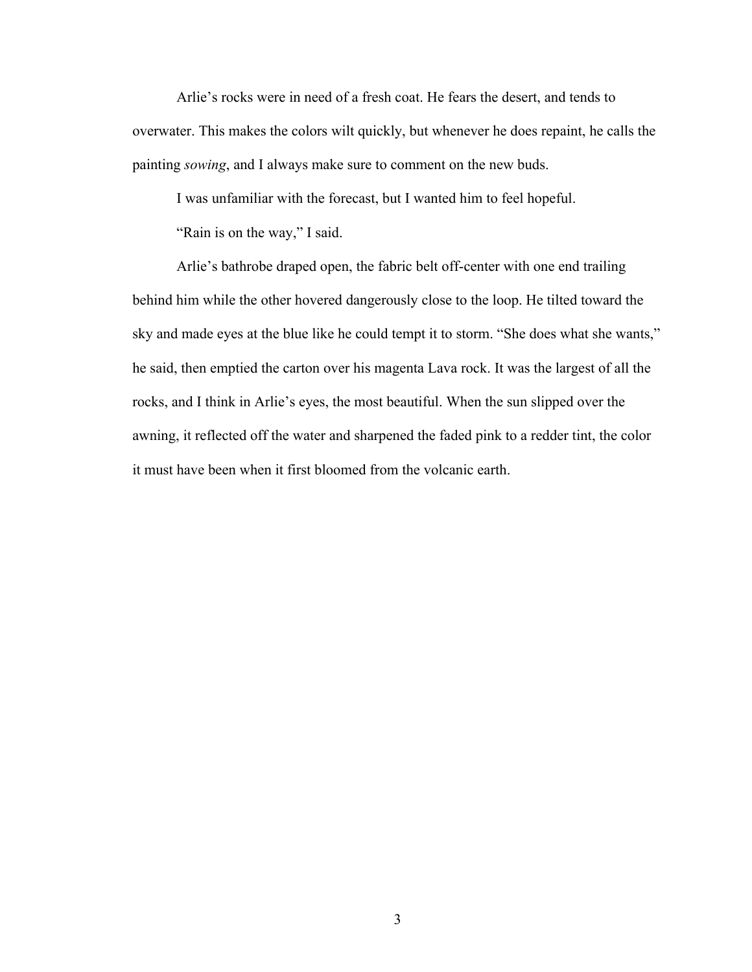Arlie's rocks were in need of a fresh coat. He fears the desert, and tends to overwater. This makes the colors wilt quickly, but whenever he does repaint, he calls the painting *sowing*, and I always make sure to comment on the new buds.

I was unfamiliar with the forecast, but I wanted him to feel hopeful.

"Rain is on the way," I said.

Arlie's bathrobe draped open, the fabric belt off-center with one end trailing behind him while the other hovered dangerously close to the loop. He tilted toward the sky and made eyes at the blue like he could tempt it to storm. "She does what she wants," he said, then emptied the carton over his magenta Lava rock. It was the largest of all the rocks, and I think in Arlie's eyes, the most beautiful. When the sun slipped over the awning, it reflected off the water and sharpened the faded pink to a redder tint, the color it must have been when it first bloomed from the volcanic earth.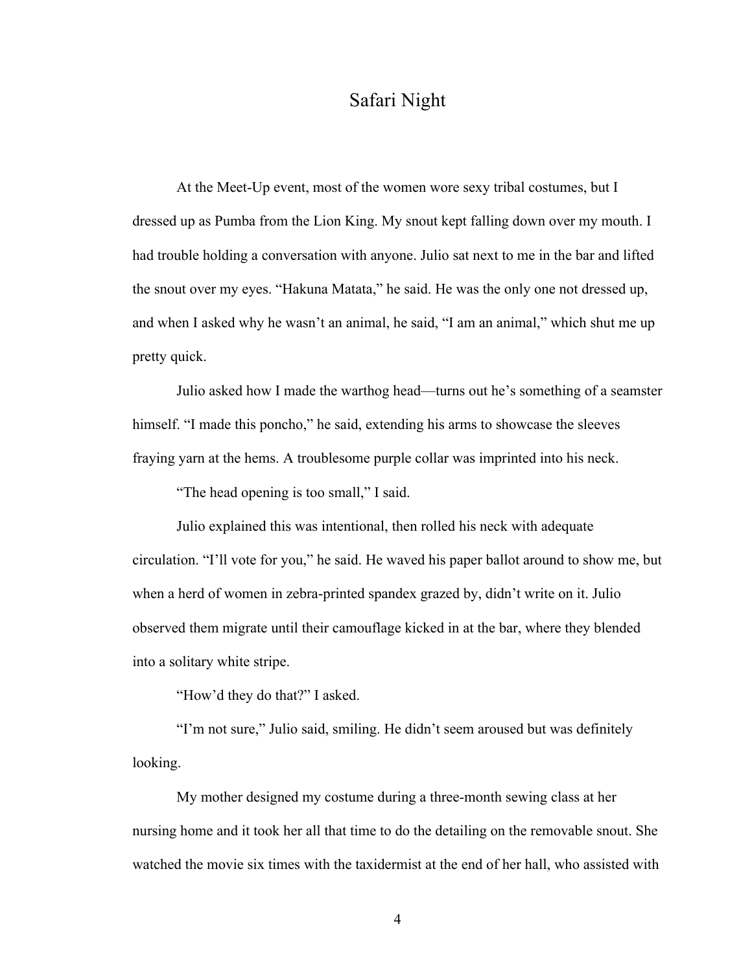# Safari Night

At the Meet-Up event, most of the women wore sexy tribal costumes, but I dressed up as Pumba from the Lion King. My snout kept falling down over my mouth. I had trouble holding a conversation with anyone. Julio sat next to me in the bar and lifted the snout over my eyes. "Hakuna Matata," he said. He was the only one not dressed up, and when I asked why he wasn't an animal, he said, "I am an animal," which shut me up pretty quick.

Julio asked how I made the warthog head—turns out he's something of a seamster himself. "I made this poncho," he said, extending his arms to showcase the sleeves fraying yarn at the hems. A troublesome purple collar was imprinted into his neck.

"The head opening is too small," I said.

Julio explained this was intentional, then rolled his neck with adequate circulation. "I'll vote for you," he said. He waved his paper ballot around to show me, but when a herd of women in zebra-printed spandex grazed by, didn't write on it. Julio observed them migrate until their camouflage kicked in at the bar, where they blended into a solitary white stripe.

"How'd they do that?" I asked.

"I'm not sure," Julio said, smiling. He didn't seem aroused but was definitely looking.

My mother designed my costume during a three-month sewing class at her nursing home and it took her all that time to do the detailing on the removable snout. She watched the movie six times with the taxidermist at the end of her hall, who assisted with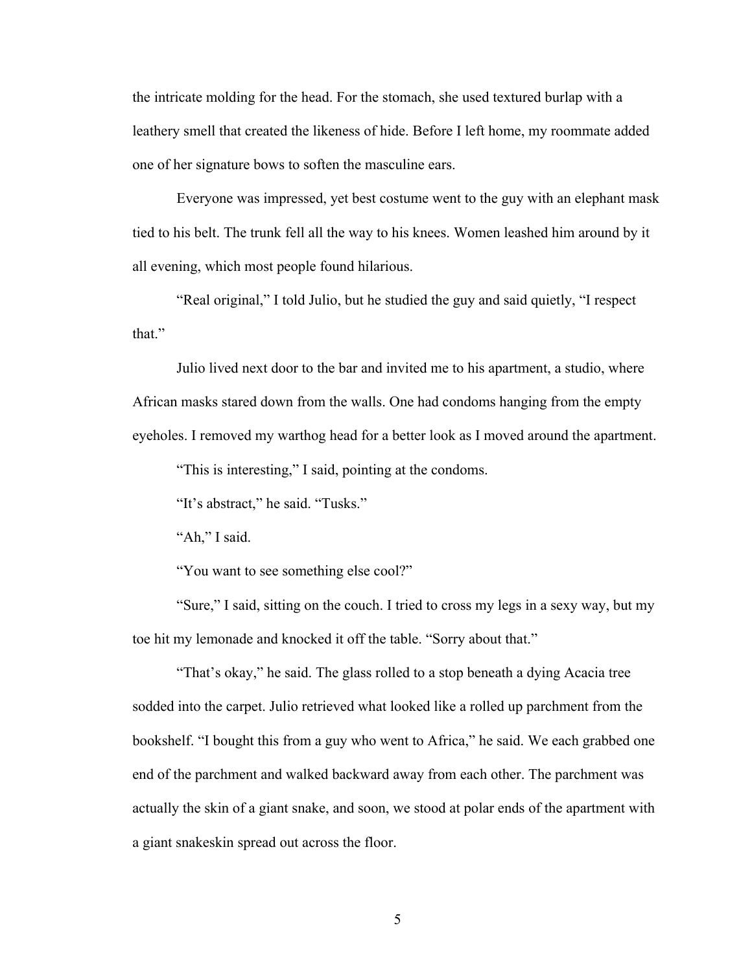the intricate molding for the head. For the stomach, she used textured burlap with a leathery smell that created the likeness of hide. Before I left home, my roommate added one of her signature bows to soften the masculine ears.

Everyone was impressed, yet best costume went to the guy with an elephant mask tied to his belt. The trunk fell all the way to his knees. Women leashed him around by it all evening, which most people found hilarious.

"Real original," I told Julio, but he studied the guy and said quietly, "I respect that"

Julio lived next door to the bar and invited me to his apartment, a studio, where African masks stared down from the walls. One had condoms hanging from the empty eyeholes. I removed my warthog head for a better look as I moved around the apartment.

"This is interesting," I said, pointing at the condoms.

"It's abstract," he said. "Tusks."

"Ah," I said.

"You want to see something else cool?"

"Sure," I said, sitting on the couch. I tried to cross my legs in a sexy way, but my toe hit my lemonade and knocked it off the table. "Sorry about that."

"That's okay," he said. The glass rolled to a stop beneath a dying Acacia tree sodded into the carpet. Julio retrieved what looked like a rolled up parchment from the bookshelf. "I bought this from a guy who went to Africa," he said. We each grabbed one end of the parchment and walked backward away from each other. The parchment was actually the skin of a giant snake, and soon, we stood at polar ends of the apartment with a giant snakeskin spread out across the floor.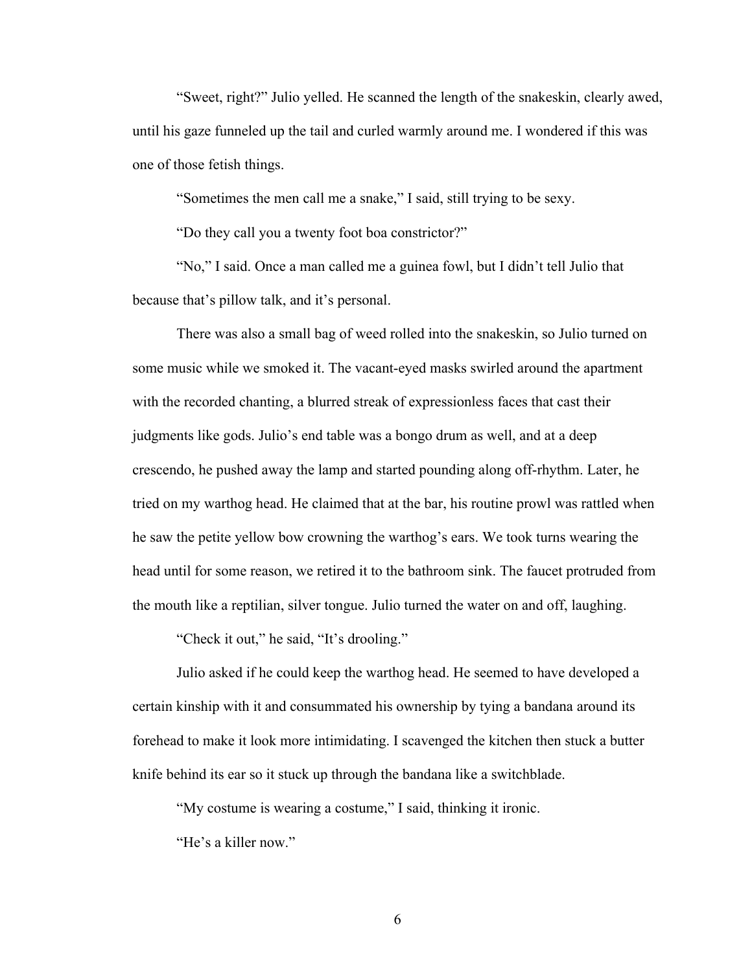"Sweet, right?" Julio yelled. He scanned the length of the snakeskin, clearly awed, until his gaze funneled up the tail and curled warmly around me. I wondered if this was one of those fetish things.

"Sometimes the men call me a snake," I said, still trying to be sexy.

"Do they call you a twenty foot boa constrictor?"

"No," I said. Once a man called me a guinea fowl, but I didn't tell Julio that because that's pillow talk, and it's personal.

There was also a small bag of weed rolled into the snakeskin, so Julio turned on some music while we smoked it. The vacant-eyed masks swirled around the apartment with the recorded chanting, a blurred streak of expressionless faces that cast their judgments like gods. Julio's end table was a bongo drum as well, and at a deep crescendo, he pushed away the lamp and started pounding along off-rhythm. Later, he tried on my warthog head. He claimed that at the bar, his routine prowl was rattled when he saw the petite yellow bow crowning the warthog's ears. We took turns wearing the head until for some reason, we retired it to the bathroom sink. The faucet protruded from the mouth like a reptilian, silver tongue. Julio turned the water on and off, laughing.

"Check it out," he said, "It's drooling."

Julio asked if he could keep the warthog head. He seemed to have developed a certain kinship with it and consummated his ownership by tying a bandana around its forehead to make it look more intimidating. I scavenged the kitchen then stuck a butter knife behind its ear so it stuck up through the bandana like a switchblade.

"My costume is wearing a costume," I said, thinking it ironic.

"He's a killer now."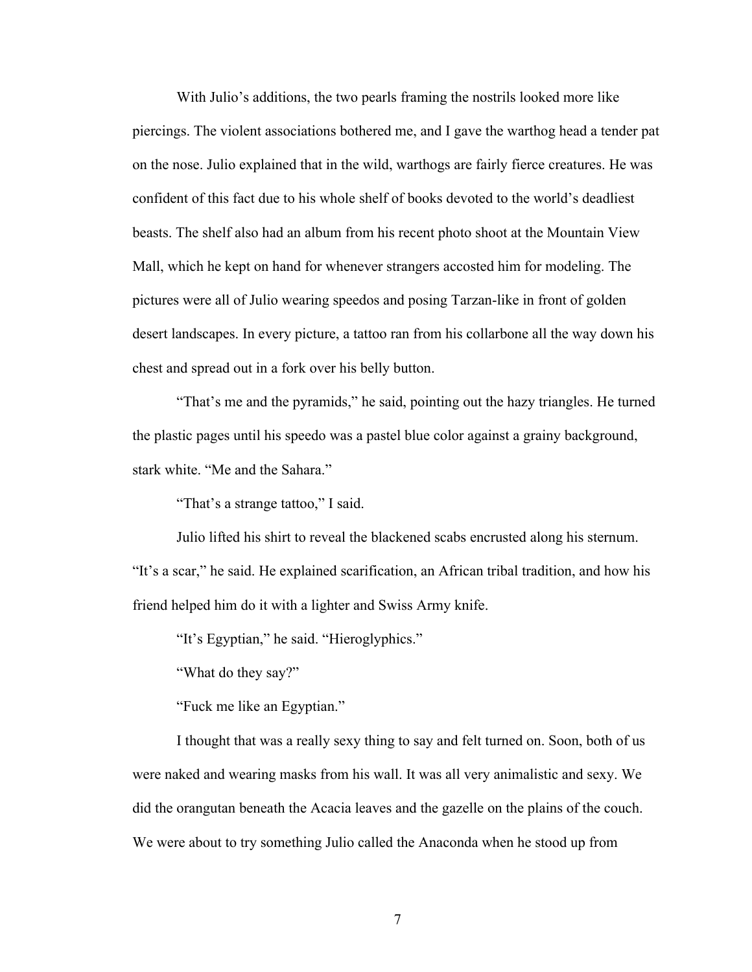With Julio's additions, the two pearls framing the nostrils looked more like piercings. The violent associations bothered me, and I gave the warthog head a tender pat on the nose. Julio explained that in the wild, warthogs are fairly fierce creatures. He was confident of this fact due to his whole shelf of books devoted to the world's deadliest beasts. The shelf also had an album from his recent photo shoot at the Mountain View Mall, which he kept on hand for whenever strangers accosted him for modeling. The pictures were all of Julio wearing speedos and posing Tarzan-like in front of golden desert landscapes. In every picture, a tattoo ran from his collarbone all the way down his chest and spread out in a fork over his belly button.

"That's me and the pyramids," he said, pointing out the hazy triangles. He turned the plastic pages until his speedo was a pastel blue color against a grainy background, stark white. "Me and the Sahara."

"That's a strange tattoo," I said.

Julio lifted his shirt to reveal the blackened scabs encrusted along his sternum. "It's a scar," he said. He explained scarification, an African tribal tradition, and how his friend helped him do it with a lighter and Swiss Army knife.

"It's Egyptian," he said. "Hieroglyphics."

"What do they say?"

"Fuck me like an Egyptian."

I thought that was a really sexy thing to say and felt turned on. Soon, both of us were naked and wearing masks from his wall. It was all very animalistic and sexy. We did the orangutan beneath the Acacia leaves and the gazelle on the plains of the couch. We were about to try something Julio called the Anaconda when he stood up from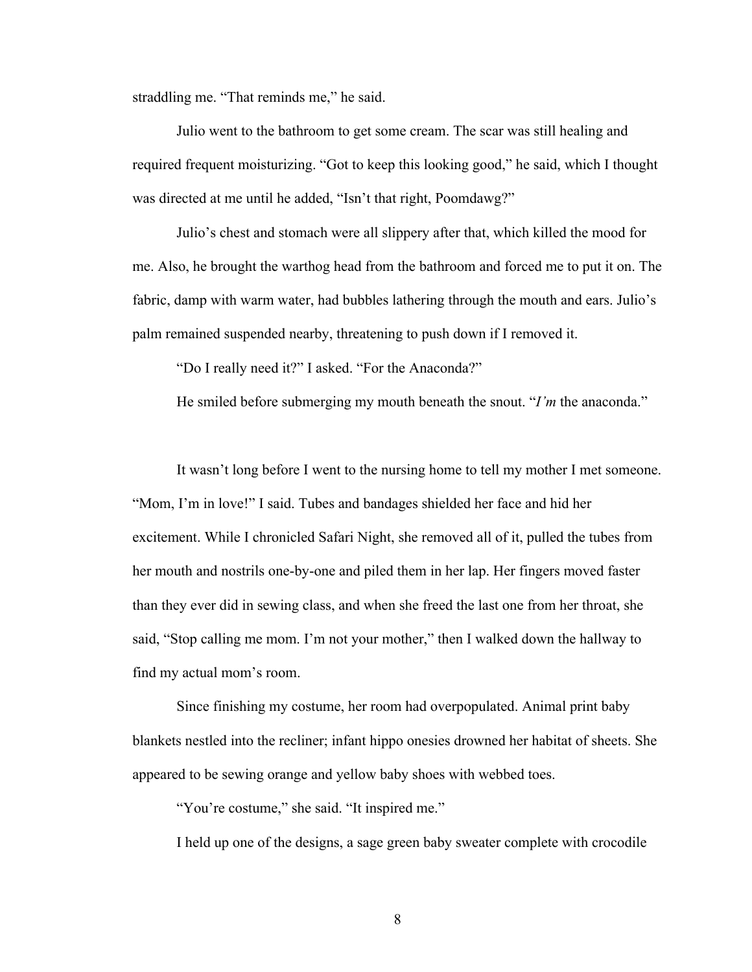straddling me. "That reminds me," he said.

Julio went to the bathroom to get some cream. The scar was still healing and required frequent moisturizing. "Got to keep this looking good," he said, which I thought was directed at me until he added, "Isn't that right, Poomdawg?"

Julio's chest and stomach were all slippery after that, which killed the mood for me. Also, he brought the warthog head from the bathroom and forced me to put it on. The fabric, damp with warm water, had bubbles lathering through the mouth and ears. Julio's palm remained suspended nearby, threatening to push down if I removed it.

"Do I really need it?" I asked. "For the Anaconda?"

He smiled before submerging my mouth beneath the snout. "*I'm* the anaconda."

It wasn't long before I went to the nursing home to tell my mother I met someone. "Mom, I'm in love!" I said. Tubes and bandages shielded her face and hid her excitement. While I chronicled Safari Night, she removed all of it, pulled the tubes from her mouth and nostrils one-by-one and piled them in her lap. Her fingers moved faster than they ever did in sewing class, and when she freed the last one from her throat, she said, "Stop calling me mom. I'm not your mother," then I walked down the hallway to find my actual mom's room.

Since finishing my costume, her room had overpopulated. Animal print baby blankets nestled into the recliner; infant hippo onesies drowned her habitat of sheets. She appeared to be sewing orange and yellow baby shoes with webbed toes.

"You're costume," she said. "It inspired me."

I held up one of the designs, a sage green baby sweater complete with crocodile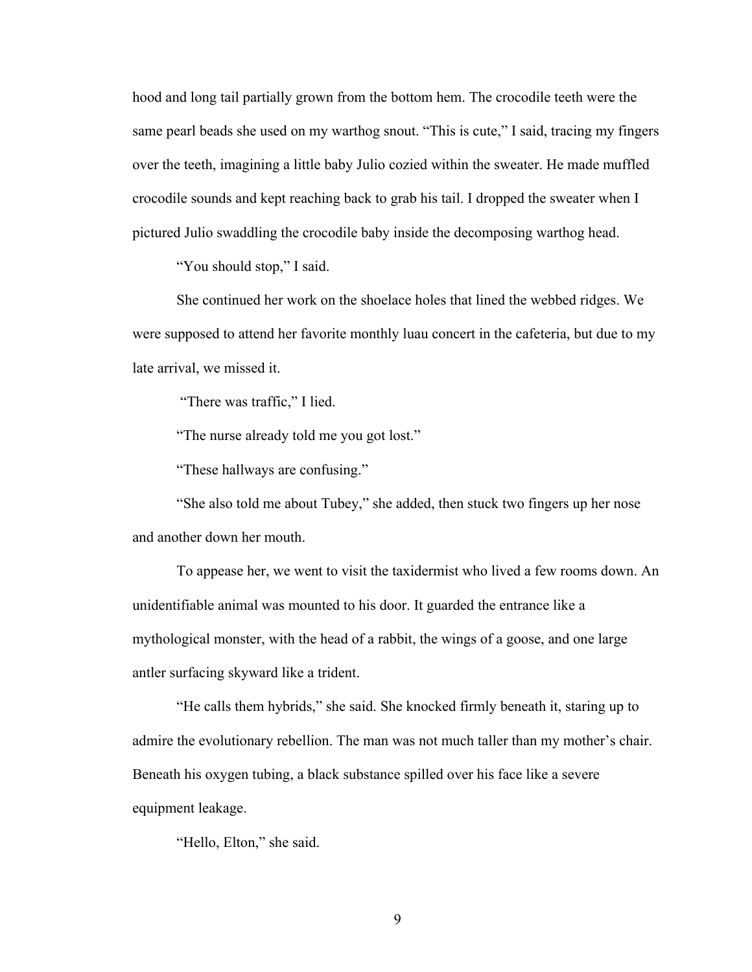hood and long tail partially grown from the bottom hem. The crocodile teeth were the same pearl beads she used on my warthog snout. "This is cute," I said, tracing my fingers over the teeth, imagining a little baby Julio cozied within the sweater. He made muffled crocodile sounds and kept reaching back to grab his tail. I dropped the sweater when I pictured Julio swaddling the crocodile baby inside the decomposing warthog head.

"You should stop," I said.

She continued her work on the shoelace holes that lined the webbed ridges. We were supposed to attend her favorite monthly luau concert in the cafeteria, but due to my late arrival, we missed it.

"There was traffic," I lied.

"The nurse already told me you got lost."

"These hallways are confusing."

"She also told me about Tubey," she added, then stuck two fingers up her nose and another down her mouth.

To appease her, we went to visit the taxidermist who lived a few rooms down. An unidentifiable animal was mounted to his door. It guarded the entrance like a mythological monster, with the head of a rabbit, the wings of a goose, and one large antler surfacing skyward like a trident.

"He calls them hybrids," she said. She knocked firmly beneath it, staring up to admire the evolutionary rebellion. The man was not much taller than my mother's chair. Beneath his oxygen tubing, a black substance spilled over his face like a severe equipment leakage.

"Hello, Elton," she said.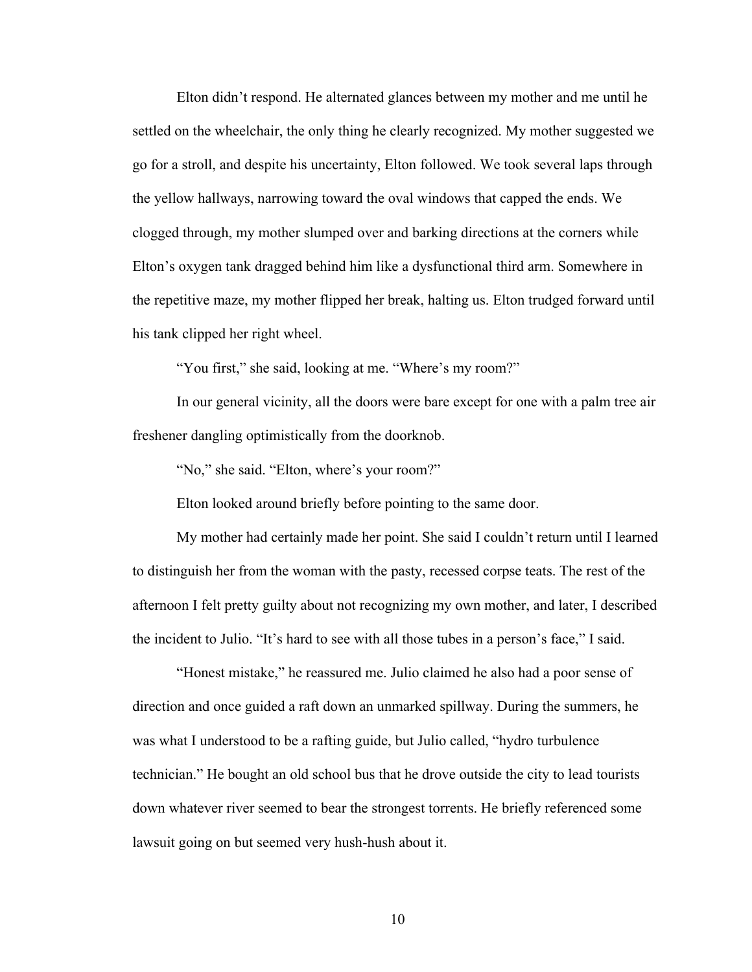Elton didn't respond. He alternated glances between my mother and me until he settled on the wheelchair, the only thing he clearly recognized. My mother suggested we go for a stroll, and despite his uncertainty, Elton followed. We took several laps through the yellow hallways, narrowing toward the oval windows that capped the ends. We clogged through, my mother slumped over and barking directions at the corners while Elton's oxygen tank dragged behind him like a dysfunctional third arm. Somewhere in the repetitive maze, my mother flipped her break, halting us. Elton trudged forward until his tank clipped her right wheel.

"You first," she said, looking at me. "Where's my room?"

In our general vicinity, all the doors were bare except for one with a palm tree air freshener dangling optimistically from the doorknob.

"No," she said. "Elton, where's your room?"

Elton looked around briefly before pointing to the same door.

My mother had certainly made her point. She said I couldn't return until I learned to distinguish her from the woman with the pasty, recessed corpse teats. The rest of the afternoon I felt pretty guilty about not recognizing my own mother, and later, I described the incident to Julio. "It's hard to see with all those tubes in a person's face," I said.

"Honest mistake," he reassured me. Julio claimed he also had a poor sense of direction and once guided a raft down an unmarked spillway. During the summers, he was what I understood to be a rafting guide, but Julio called, "hydro turbulence technician." He bought an old school bus that he drove outside the city to lead tourists down whatever river seemed to bear the strongest torrents. He briefly referenced some lawsuit going on but seemed very hush-hush about it.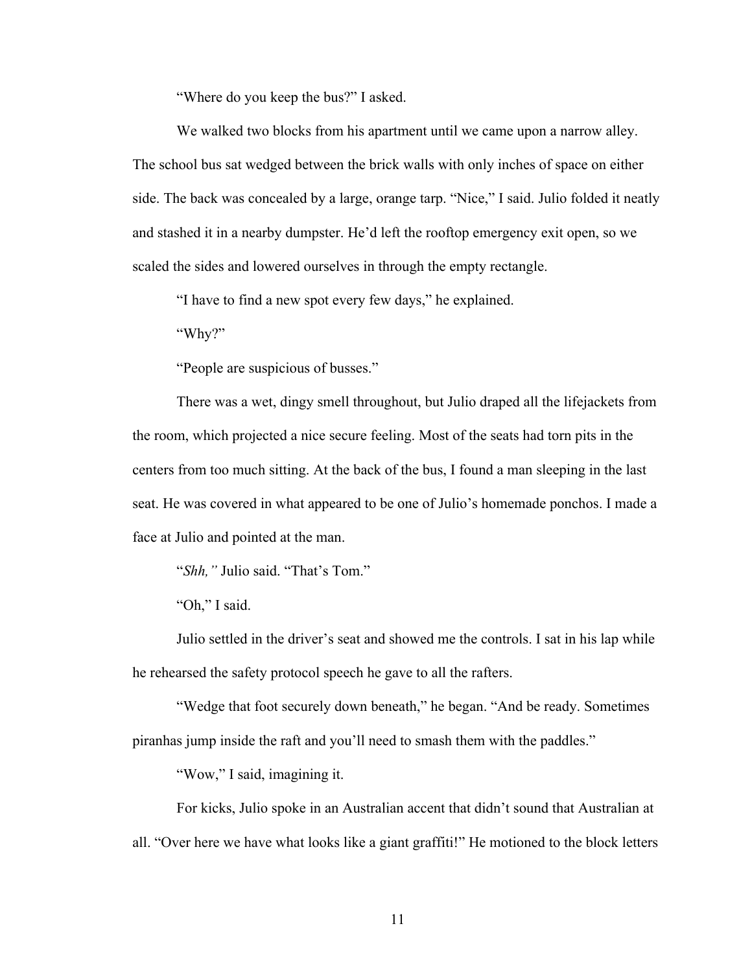"Where do you keep the bus?" I asked.

We walked two blocks from his apartment until we came upon a narrow alley. The school bus sat wedged between the brick walls with only inches of space on either side. The back was concealed by a large, orange tarp. "Nice," I said. Julio folded it neatly and stashed it in a nearby dumpster. He'd left the rooftop emergency exit open, so we scaled the sides and lowered ourselves in through the empty rectangle.

"I have to find a new spot every few days," he explained.

"Why?"

"People are suspicious of busses."

There was a wet, dingy smell throughout, but Julio draped all the lifejackets from the room, which projected a nice secure feeling. Most of the seats had torn pits in the centers from too much sitting. At the back of the bus, I found a man sleeping in the last seat. He was covered in what appeared to be one of Julio's homemade ponchos. I made a face at Julio and pointed at the man.

"*Shh,"* Julio said. "That's Tom."

"Oh," I said.

Julio settled in the driver's seat and showed me the controls. I sat in his lap while he rehearsed the safety protocol speech he gave to all the rafters.

"Wedge that foot securely down beneath," he began. "And be ready. Sometimes piranhas jump inside the raft and you'll need to smash them with the paddles."

"Wow," I said, imagining it.

For kicks, Julio spoke in an Australian accent that didn't sound that Australian at all. "Over here we have what looks like a giant graffiti!" He motioned to the block letters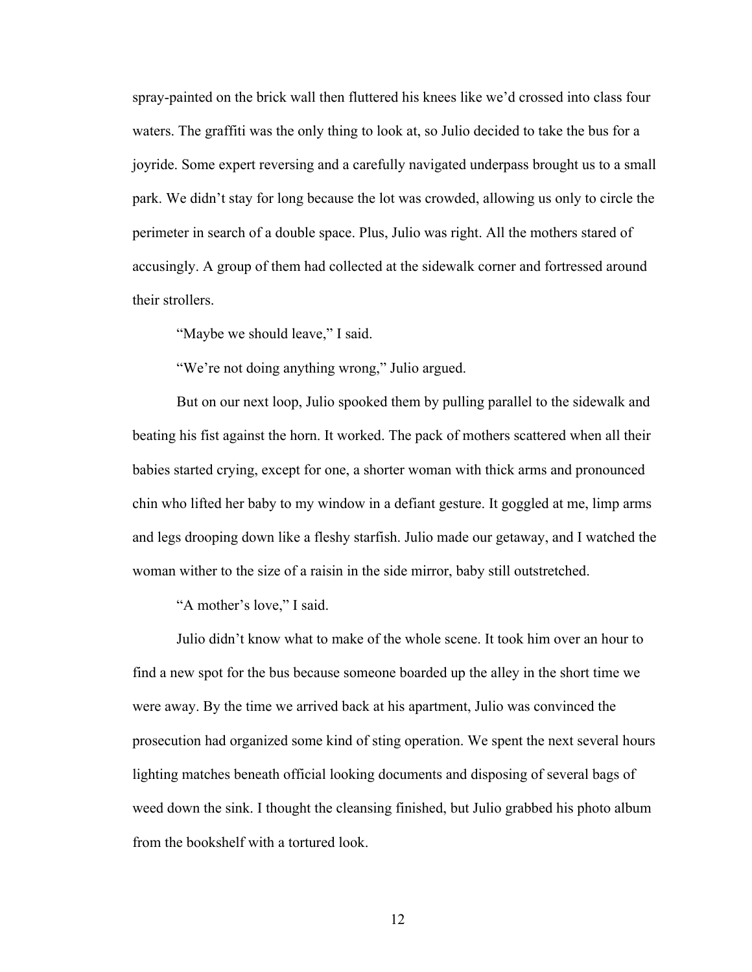spray-painted on the brick wall then fluttered his knees like we'd crossed into class four waters. The graffiti was the only thing to look at, so Julio decided to take the bus for a joyride. Some expert reversing and a carefully navigated underpass brought us to a small park. We didn't stay for long because the lot was crowded, allowing us only to circle the perimeter in search of a double space. Plus, Julio was right. All the mothers stared of accusingly. A group of them had collected at the sidewalk corner and fortressed around their strollers.

"Maybe we should leave," I said.

"We're not doing anything wrong," Julio argued.

But on our next loop, Julio spooked them by pulling parallel to the sidewalk and beating his fist against the horn. It worked. The pack of mothers scattered when all their babies started crying, except for one, a shorter woman with thick arms and pronounced chin who lifted her baby to my window in a defiant gesture. It goggled at me, limp arms and legs drooping down like a fleshy starfish. Julio made our getaway, and I watched the woman wither to the size of a raisin in the side mirror, baby still outstretched.

"A mother's love," I said.

Julio didn't know what to make of the whole scene. It took him over an hour to find a new spot for the bus because someone boarded up the alley in the short time we were away. By the time we arrived back at his apartment, Julio was convinced the prosecution had organized some kind of sting operation. We spent the next several hours lighting matches beneath official looking documents and disposing of several bags of weed down the sink. I thought the cleansing finished, but Julio grabbed his photo album from the bookshelf with a tortured look.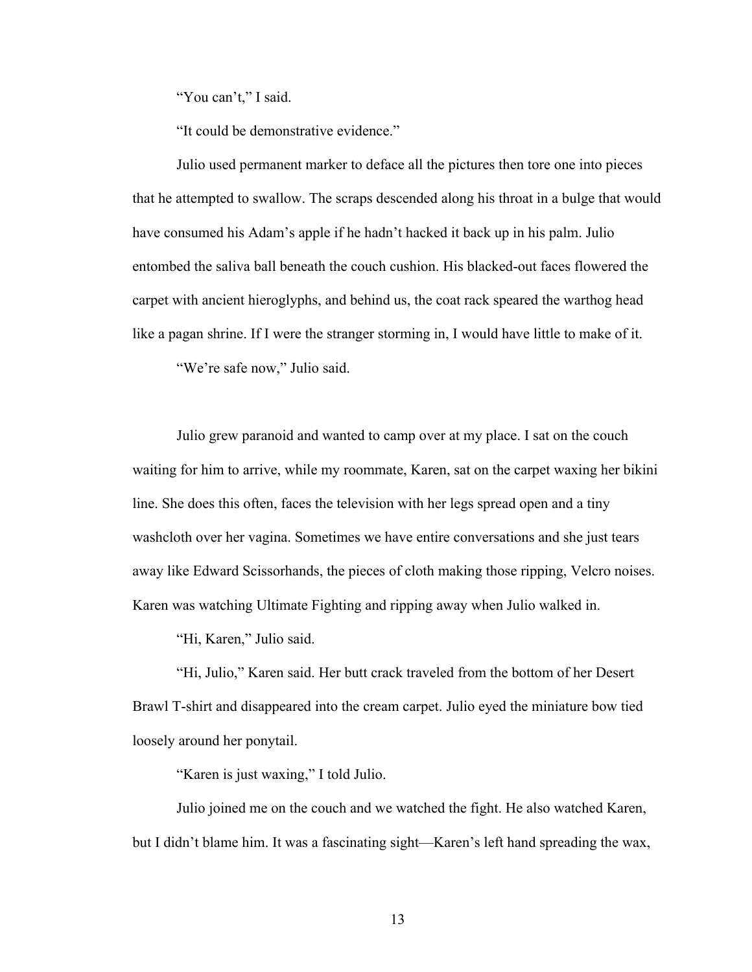"You can't," I said.

"It could be demonstrative evidence."

Julio used permanent marker to deface all the pictures then tore one into pieces that he attempted to swallow. The scraps descended along his throat in a bulge that would have consumed his Adam's apple if he hadn't hacked it back up in his palm. Julio entombed the saliva ball beneath the couch cushion. His blacked-out faces flowered the carpet with ancient hieroglyphs, and behind us, the coat rack speared the warthog head like a pagan shrine. If I were the stranger storming in, I would have little to make of it.

"We're safe now," Julio said.

Julio grew paranoid and wanted to camp over at my place. I sat on the couch waiting for him to arrive, while my roommate, Karen, sat on the carpet waxing her bikini line. She does this often, faces the television with her legs spread open and a tiny washcloth over her vagina. Sometimes we have entire conversations and she just tears away like Edward Scissorhands, the pieces of cloth making those ripping, Velcro noises. Karen was watching Ultimate Fighting and ripping away when Julio walked in.

"Hi, Karen," Julio said.

"Hi, Julio," Karen said. Her butt crack traveled from the bottom of her Desert Brawl T-shirt and disappeared into the cream carpet. Julio eyed the miniature bow tied loosely around her ponytail.

"Karen is just waxing," I told Julio.

Julio joined me on the couch and we watched the fight. He also watched Karen, but I didn't blame him. It was a fascinating sight—Karen's left hand spreading the wax,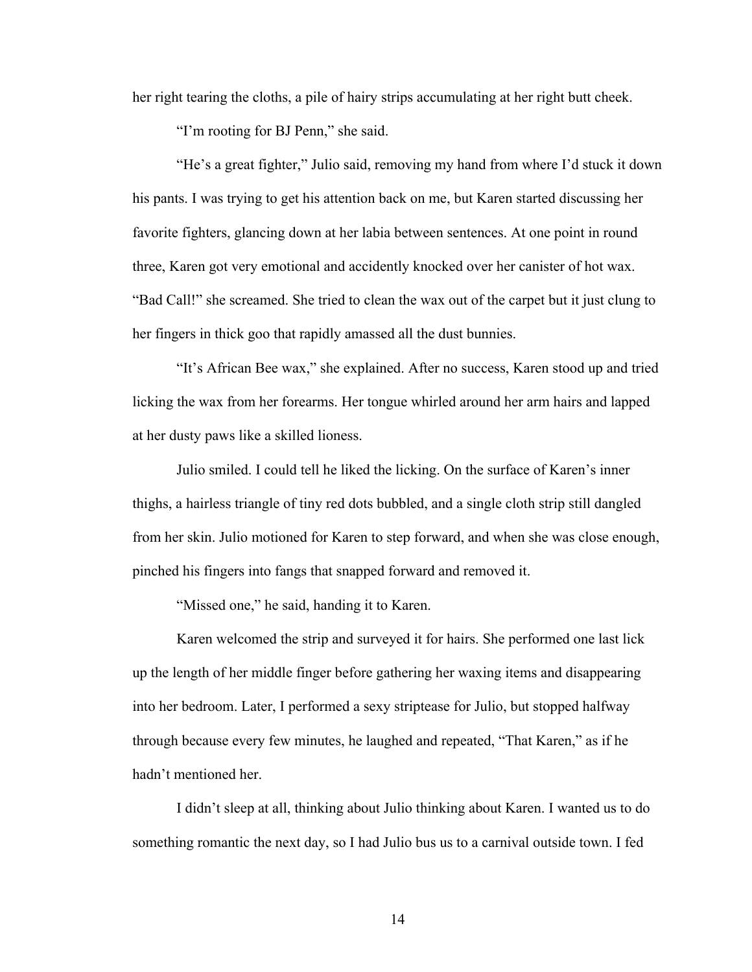her right tearing the cloths, a pile of hairy strips accumulating at her right butt cheek.

"I'm rooting for BJ Penn," she said.

"He's a great fighter," Julio said, removing my hand from where I'd stuck it down his pants. I was trying to get his attention back on me, but Karen started discussing her favorite fighters, glancing down at her labia between sentences. At one point in round three, Karen got very emotional and accidently knocked over her canister of hot wax. "Bad Call!" she screamed. She tried to clean the wax out of the carpet but it just clung to her fingers in thick goo that rapidly amassed all the dust bunnies.

"It's African Bee wax," she explained. After no success, Karen stood up and tried licking the wax from her forearms. Her tongue whirled around her arm hairs and lapped at her dusty paws like a skilled lioness.

Julio smiled. I could tell he liked the licking. On the surface of Karen's inner thighs, a hairless triangle of tiny red dots bubbled, and a single cloth strip still dangled from her skin. Julio motioned for Karen to step forward, and when she was close enough, pinched his fingers into fangs that snapped forward and removed it.

"Missed one," he said, handing it to Karen.

Karen welcomed the strip and surveyed it for hairs. She performed one last lick up the length of her middle finger before gathering her waxing items and disappearing into her bedroom. Later, I performed a sexy striptease for Julio, but stopped halfway through because every few minutes, he laughed and repeated, "That Karen," as if he hadn't mentioned her.

I didn't sleep at all, thinking about Julio thinking about Karen. I wanted us to do something romantic the next day, so I had Julio bus us to a carnival outside town. I fed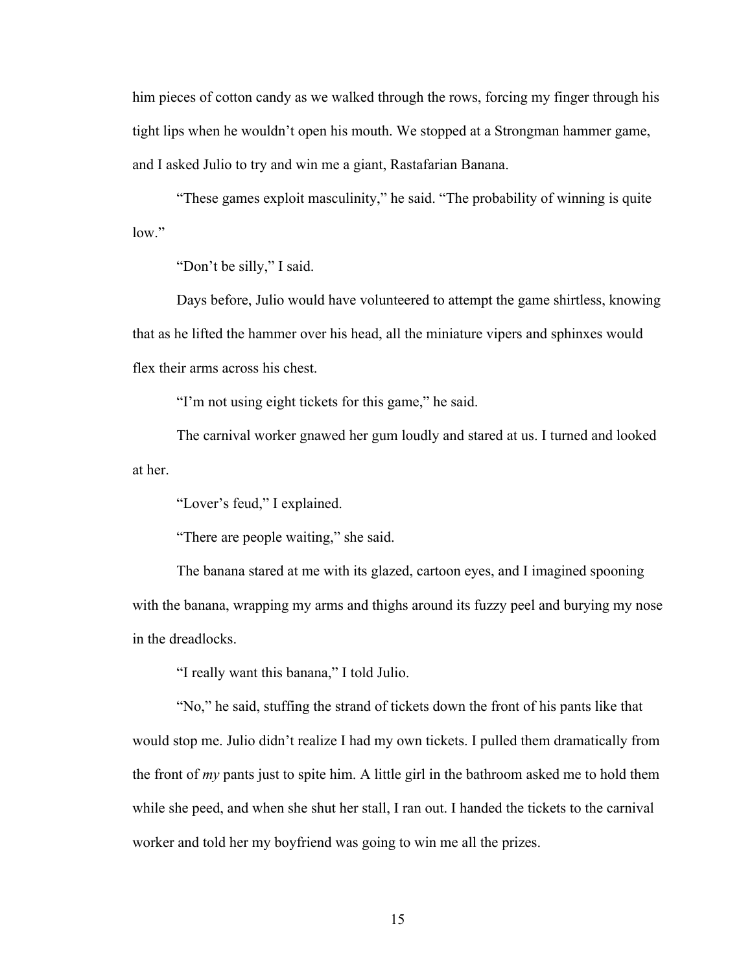him pieces of cotton candy as we walked through the rows, forcing my finger through his tight lips when he wouldn't open his mouth. We stopped at a Strongman hammer game, and I asked Julio to try and win me a giant, Rastafarian Banana.

"These games exploit masculinity," he said. "The probability of winning is quite  $low$ "

"Don't be silly," I said.

Days before, Julio would have volunteered to attempt the game shirtless, knowing that as he lifted the hammer over his head, all the miniature vipers and sphinxes would flex their arms across his chest.

"I'm not using eight tickets for this game," he said.

The carnival worker gnawed her gum loudly and stared at us. I turned and looked at her.

"Lover's feud," I explained.

"There are people waiting," she said.

The banana stared at me with its glazed, cartoon eyes, and I imagined spooning with the banana, wrapping my arms and thighs around its fuzzy peel and burying my nose in the dreadlocks.

"I really want this banana," I told Julio.

"No," he said, stuffing the strand of tickets down the front of his pants like that would stop me. Julio didn't realize I had my own tickets. I pulled them dramatically from the front of *my* pants just to spite him. A little girl in the bathroom asked me to hold them while she peed, and when she shut her stall, I ran out. I handed the tickets to the carnival worker and told her my boyfriend was going to win me all the prizes.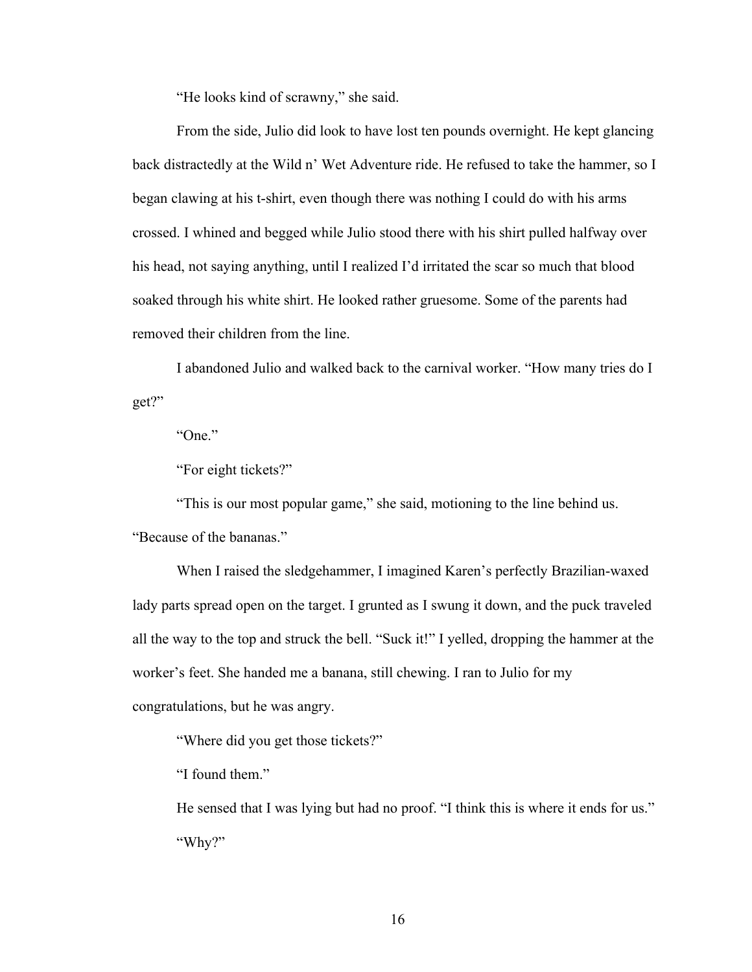"He looks kind of scrawny," she said.

From the side, Julio did look to have lost ten pounds overnight. He kept glancing back distractedly at the Wild n' Wet Adventure ride. He refused to take the hammer, so I began clawing at his t-shirt, even though there was nothing I could do with his arms crossed. I whined and begged while Julio stood there with his shirt pulled halfway over his head, not saying anything, until I realized I'd irritated the scar so much that blood soaked through his white shirt. He looked rather gruesome. Some of the parents had removed their children from the line.

I abandoned Julio and walked back to the carnival worker. "How many tries do I get?"

"One."

"For eight tickets?"

"This is our most popular game," she said, motioning to the line behind us.

"Because of the bananas."

When I raised the sledgehammer, I imagined Karen's perfectly Brazilian-waxed lady parts spread open on the target. I grunted as I swung it down, and the puck traveled all the way to the top and struck the bell. "Suck it!" I yelled, dropping the hammer at the worker's feet. She handed me a banana, still chewing. I ran to Julio for my congratulations, but he was angry.

"Where did you get those tickets?"

"I found them."

He sensed that I was lying but had no proof. "I think this is where it ends for us." "Why?"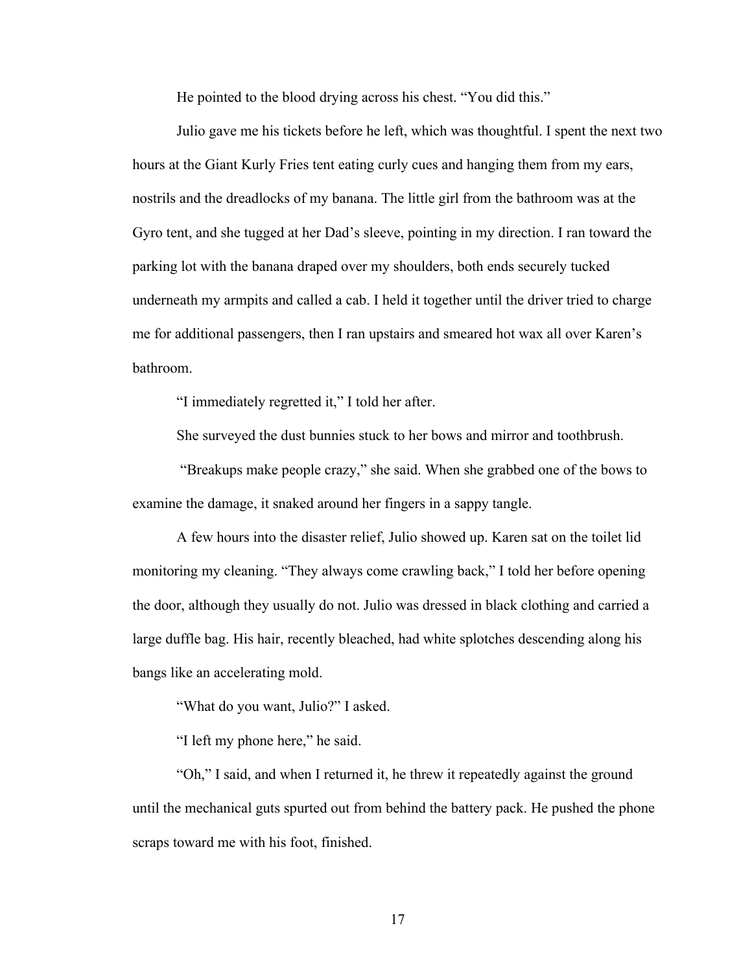He pointed to the blood drying across his chest. "You did this."

Julio gave me his tickets before he left, which was thoughtful. I spent the next two hours at the Giant Kurly Fries tent eating curly cues and hanging them from my ears, nostrils and the dreadlocks of my banana. The little girl from the bathroom was at the Gyro tent, and she tugged at her Dad's sleeve, pointing in my direction. I ran toward the parking lot with the banana draped over my shoulders, both ends securely tucked underneath my armpits and called a cab. I held it together until the driver tried to charge me for additional passengers, then I ran upstairs and smeared hot wax all over Karen's bathroom.

"I immediately regretted it," I told her after.

She surveyed the dust bunnies stuck to her bows and mirror and toothbrush.

"Breakups make people crazy," she said. When she grabbed one of the bows to examine the damage, it snaked around her fingers in a sappy tangle.

A few hours into the disaster relief, Julio showed up. Karen sat on the toilet lid monitoring my cleaning. "They always come crawling back," I told her before opening the door, although they usually do not. Julio was dressed in black clothing and carried a large duffle bag. His hair, recently bleached, had white splotches descending along his bangs like an accelerating mold.

"What do you want, Julio?" I asked.

"I left my phone here," he said.

"Oh," I said, and when I returned it, he threw it repeatedly against the ground until the mechanical guts spurted out from behind the battery pack. He pushed the phone scraps toward me with his foot, finished.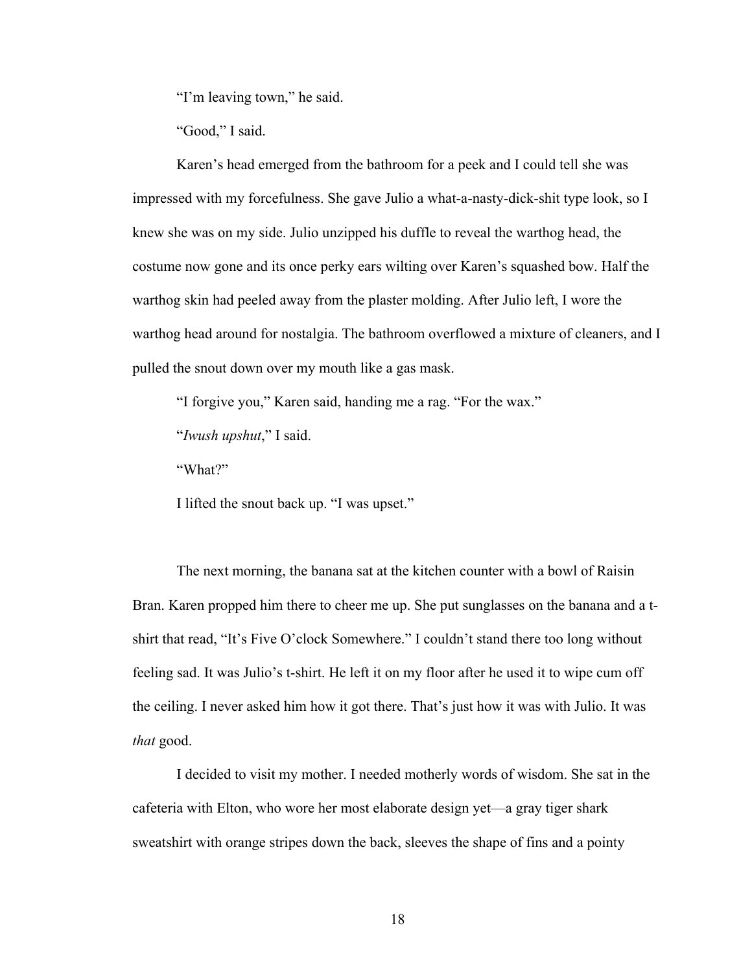"I'm leaving town," he said.

"Good," I said.

Karen's head emerged from the bathroom for a peek and I could tell she was impressed with my forcefulness. She gave Julio a what-a-nasty-dick-shit type look, so I knew she was on my side. Julio unzipped his duffle to reveal the warthog head, the costume now gone and its once perky ears wilting over Karen's squashed bow. Half the warthog skin had peeled away from the plaster molding. After Julio left, I wore the warthog head around for nostalgia. The bathroom overflowed a mixture of cleaners, and I pulled the snout down over my mouth like a gas mask.

"I forgive you," Karen said, handing me a rag. "For the wax."

"*Iwush upshut*," I said.

"What?"

I lifted the snout back up. "I was upset."

The next morning, the banana sat at the kitchen counter with a bowl of Raisin Bran. Karen propped him there to cheer me up. She put sunglasses on the banana and a tshirt that read, "It's Five O'clock Somewhere." I couldn't stand there too long without feeling sad. It was Julio's t-shirt. He left it on my floor after he used it to wipe cum off the ceiling. I never asked him how it got there. That's just how it was with Julio. It was *that* good.

I decided to visit my mother. I needed motherly words of wisdom. She sat in the cafeteria with Elton, who wore her most elaborate design yet—a gray tiger shark sweatshirt with orange stripes down the back, sleeves the shape of fins and a pointy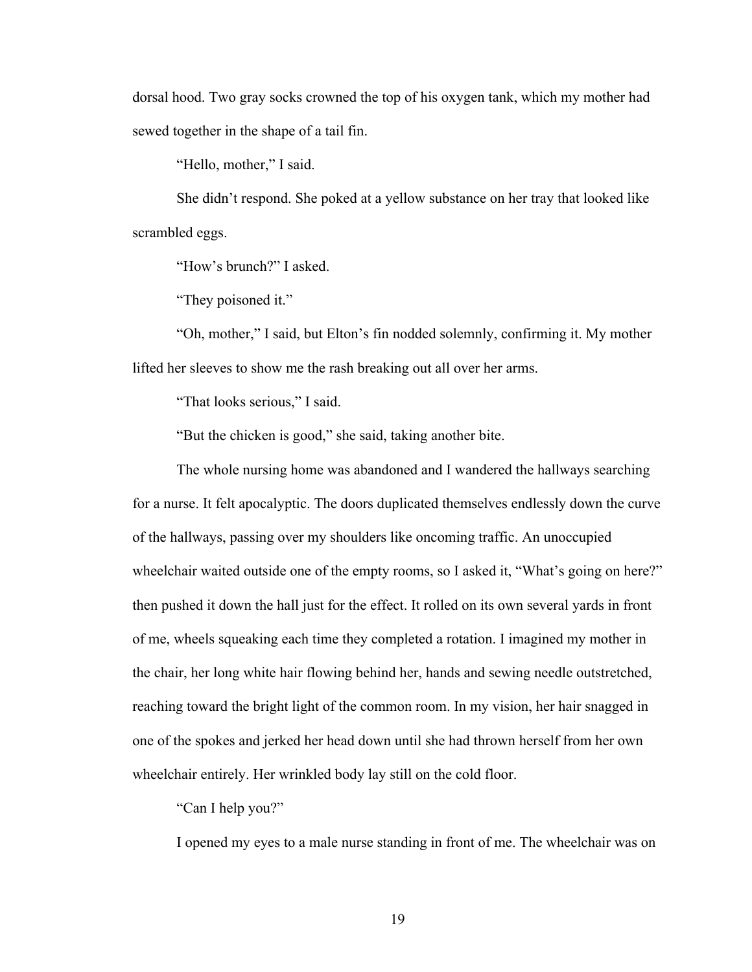dorsal hood. Two gray socks crowned the top of his oxygen tank, which my mother had sewed together in the shape of a tail fin.

"Hello, mother," I said.

She didn't respond. She poked at a yellow substance on her tray that looked like scrambled eggs.

"How's brunch?" I asked.

"They poisoned it."

"Oh, mother," I said, but Elton's fin nodded solemnly, confirming it. My mother lifted her sleeves to show me the rash breaking out all over her arms.

"That looks serious," I said.

"But the chicken is good," she said, taking another bite.

The whole nursing home was abandoned and I wandered the hallways searching for a nurse. It felt apocalyptic. The doors duplicated themselves endlessly down the curve of the hallways, passing over my shoulders like oncoming traffic. An unoccupied wheelchair waited outside one of the empty rooms, so I asked it, "What's going on here?" then pushed it down the hall just for the effect. It rolled on its own several yards in front of me, wheels squeaking each time they completed a rotation. I imagined my mother in the chair, her long white hair flowing behind her, hands and sewing needle outstretched, reaching toward the bright light of the common room. In my vision, her hair snagged in one of the spokes and jerked her head down until she had thrown herself from her own wheelchair entirely. Her wrinkled body lay still on the cold floor.

"Can I help you?"

I opened my eyes to a male nurse standing in front of me. The wheelchair was on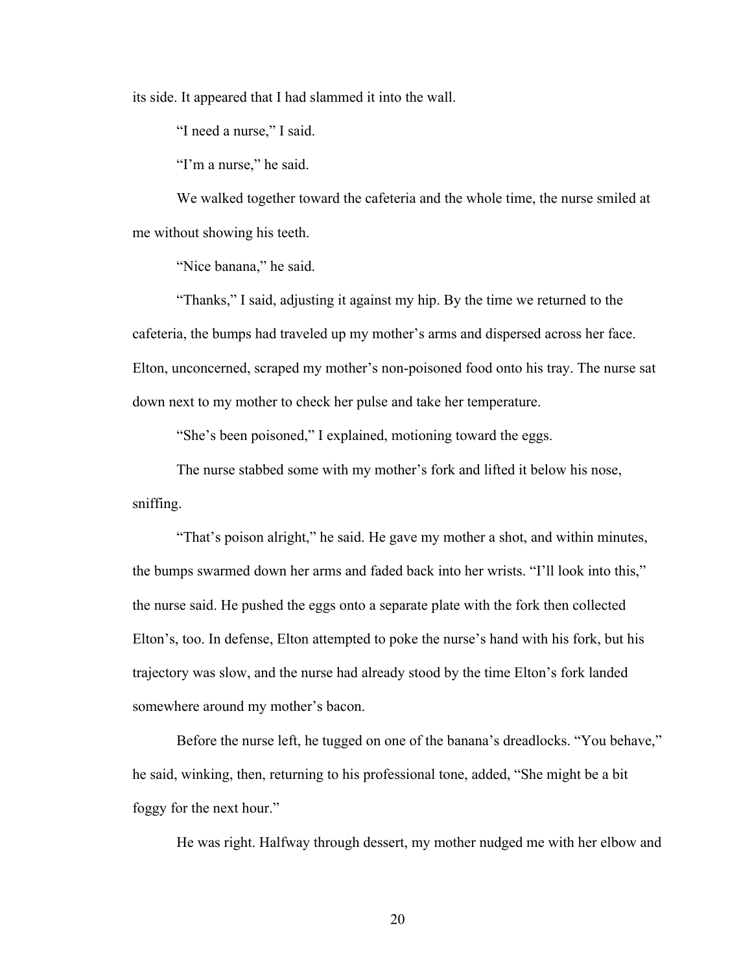its side. It appeared that I had slammed it into the wall.

"I need a nurse," I said.

"I'm a nurse," he said.

We walked together toward the cafeteria and the whole time, the nurse smiled at me without showing his teeth.

"Nice banana," he said.

"Thanks," I said, adjusting it against my hip. By the time we returned to the cafeteria, the bumps had traveled up my mother's arms and dispersed across her face. Elton, unconcerned, scraped my mother's non-poisoned food onto his tray. The nurse sat down next to my mother to check her pulse and take her temperature.

"She's been poisoned," I explained, motioning toward the eggs.

The nurse stabbed some with my mother's fork and lifted it below his nose, sniffing.

"That's poison alright," he said. He gave my mother a shot, and within minutes, the bumps swarmed down her arms and faded back into her wrists. "I'll look into this," the nurse said. He pushed the eggs onto a separate plate with the fork then collected Elton's, too. In defense, Elton attempted to poke the nurse's hand with his fork, but his trajectory was slow, and the nurse had already stood by the time Elton's fork landed somewhere around my mother's bacon.

Before the nurse left, he tugged on one of the banana's dreadlocks. "You behave," he said, winking, then, returning to his professional tone, added, "She might be a bit foggy for the next hour."

He was right. Halfway through dessert, my mother nudged me with her elbow and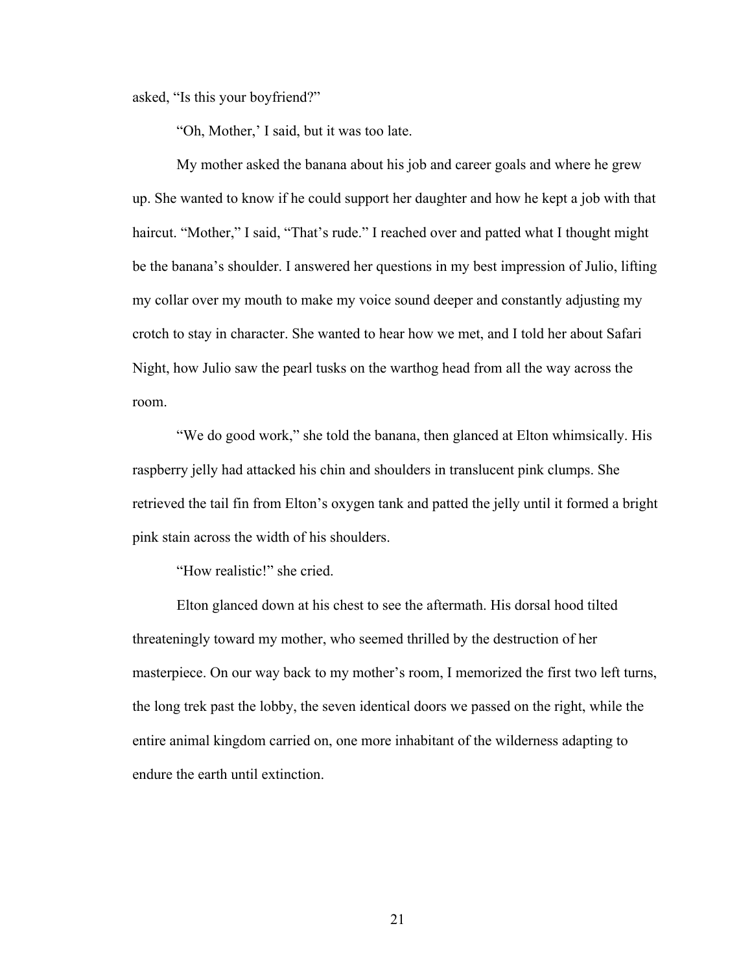asked, "Is this your boyfriend?"

"Oh, Mother,' I said, but it was too late.

My mother asked the banana about his job and career goals and where he grew up. She wanted to know if he could support her daughter and how he kept a job with that haircut. "Mother," I said, "That's rude." I reached over and patted what I thought might be the banana's shoulder. I answered her questions in my best impression of Julio, lifting my collar over my mouth to make my voice sound deeper and constantly adjusting my crotch to stay in character. She wanted to hear how we met, and I told her about Safari Night, how Julio saw the pearl tusks on the warthog head from all the way across the room.

"We do good work," she told the banana, then glanced at Elton whimsically. His raspberry jelly had attacked his chin and shoulders in translucent pink clumps. She retrieved the tail fin from Elton's oxygen tank and patted the jelly until it formed a bright pink stain across the width of his shoulders.

"How realistic!" she cried.

Elton glanced down at his chest to see the aftermath. His dorsal hood tilted threateningly toward my mother, who seemed thrilled by the destruction of her masterpiece. On our way back to my mother's room, I memorized the first two left turns, the long trek past the lobby, the seven identical doors we passed on the right, while the entire animal kingdom carried on, one more inhabitant of the wilderness adapting to endure the earth until extinction.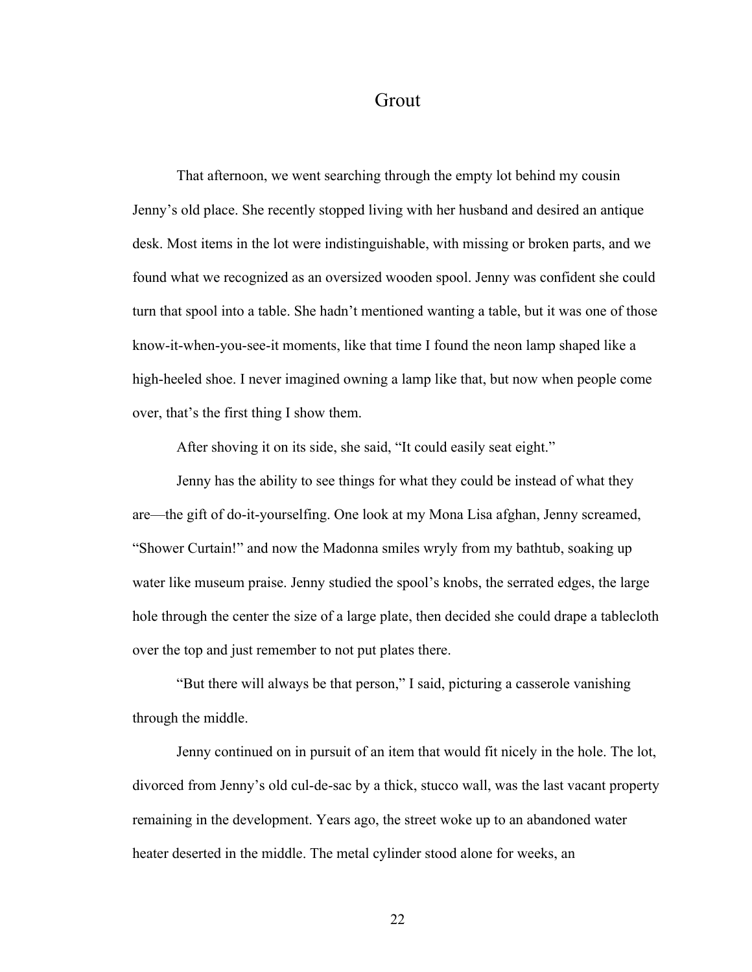## Grout

That afternoon, we went searching through the empty lot behind my cousin Jenny's old place. She recently stopped living with her husband and desired an antique desk. Most items in the lot were indistinguishable, with missing or broken parts, and we found what we recognized as an oversized wooden spool. Jenny was confident she could turn that spool into a table. She hadn't mentioned wanting a table, but it was one of those know-it-when-you-see-it moments, like that time I found the neon lamp shaped like a high-heeled shoe. I never imagined owning a lamp like that, but now when people come over, that's the first thing I show them.

After shoving it on its side, she said, "It could easily seat eight."

Jenny has the ability to see things for what they could be instead of what they are—the gift of do-it-yourselfing. One look at my Mona Lisa afghan, Jenny screamed, "Shower Curtain!" and now the Madonna smiles wryly from my bathtub, soaking up water like museum praise. Jenny studied the spool's knobs, the serrated edges, the large hole through the center the size of a large plate, then decided she could drape a tablecloth over the top and just remember to not put plates there.

"But there will always be that person," I said, picturing a casserole vanishing through the middle.

Jenny continued on in pursuit of an item that would fit nicely in the hole. The lot, divorced from Jenny's old cul-de-sac by a thick, stucco wall, was the last vacant property remaining in the development. Years ago, the street woke up to an abandoned water heater deserted in the middle. The metal cylinder stood alone for weeks, an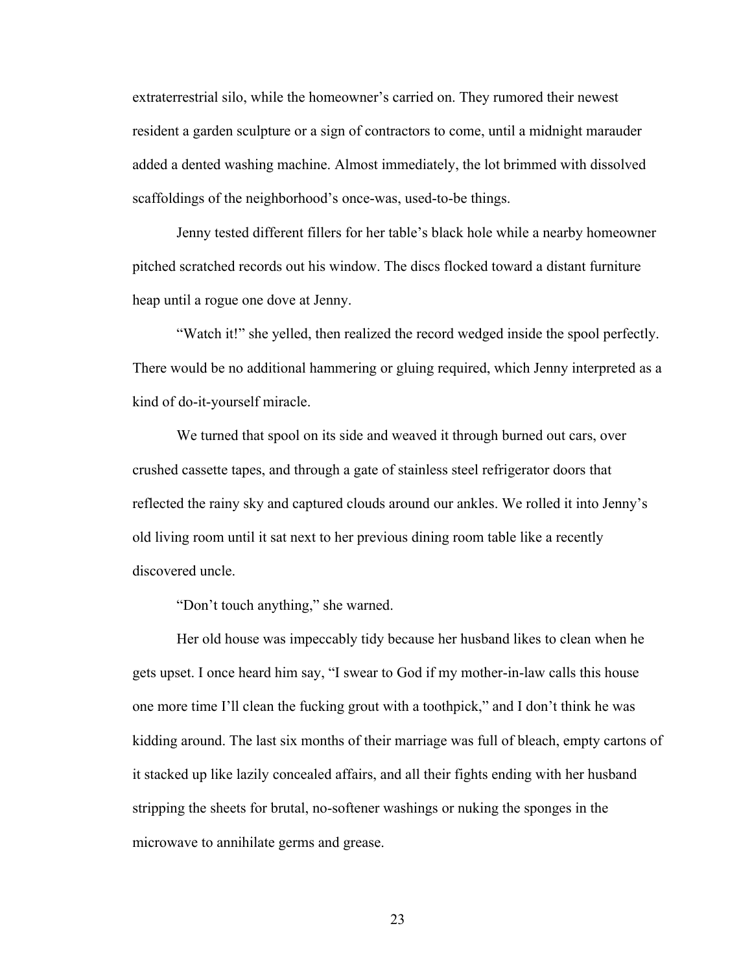extraterrestrial silo, while the homeowner's carried on. They rumored their newest resident a garden sculpture or a sign of contractors to come, until a midnight marauder added a dented washing machine. Almost immediately, the lot brimmed with dissolved scaffoldings of the neighborhood's once-was, used-to-be things.

Jenny tested different fillers for her table's black hole while a nearby homeowner pitched scratched records out his window. The discs flocked toward a distant furniture heap until a rogue one dove at Jenny.

"Watch it!" she yelled, then realized the record wedged inside the spool perfectly. There would be no additional hammering or gluing required, which Jenny interpreted as a kind of do-it-yourself miracle.

We turned that spool on its side and weaved it through burned out cars, over crushed cassette tapes, and through a gate of stainless steel refrigerator doors that reflected the rainy sky and captured clouds around our ankles. We rolled it into Jenny's old living room until it sat next to her previous dining room table like a recently discovered uncle.

"Don't touch anything," she warned.

Her old house was impeccably tidy because her husband likes to clean when he gets upset. I once heard him say, "I swear to God if my mother-in-law calls this house one more time I'll clean the fucking grout with a toothpick," and I don't think he was kidding around. The last six months of their marriage was full of bleach, empty cartons of it stacked up like lazily concealed affairs, and all their fights ending with her husband stripping the sheets for brutal, no-softener washings or nuking the sponges in the microwave to annihilate germs and grease.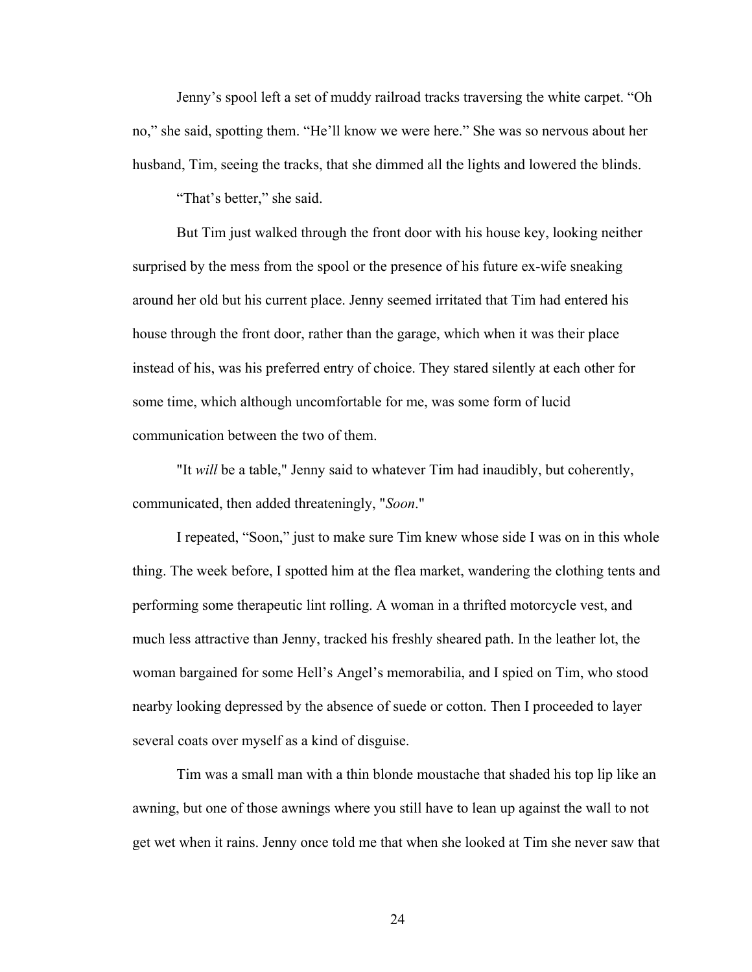Jenny's spool left a set of muddy railroad tracks traversing the white carpet. "Oh no," she said, spotting them. "He'll know we were here." She was so nervous about her husband, Tim, seeing the tracks, that she dimmed all the lights and lowered the blinds.

"That's better," she said.

But Tim just walked through the front door with his house key, looking neither surprised by the mess from the spool or the presence of his future ex-wife sneaking around her old but his current place. Jenny seemed irritated that Tim had entered his house through the front door, rather than the garage, which when it was their place instead of his, was his preferred entry of choice. They stared silently at each other for some time, which although uncomfortable for me, was some form of lucid communication between the two of them.

"It *will* be a table," Jenny said to whatever Tim had inaudibly, but coherently, communicated, then added threateningly, "*Soon*."

I repeated, "Soon," just to make sure Tim knew whose side I was on in this whole thing. The week before, I spotted him at the flea market, wandering the clothing tents and performing some therapeutic lint rolling. A woman in a thrifted motorcycle vest, and much less attractive than Jenny, tracked his freshly sheared path. In the leather lot, the woman bargained for some Hell's Angel's memorabilia, and I spied on Tim, who stood nearby looking depressed by the absence of suede or cotton. Then I proceeded to layer several coats over myself as a kind of disguise.

Tim was a small man with a thin blonde moustache that shaded his top lip like an awning, but one of those awnings where you still have to lean up against the wall to not get wet when it rains. Jenny once told me that when she looked at Tim she never saw that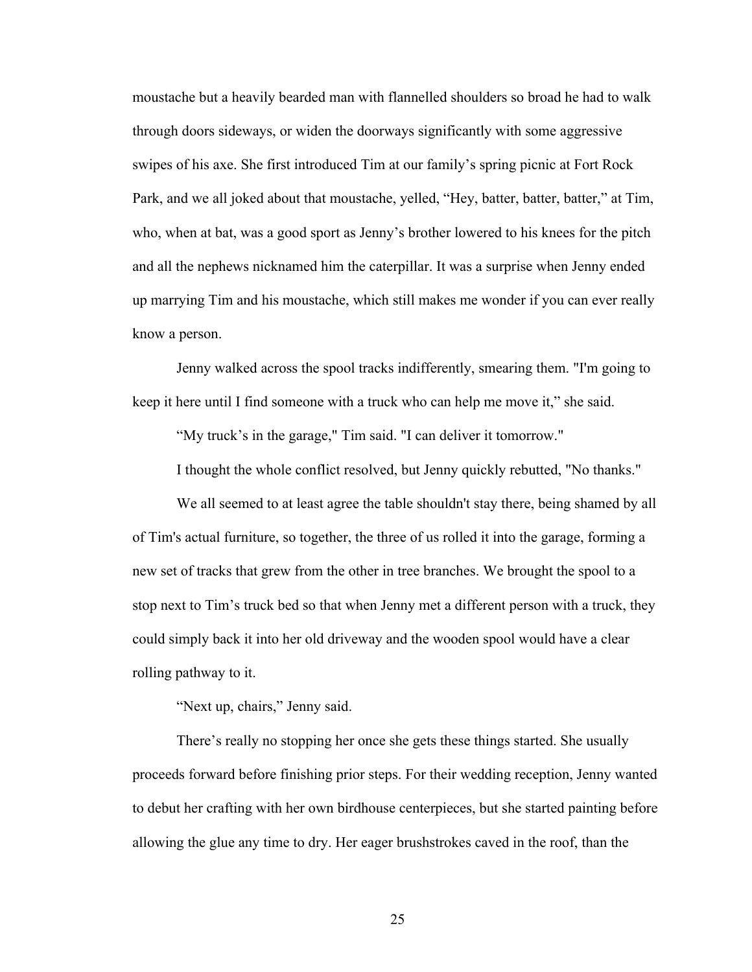moustache but a heavily bearded man with flannelled shoulders so broad he had to walk through doors sideways, or widen the doorways significantly with some aggressive swipes of his axe. She first introduced Tim at our family's spring picnic at Fort Rock Park, and we all joked about that moustache, yelled, "Hey, batter, batter, batter," at Tim, who, when at bat, was a good sport as Jenny's brother lowered to his knees for the pitch and all the nephews nicknamed him the caterpillar. It was a surprise when Jenny ended up marrying Tim and his moustache, which still makes me wonder if you can ever really know a person.

Jenny walked across the spool tracks indifferently, smearing them. "I'm going to keep it here until I find someone with a truck who can help me move it," she said.

"My truck's in the garage," Tim said. "I can deliver it tomorrow."

I thought the whole conflict resolved, but Jenny quickly rebutted, "No thanks."

We all seemed to at least agree the table shouldn't stay there, being shamed by all of Tim's actual furniture, so together, the three of us rolled it into the garage, forming a new set of tracks that grew from the other in tree branches. We brought the spool to a stop next to Tim's truck bed so that when Jenny met a different person with a truck, they could simply back it into her old driveway and the wooden spool would have a clear rolling pathway to it.

"Next up, chairs," Jenny said.

There's really no stopping her once she gets these things started. She usually proceeds forward before finishing prior steps. For their wedding reception, Jenny wanted to debut her crafting with her own birdhouse centerpieces, but she started painting before allowing the glue any time to dry. Her eager brushstrokes caved in the roof, than the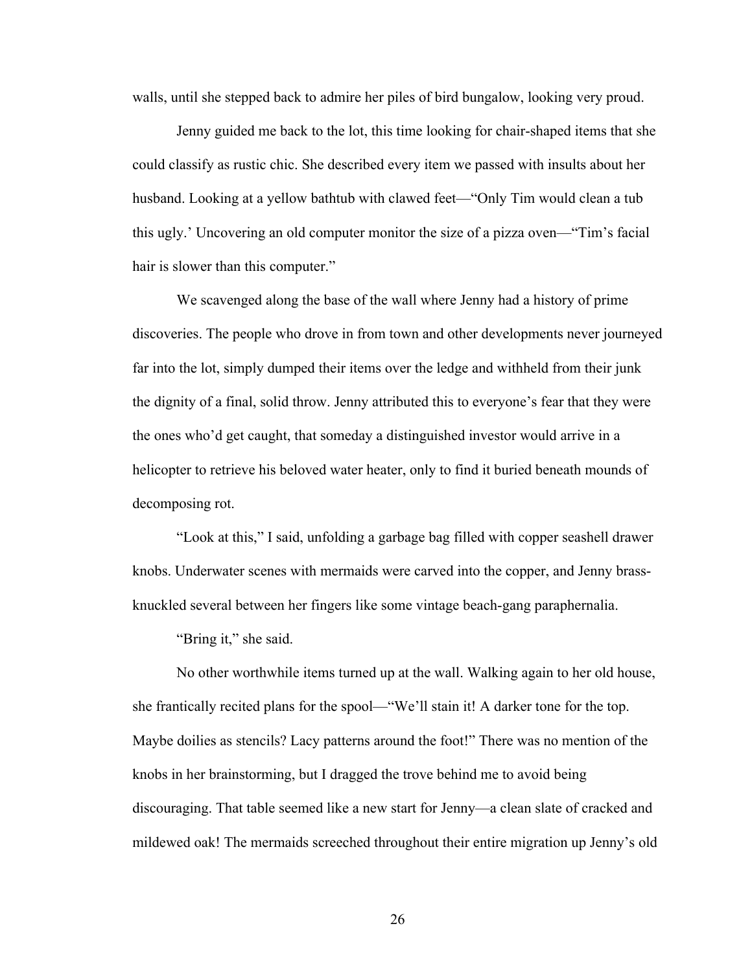walls, until she stepped back to admire her piles of bird bungalow, looking very proud.

Jenny guided me back to the lot, this time looking for chair-shaped items that she could classify as rustic chic. She described every item we passed with insults about her husband. Looking at a yellow bathtub with clawed feet—"Only Tim would clean a tub this ugly.' Uncovering an old computer monitor the size of a pizza oven—"Tim's facial hair is slower than this computer."

We scavenged along the base of the wall where Jenny had a history of prime discoveries. The people who drove in from town and other developments never journeyed far into the lot, simply dumped their items over the ledge and withheld from their junk the dignity of a final, solid throw. Jenny attributed this to everyone's fear that they were the ones who'd get caught, that someday a distinguished investor would arrive in a helicopter to retrieve his beloved water heater, only to find it buried beneath mounds of decomposing rot.

"Look at this," I said, unfolding a garbage bag filled with copper seashell drawer knobs. Underwater scenes with mermaids were carved into the copper, and Jenny brassknuckled several between her fingers like some vintage beach-gang paraphernalia.

"Bring it," she said.

No other worthwhile items turned up at the wall. Walking again to her old house, she frantically recited plans for the spool—"We'll stain it! A darker tone for the top. Maybe doilies as stencils? Lacy patterns around the foot!" There was no mention of the knobs in her brainstorming, but I dragged the trove behind me to avoid being discouraging. That table seemed like a new start for Jenny—a clean slate of cracked and mildewed oak! The mermaids screeched throughout their entire migration up Jenny's old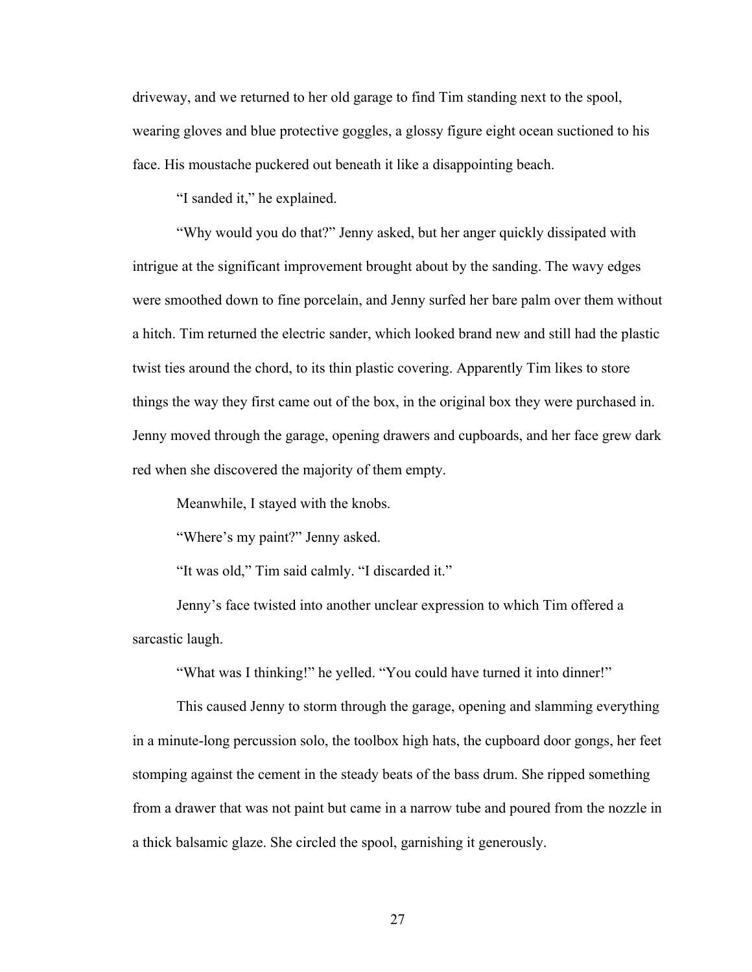driveway, and we returned to her old garage to find Tim standing next to the spool, wearing gloves and blue protective goggles, a glossy figure eight ocean suctioned to his face. His moustache puckered out beneath it like a disappointing beach.

"I sanded it," he explained.

"Why would you do that?" Jenny asked, but her anger quickly dissipated with intrigue at the significant improvement brought about by the sanding. The wavy edges were smoothed down to fine porcelain, and Jenny surfed her bare palm over them without a hitch. Tim returned the electric sander, which looked brand new and still had the plastic twist ties around the chord, to its thin plastic covering. Apparently Tim likes to store things the way they first came out of the box, in the original box they were purchased in. Jenny moved through the garage, opening drawers and cupboards, and her face grew dark red when she discovered the majority of them empty.

Meanwhile, I stayed with the knobs.

"Where's my paint?" Jenny asked.

"It was old," Tim said calmly. "I discarded it."

Jenny's face twisted into another unclear expression to which Tim offered a sarcastic laugh.

"What was I thinking!" he yelled. "You could have turned it into dinner!"

This caused Jenny to storm through the garage, opening and slamming everything in a minute-long percussion solo, the toolbox high hats, the cupboard door gongs, her feet stomping against the cement in the steady beats of the bass drum. She ripped something from a drawer that was not paint but came in a narrow tube and poured from the nozzle in a thick balsamic glaze. She circled the spool, garnishing it generously.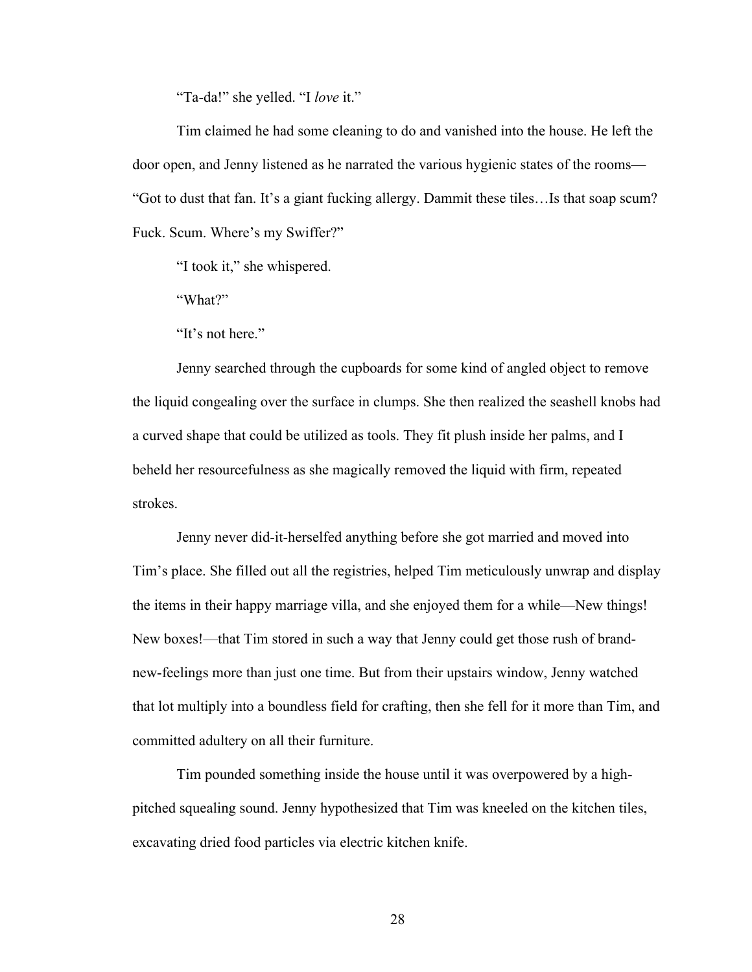"Ta-da!" she yelled. "I *love* it."

Tim claimed he had some cleaning to do and vanished into the house. He left the door open, and Jenny listened as he narrated the various hygienic states of the rooms— "Got to dust that fan. It's a giant fucking allergy. Dammit these tiles…Is that soap scum? Fuck. Scum. Where's my Swiffer?"

"I took it," she whispered.

"What?"

"It's not here."

Jenny searched through the cupboards for some kind of angled object to remove the liquid congealing over the surface in clumps. She then realized the seashell knobs had a curved shape that could be utilized as tools. They fit plush inside her palms, and I beheld her resourcefulness as she magically removed the liquid with firm, repeated strokes.

Jenny never did-it-herselfed anything before she got married and moved into Tim's place. She filled out all the registries, helped Tim meticulously unwrap and display the items in their happy marriage villa, and she enjoyed them for a while—New things! New boxes!—that Tim stored in such a way that Jenny could get those rush of brandnew-feelings more than just one time. But from their upstairs window, Jenny watched that lot multiply into a boundless field for crafting, then she fell for it more than Tim, and committed adultery on all their furniture.

Tim pounded something inside the house until it was overpowered by a highpitched squealing sound. Jenny hypothesized that Tim was kneeled on the kitchen tiles, excavating dried food particles via electric kitchen knife.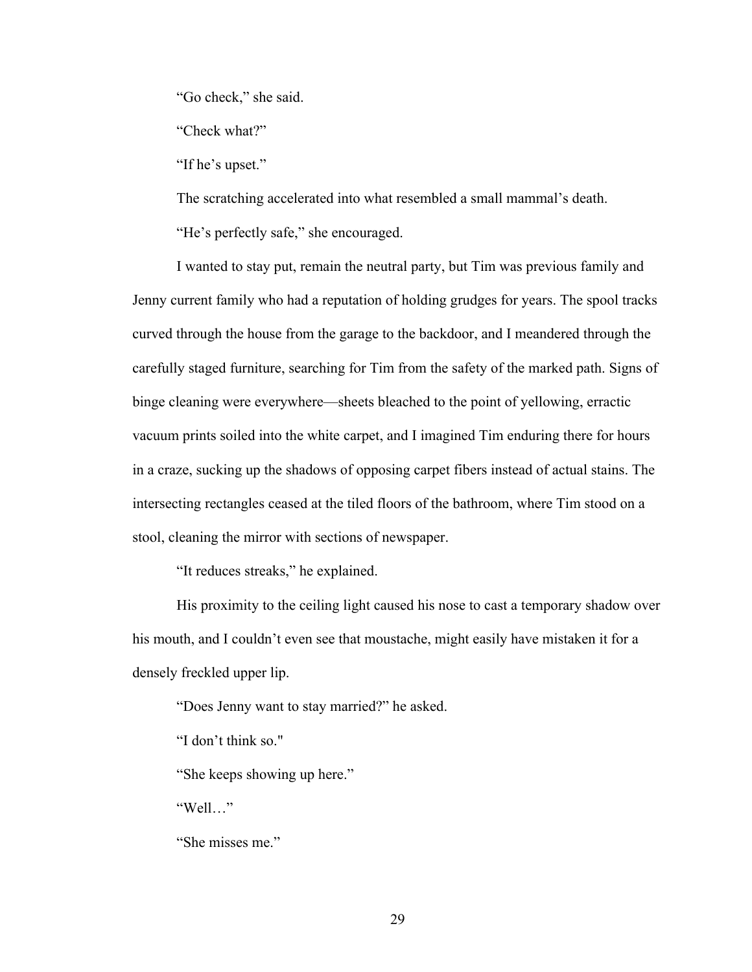"Go check," she said.

"Check what?"

"If he's upset."

The scratching accelerated into what resembled a small mammal's death.

"He's perfectly safe," she encouraged.

I wanted to stay put, remain the neutral party, but Tim was previous family and Jenny current family who had a reputation of holding grudges for years. The spool tracks curved through the house from the garage to the backdoor, and I meandered through the carefully staged furniture, searching for Tim from the safety of the marked path. Signs of binge cleaning were everywhere—sheets bleached to the point of yellowing, erractic vacuum prints soiled into the white carpet, and I imagined Tim enduring there for hours in a craze, sucking up the shadows of opposing carpet fibers instead of actual stains. The intersecting rectangles ceased at the tiled floors of the bathroom, where Tim stood on a stool, cleaning the mirror with sections of newspaper.

"It reduces streaks," he explained.

His proximity to the ceiling light caused his nose to cast a temporary shadow over his mouth, and I couldn't even see that moustache, might easily have mistaken it for a densely freckled upper lip.

"Does Jenny want to stay married?" he asked.

"I don't think so."

"She keeps showing up here."

"Well…"

"She misses me."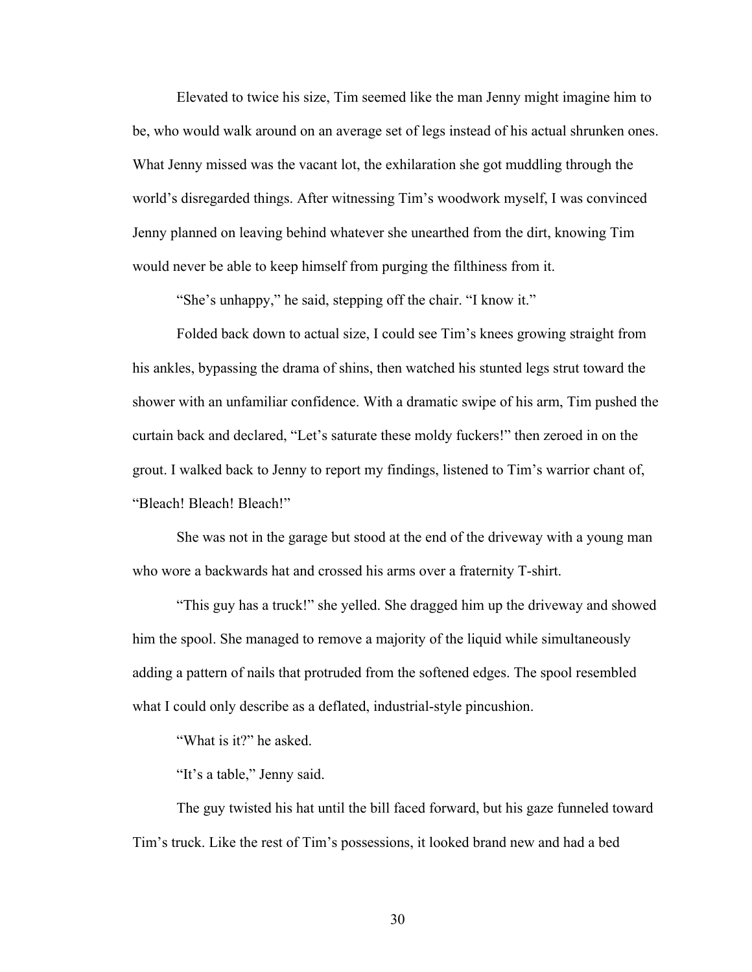Elevated to twice his size, Tim seemed like the man Jenny might imagine him to be, who would walk around on an average set of legs instead of his actual shrunken ones. What Jenny missed was the vacant lot, the exhilaration she got muddling through the world's disregarded things. After witnessing Tim's woodwork myself, I was convinced Jenny planned on leaving behind whatever she unearthed from the dirt, knowing Tim would never be able to keep himself from purging the filthiness from it.

"She's unhappy," he said, stepping off the chair. "I know it."

Folded back down to actual size, I could see Tim's knees growing straight from his ankles, bypassing the drama of shins, then watched his stunted legs strut toward the shower with an unfamiliar confidence. With a dramatic swipe of his arm, Tim pushed the curtain back and declared, "Let's saturate these moldy fuckers!" then zeroed in on the grout. I walked back to Jenny to report my findings, listened to Tim's warrior chant of, "Bleach! Bleach! Bleach!"

She was not in the garage but stood at the end of the driveway with a young man who wore a backwards hat and crossed his arms over a fraternity T-shirt.

"This guy has a truck!" she yelled. She dragged him up the driveway and showed him the spool. She managed to remove a majority of the liquid while simultaneously adding a pattern of nails that protruded from the softened edges. The spool resembled what I could only describe as a deflated, industrial-style pincushion.

"What is it?" he asked.

"It's a table," Jenny said.

The guy twisted his hat until the bill faced forward, but his gaze funneled toward Tim's truck. Like the rest of Tim's possessions, it looked brand new and had a bed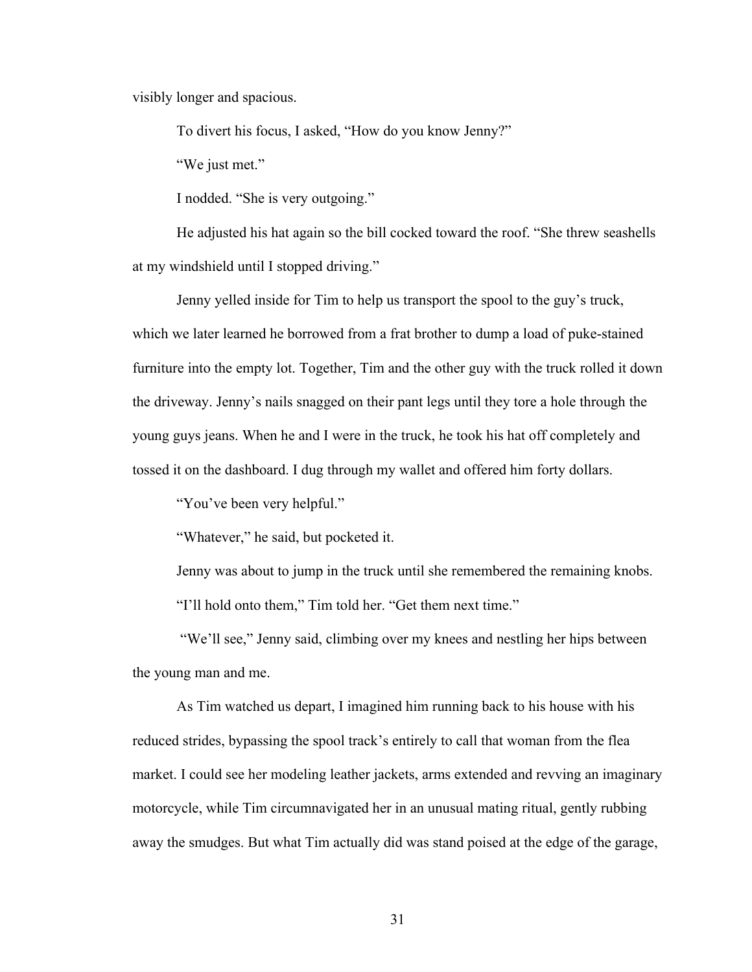visibly longer and spacious.

To divert his focus, I asked, "How do you know Jenny?"

"We just met."

I nodded. "She is very outgoing."

He adjusted his hat again so the bill cocked toward the roof. "She threw seashells at my windshield until I stopped driving."

Jenny yelled inside for Tim to help us transport the spool to the guy's truck, which we later learned he borrowed from a frat brother to dump a load of puke-stained furniture into the empty lot. Together, Tim and the other guy with the truck rolled it down the driveway. Jenny's nails snagged on their pant legs until they tore a hole through the young guys jeans. When he and I were in the truck, he took his hat off completely and tossed it on the dashboard. I dug through my wallet and offered him forty dollars.

"You've been very helpful."

"Whatever," he said, but pocketed it.

Jenny was about to jump in the truck until she remembered the remaining knobs. "I'll hold onto them," Tim told her. "Get them next time."

"We'll see," Jenny said, climbing over my knees and nestling her hips between the young man and me.

As Tim watched us depart, I imagined him running back to his house with his reduced strides, bypassing the spool track's entirely to call that woman from the flea market. I could see her modeling leather jackets, arms extended and revving an imaginary motorcycle, while Tim circumnavigated her in an unusual mating ritual, gently rubbing away the smudges. But what Tim actually did was stand poised at the edge of the garage,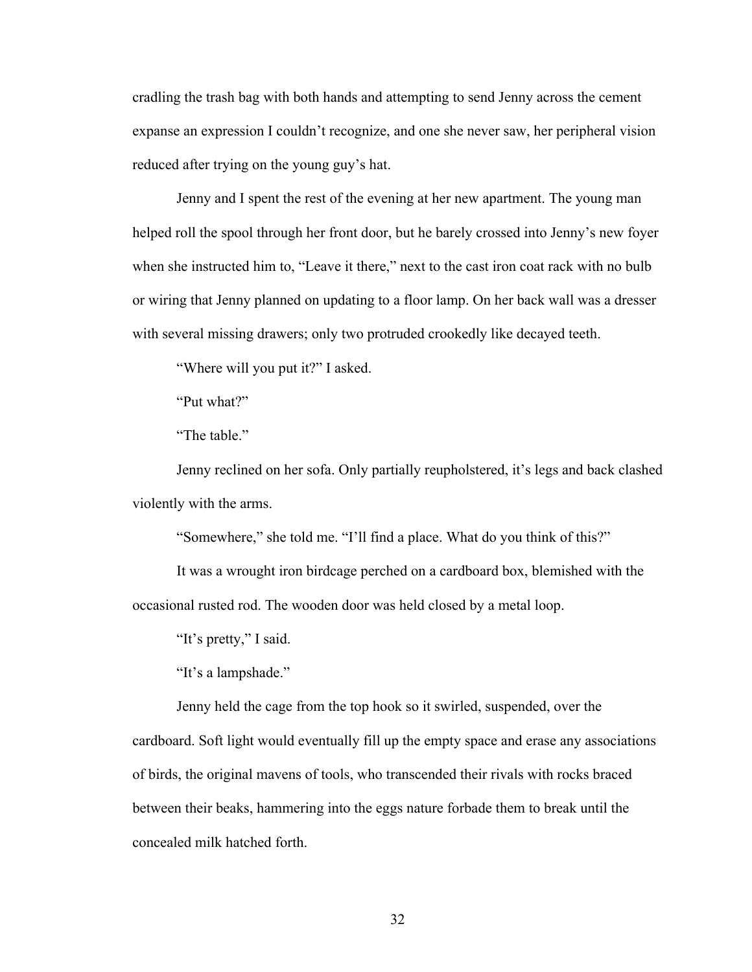cradling the trash bag with both hands and attempting to send Jenny across the cement expanse an expression I couldn't recognize, and one she never saw, her peripheral vision reduced after trying on the young guy's hat.

Jenny and I spent the rest of the evening at her new apartment. The young man helped roll the spool through her front door, but he barely crossed into Jenny's new foyer when she instructed him to, "Leave it there," next to the cast iron coat rack with no bulb or wiring that Jenny planned on updating to a floor lamp. On her back wall was a dresser with several missing drawers; only two protruded crookedly like decayed teeth.

"Where will you put it?" I asked.

"Put what?"

"The table."

Jenny reclined on her sofa. Only partially reupholstered, it's legs and back clashed violently with the arms.

"Somewhere," she told me. "I'll find a place. What do you think of this?"

It was a wrought iron birdcage perched on a cardboard box, blemished with the occasional rusted rod. The wooden door was held closed by a metal loop.

"It's pretty," I said.

"It's a lampshade."

Jenny held the cage from the top hook so it swirled, suspended, over the cardboard. Soft light would eventually fill up the empty space and erase any associations of birds, the original mavens of tools, who transcended their rivals with rocks braced between their beaks, hammering into the eggs nature forbade them to break until the concealed milk hatched forth.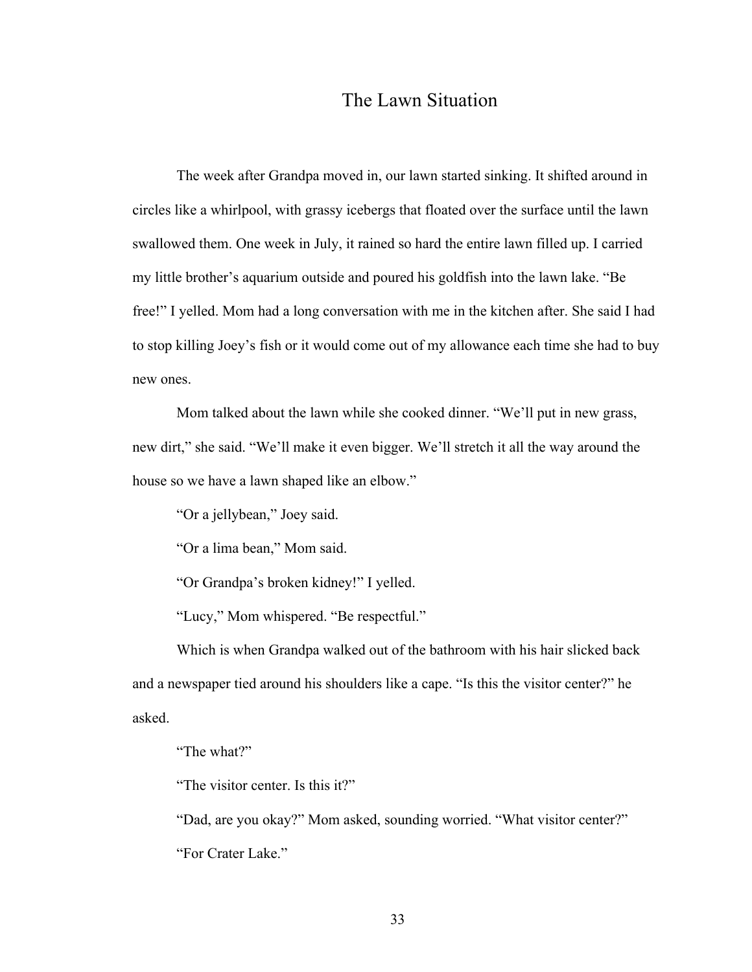## The Lawn Situation

The week after Grandpa moved in, our lawn started sinking. It shifted around in circles like a whirlpool, with grassy icebergs that floated over the surface until the lawn swallowed them. One week in July, it rained so hard the entire lawn filled up. I carried my little brother's aquarium outside and poured his goldfish into the lawn lake. "Be free!" I yelled. Mom had a long conversation with me in the kitchen after. She said I had to stop killing Joey's fish or it would come out of my allowance each time she had to buy new ones.

Mom talked about the lawn while she cooked dinner. "We'll put in new grass, new dirt," she said. "We'll make it even bigger. We'll stretch it all the way around the house so we have a lawn shaped like an elbow."

"Or a jellybean," Joey said.

"Or a lima bean," Mom said.

"Or Grandpa's broken kidney!" I yelled.

"Lucy," Mom whispered. "Be respectful."

Which is when Grandpa walked out of the bathroom with his hair slicked back and a newspaper tied around his shoulders like a cape. "Is this the visitor center?" he asked.

"The what?"

"The visitor center. Is this it?"

"Dad, are you okay?" Mom asked, sounding worried. "What visitor center?" "For Crater Lake."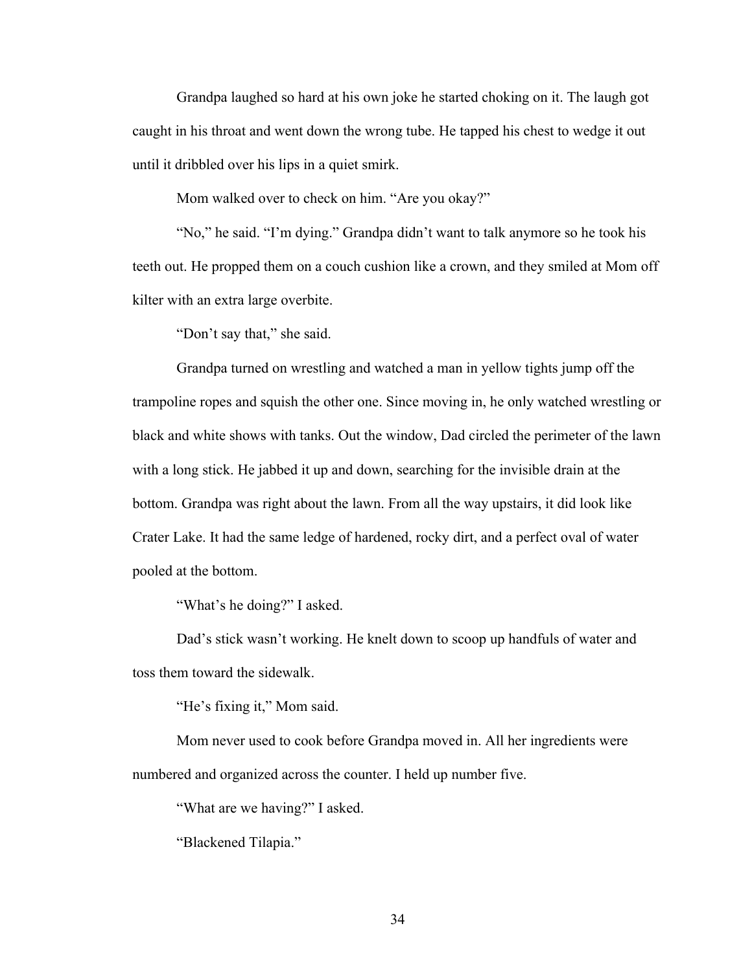Grandpa laughed so hard at his own joke he started choking on it. The laugh got caught in his throat and went down the wrong tube. He tapped his chest to wedge it out until it dribbled over his lips in a quiet smirk.

Mom walked over to check on him. "Are you okay?"

"No," he said. "I'm dying." Grandpa didn't want to talk anymore so he took his teeth out. He propped them on a couch cushion like a crown, and they smiled at Mom off kilter with an extra large overbite.

"Don't say that," she said.

Grandpa turned on wrestling and watched a man in yellow tights jump off the trampoline ropes and squish the other one. Since moving in, he only watched wrestling or black and white shows with tanks. Out the window, Dad circled the perimeter of the lawn with a long stick. He jabbed it up and down, searching for the invisible drain at the bottom. Grandpa was right about the lawn. From all the way upstairs, it did look like Crater Lake. It had the same ledge of hardened, rocky dirt, and a perfect oval of water pooled at the bottom.

"What's he doing?" I asked.

Dad's stick wasn't working. He knelt down to scoop up handfuls of water and toss them toward the sidewalk.

"He's fixing it," Mom said.

Mom never used to cook before Grandpa moved in. All her ingredients were numbered and organized across the counter. I held up number five.

"What are we having?" I asked.

"Blackened Tilapia."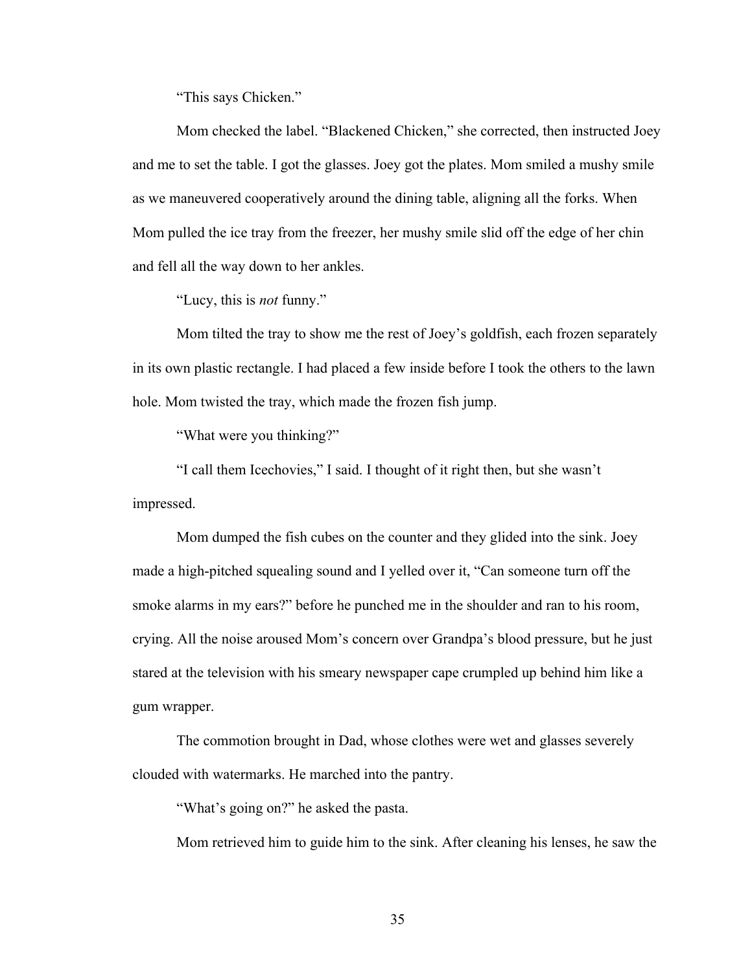"This says Chicken."

Mom checked the label. "Blackened Chicken," she corrected, then instructed Joey and me to set the table. I got the glasses. Joey got the plates. Mom smiled a mushy smile as we maneuvered cooperatively around the dining table, aligning all the forks. When Mom pulled the ice tray from the freezer, her mushy smile slid off the edge of her chin and fell all the way down to her ankles.

"Lucy, this is *not* funny."

Mom tilted the tray to show me the rest of Joey's goldfish, each frozen separately in its own plastic rectangle. I had placed a few inside before I took the others to the lawn hole. Mom twisted the tray, which made the frozen fish jump.

"What were you thinking?"

"I call them Icechovies," I said. I thought of it right then, but she wasn't impressed.

Mom dumped the fish cubes on the counter and they glided into the sink. Joey made a high-pitched squealing sound and I yelled over it, "Can someone turn off the smoke alarms in my ears?" before he punched me in the shoulder and ran to his room, crying. All the noise aroused Mom's concern over Grandpa's blood pressure, but he just stared at the television with his smeary newspaper cape crumpled up behind him like a gum wrapper.

The commotion brought in Dad, whose clothes were wet and glasses severely clouded with watermarks. He marched into the pantry.

"What's going on?" he asked the pasta.

Mom retrieved him to guide him to the sink. After cleaning his lenses, he saw the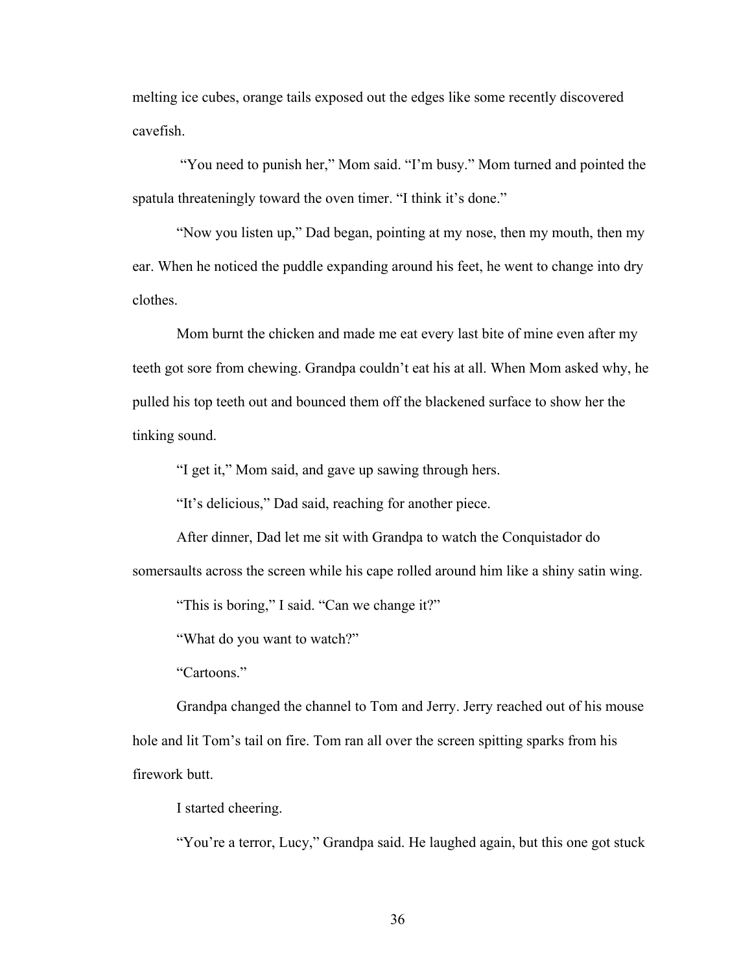melting ice cubes, orange tails exposed out the edges like some recently discovered cavefish.

"You need to punish her," Mom said. "I'm busy." Mom turned and pointed the spatula threateningly toward the oven timer. "I think it's done."

"Now you listen up," Dad began, pointing at my nose, then my mouth, then my ear. When he noticed the puddle expanding around his feet, he went to change into dry clothes.

Mom burnt the chicken and made me eat every last bite of mine even after my teeth got sore from chewing. Grandpa couldn't eat his at all. When Mom asked why, he pulled his top teeth out and bounced them off the blackened surface to show her the tinking sound.

"I get it," Mom said, and gave up sawing through hers.

"It's delicious," Dad said, reaching for another piece.

After dinner, Dad let me sit with Grandpa to watch the Conquistador do somersaults across the screen while his cape rolled around him like a shiny satin wing.

"This is boring," I said. "Can we change it?"

"What do you want to watch?"

"Cartoons."

Grandpa changed the channel to Tom and Jerry. Jerry reached out of his mouse hole and lit Tom's tail on fire. Tom ran all over the screen spitting sparks from his firework butt.

I started cheering.

"You're a terror, Lucy," Grandpa said. He laughed again, but this one got stuck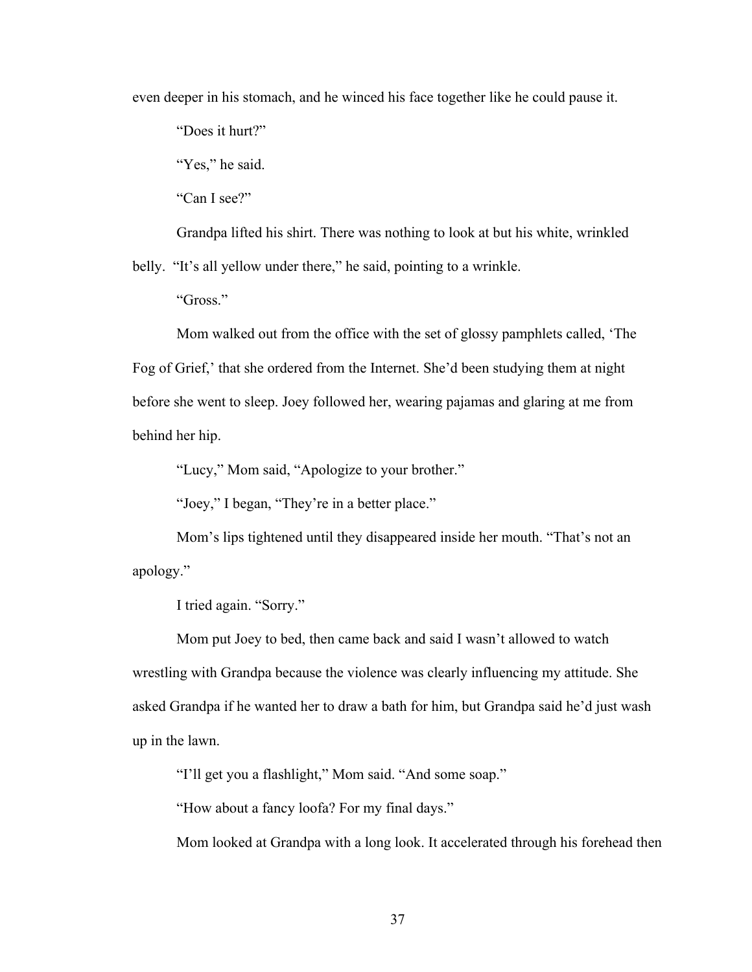even deeper in his stomach, and he winced his face together like he could pause it.

"Does it hurt?"

"Yes," he said.

"Can I see?"

Grandpa lifted his shirt. There was nothing to look at but his white, wrinkled belly. "It's all yellow under there," he said, pointing to a wrinkle.

"Gross."

Mom walked out from the office with the set of glossy pamphlets called, 'The Fog of Grief,' that she ordered from the Internet. She'd been studying them at night before she went to sleep. Joey followed her, wearing pajamas and glaring at me from behind her hip.

"Lucy," Mom said, "Apologize to your brother."

"Joey," I began, "They're in a better place."

Mom's lips tightened until they disappeared inside her mouth. "That's not an apology."

I tried again. "Sorry."

Mom put Joey to bed, then came back and said I wasn't allowed to watch wrestling with Grandpa because the violence was clearly influencing my attitude. She asked Grandpa if he wanted her to draw a bath for him, but Grandpa said he'd just wash up in the lawn.

"I'll get you a flashlight," Mom said. "And some soap."

"How about a fancy loofa? For my final days."

Mom looked at Grandpa with a long look. It accelerated through his forehead then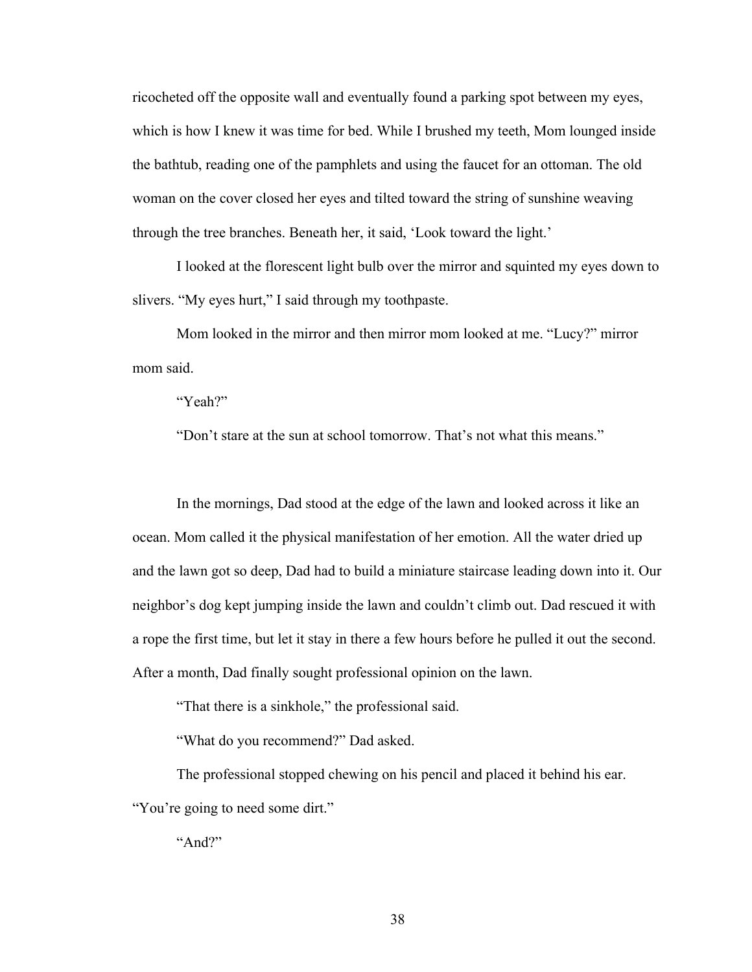ricocheted off the opposite wall and eventually found a parking spot between my eyes, which is how I knew it was time for bed. While I brushed my teeth, Mom lounged inside the bathtub, reading one of the pamphlets and using the faucet for an ottoman. The old woman on the cover closed her eyes and tilted toward the string of sunshine weaving through the tree branches. Beneath her, it said, 'Look toward the light.'

I looked at the florescent light bulb over the mirror and squinted my eyes down to slivers. "My eyes hurt," I said through my toothpaste.

Mom looked in the mirror and then mirror mom looked at me. "Lucy?" mirror mom said.

"Yeah?"

"Don't stare at the sun at school tomorrow. That's not what this means."

In the mornings, Dad stood at the edge of the lawn and looked across it like an ocean. Mom called it the physical manifestation of her emotion. All the water dried up and the lawn got so deep, Dad had to build a miniature staircase leading down into it. Our neighbor's dog kept jumping inside the lawn and couldn't climb out. Dad rescued it with a rope the first time, but let it stay in there a few hours before he pulled it out the second. After a month, Dad finally sought professional opinion on the lawn.

"That there is a sinkhole," the professional said.

"What do you recommend?" Dad asked.

The professional stopped chewing on his pencil and placed it behind his ear. "You're going to need some dirt."

"And?"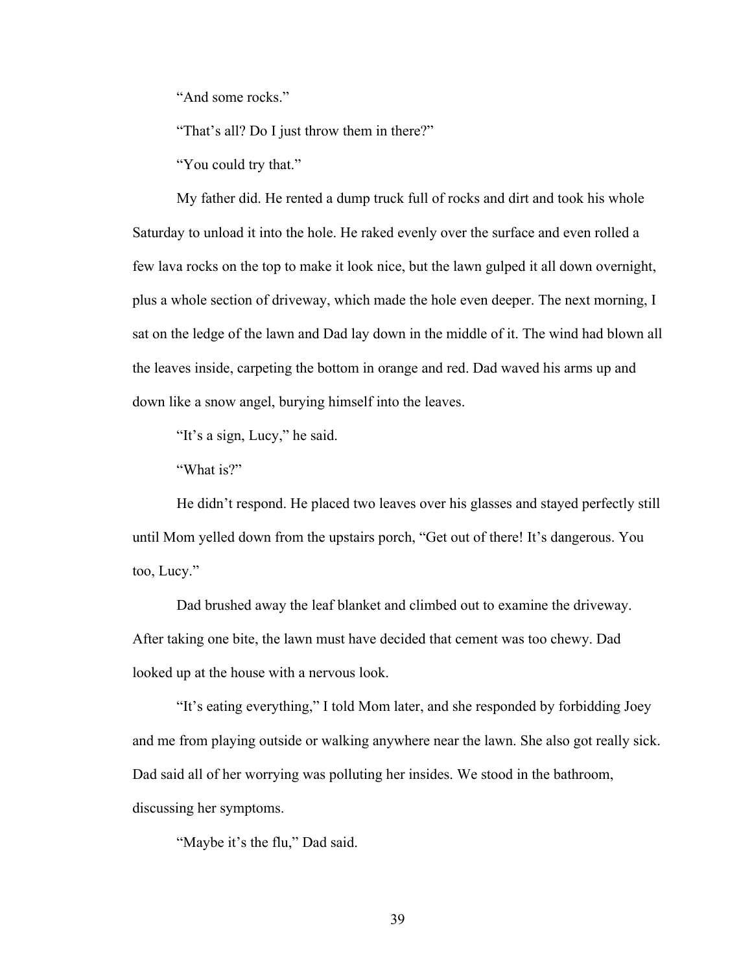"And some rocks."

"That's all? Do I just throw them in there?"

"You could try that."

My father did. He rented a dump truck full of rocks and dirt and took his whole Saturday to unload it into the hole. He raked evenly over the surface and even rolled a few lava rocks on the top to make it look nice, but the lawn gulped it all down overnight, plus a whole section of driveway, which made the hole even deeper. The next morning, I sat on the ledge of the lawn and Dad lay down in the middle of it. The wind had blown all the leaves inside, carpeting the bottom in orange and red. Dad waved his arms up and down like a snow angel, burying himself into the leaves.

"It's a sign, Lucy," he said.

"What is?"

He didn't respond. He placed two leaves over his glasses and stayed perfectly still until Mom yelled down from the upstairs porch, "Get out of there! It's dangerous. You too, Lucy."

Dad brushed away the leaf blanket and climbed out to examine the driveway. After taking one bite, the lawn must have decided that cement was too chewy. Dad looked up at the house with a nervous look.

"It's eating everything," I told Mom later, and she responded by forbidding Joey and me from playing outside or walking anywhere near the lawn. She also got really sick. Dad said all of her worrying was polluting her insides. We stood in the bathroom, discussing her symptoms.

"Maybe it's the flu," Dad said.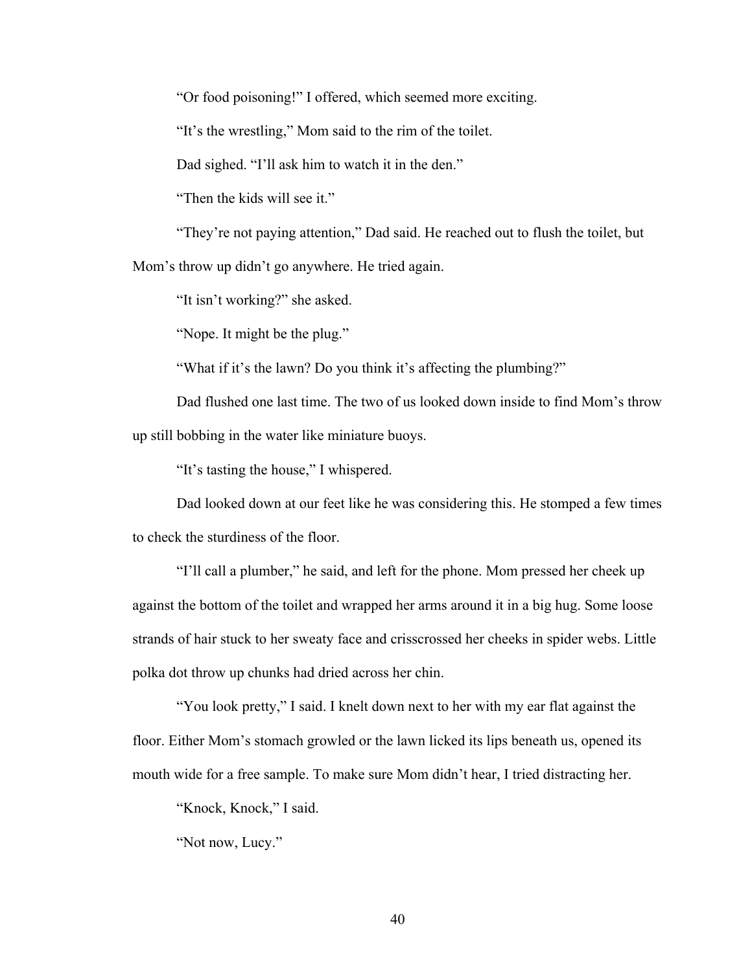"Or food poisoning!" I offered, which seemed more exciting.

"It's the wrestling," Mom said to the rim of the toilet.

Dad sighed. "I'll ask him to watch it in the den."

"Then the kids will see it."

"They're not paying attention," Dad said. He reached out to flush the toilet, but Mom's throw up didn't go anywhere. He tried again.

"It isn't working?" she asked.

"Nope. It might be the plug."

"What if it's the lawn? Do you think it's affecting the plumbing?"

Dad flushed one last time. The two of us looked down inside to find Mom's throw up still bobbing in the water like miniature buoys.

"It's tasting the house," I whispered.

Dad looked down at our feet like he was considering this. He stomped a few times to check the sturdiness of the floor.

"I'll call a plumber," he said, and left for the phone. Mom pressed her cheek up against the bottom of the toilet and wrapped her arms around it in a big hug. Some loose strands of hair stuck to her sweaty face and crisscrossed her cheeks in spider webs. Little polka dot throw up chunks had dried across her chin.

"You look pretty," I said. I knelt down next to her with my ear flat against the floor. Either Mom's stomach growled or the lawn licked its lips beneath us, opened its mouth wide for a free sample. To make sure Mom didn't hear, I tried distracting her.

"Knock, Knock," I said.

"Not now, Lucy."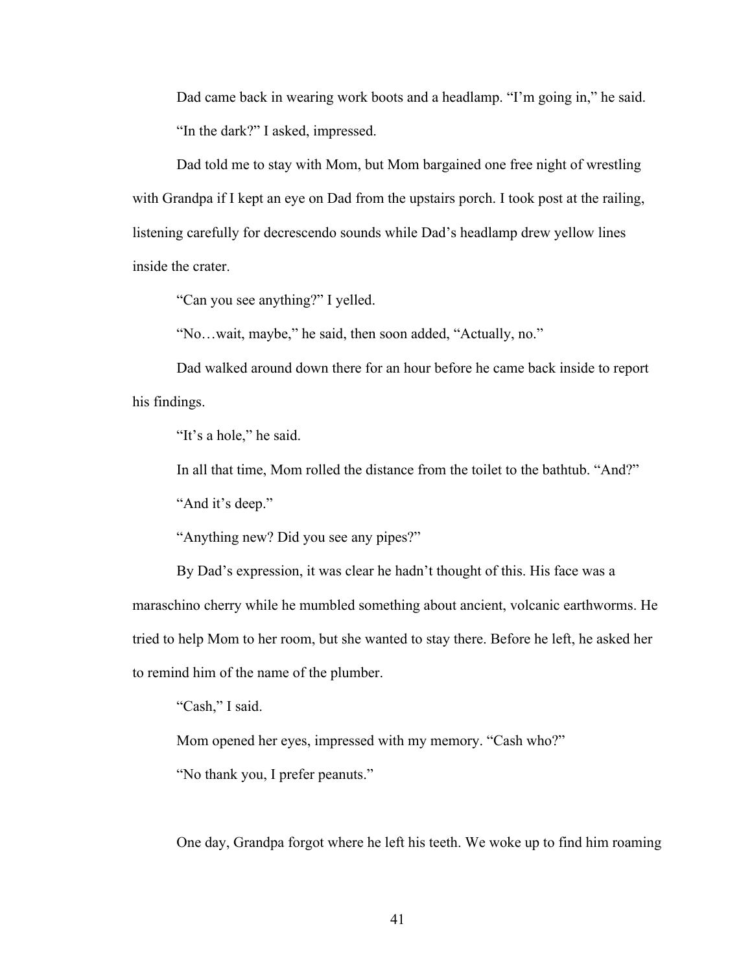Dad came back in wearing work boots and a headlamp. "I'm going in," he said. "In the dark?" I asked, impressed.

Dad told me to stay with Mom, but Mom bargained one free night of wrestling with Grandpa if I kept an eye on Dad from the upstairs porch. I took post at the railing, listening carefully for decrescendo sounds while Dad's headlamp drew yellow lines inside the crater.

"Can you see anything?" I yelled.

"No…wait, maybe," he said, then soon added, "Actually, no."

Dad walked around down there for an hour before he came back inside to report his findings.

"It's a hole," he said.

In all that time, Mom rolled the distance from the toilet to the bathtub. "And?"

"And it's deep."

"Anything new? Did you see any pipes?"

By Dad's expression, it was clear he hadn't thought of this. His face was a maraschino cherry while he mumbled something about ancient, volcanic earthworms. He tried to help Mom to her room, but she wanted to stay there. Before he left, he asked her to remind him of the name of the plumber.

"Cash," I said.

Mom opened her eyes, impressed with my memory. "Cash who?"

"No thank you, I prefer peanuts."

One day, Grandpa forgot where he left his teeth. We woke up to find him roaming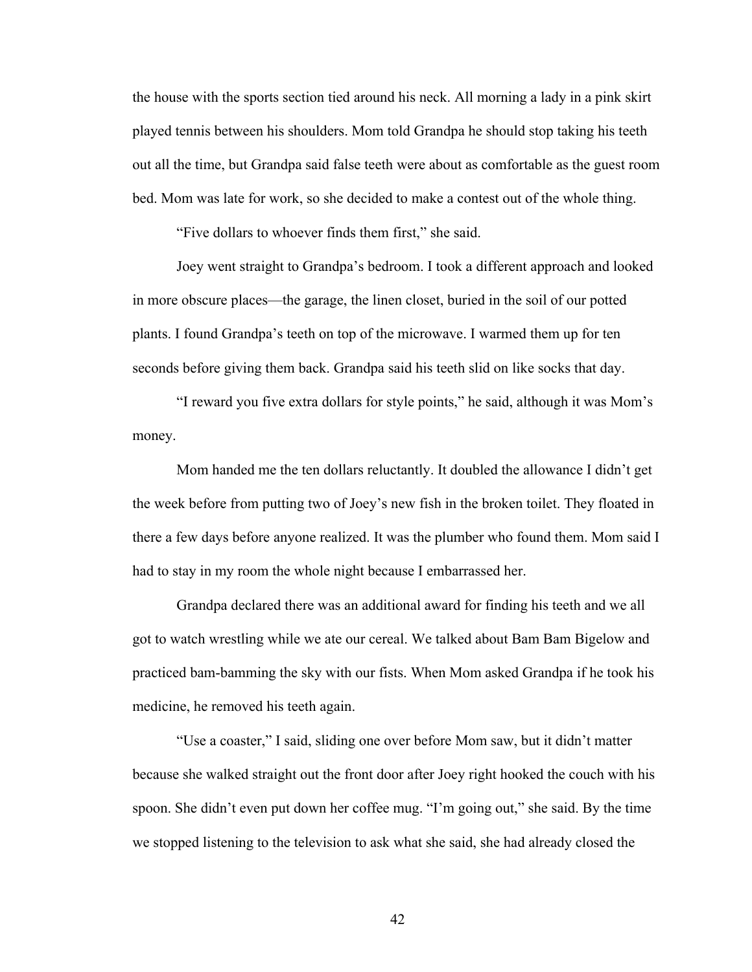the house with the sports section tied around his neck. All morning a lady in a pink skirt played tennis between his shoulders. Mom told Grandpa he should stop taking his teeth out all the time, but Grandpa said false teeth were about as comfortable as the guest room bed. Mom was late for work, so she decided to make a contest out of the whole thing.

"Five dollars to whoever finds them first," she said.

Joey went straight to Grandpa's bedroom. I took a different approach and looked in more obscure places—the garage, the linen closet, buried in the soil of our potted plants. I found Grandpa's teeth on top of the microwave. I warmed them up for ten seconds before giving them back. Grandpa said his teeth slid on like socks that day.

"I reward you five extra dollars for style points," he said, although it was Mom's money.

Mom handed me the ten dollars reluctantly. It doubled the allowance I didn't get the week before from putting two of Joey's new fish in the broken toilet. They floated in there a few days before anyone realized. It was the plumber who found them. Mom said I had to stay in my room the whole night because I embarrassed her.

Grandpa declared there was an additional award for finding his teeth and we all got to watch wrestling while we ate our cereal. We talked about Bam Bam Bigelow and practiced bam-bamming the sky with our fists. When Mom asked Grandpa if he took his medicine, he removed his teeth again.

"Use a coaster," I said, sliding one over before Mom saw, but it didn't matter because she walked straight out the front door after Joey right hooked the couch with his spoon. She didn't even put down her coffee mug. "I'm going out," she said. By the time we stopped listening to the television to ask what she said, she had already closed the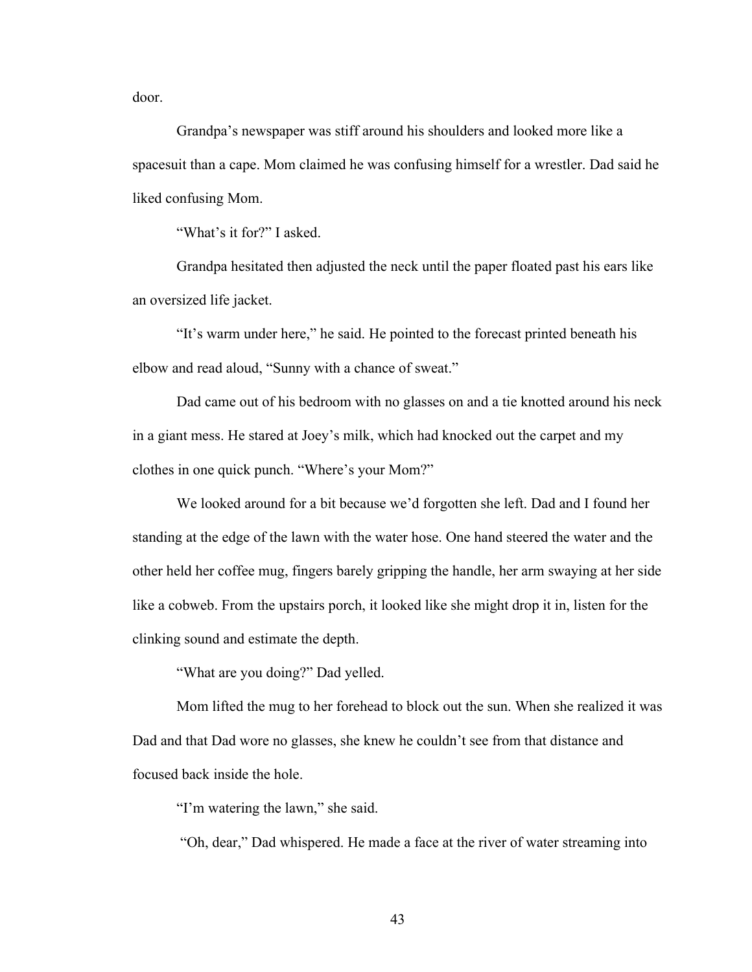door.

Grandpa's newspaper was stiff around his shoulders and looked more like a spacesuit than a cape. Mom claimed he was confusing himself for a wrestler. Dad said he liked confusing Mom.

"What's it for?" I asked.

Grandpa hesitated then adjusted the neck until the paper floated past his ears like an oversized life jacket.

"It's warm under here," he said. He pointed to the forecast printed beneath his elbow and read aloud, "Sunny with a chance of sweat."

Dad came out of his bedroom with no glasses on and a tie knotted around his neck in a giant mess. He stared at Joey's milk, which had knocked out the carpet and my clothes in one quick punch. "Where's your Mom?"

We looked around for a bit because we'd forgotten she left. Dad and I found her standing at the edge of the lawn with the water hose. One hand steered the water and the other held her coffee mug, fingers barely gripping the handle, her arm swaying at her side like a cobweb. From the upstairs porch, it looked like she might drop it in, listen for the clinking sound and estimate the depth.

"What are you doing?" Dad yelled.

Mom lifted the mug to her forehead to block out the sun. When she realized it was Dad and that Dad wore no glasses, she knew he couldn't see from that distance and focused back inside the hole.

"I'm watering the lawn," she said.

"Oh, dear," Dad whispered. He made a face at the river of water streaming into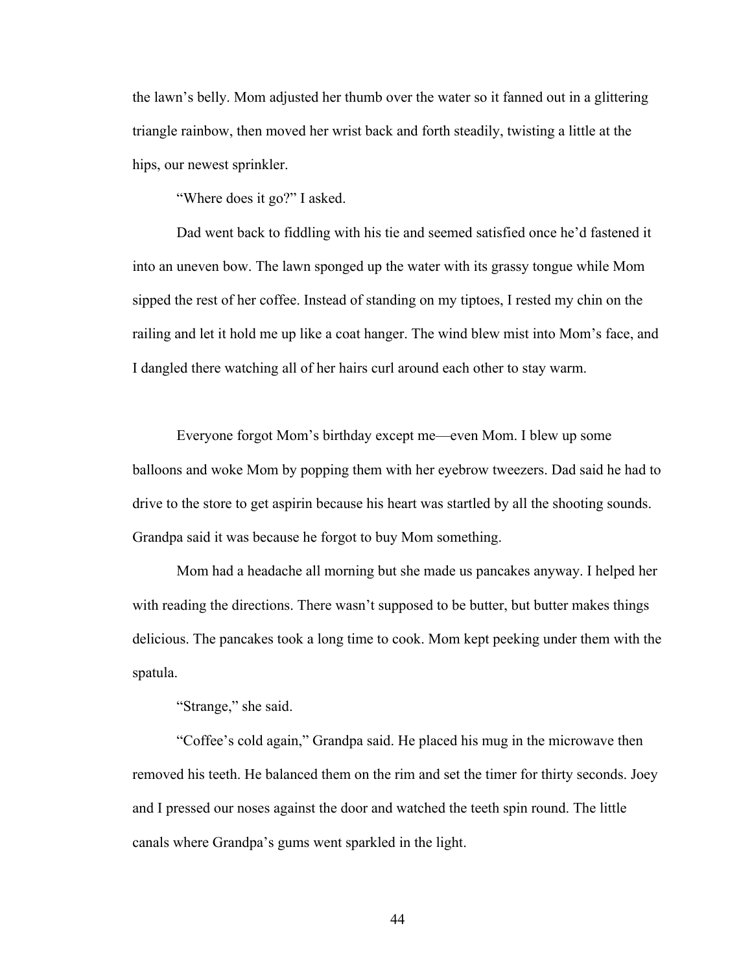the lawn's belly. Mom adjusted her thumb over the water so it fanned out in a glittering triangle rainbow, then moved her wrist back and forth steadily, twisting a little at the hips, our newest sprinkler.

"Where does it go?" I asked.

Dad went back to fiddling with his tie and seemed satisfied once he'd fastened it into an uneven bow. The lawn sponged up the water with its grassy tongue while Mom sipped the rest of her coffee. Instead of standing on my tiptoes, I rested my chin on the railing and let it hold me up like a coat hanger. The wind blew mist into Mom's face, and I dangled there watching all of her hairs curl around each other to stay warm.

Everyone forgot Mom's birthday except me—even Mom. I blew up some balloons and woke Mom by popping them with her eyebrow tweezers. Dad said he had to drive to the store to get aspirin because his heart was startled by all the shooting sounds. Grandpa said it was because he forgot to buy Mom something.

Mom had a headache all morning but she made us pancakes anyway. I helped her with reading the directions. There wasn't supposed to be butter, but butter makes things delicious. The pancakes took a long time to cook. Mom kept peeking under them with the spatula.

"Strange," she said.

"Coffee's cold again," Grandpa said. He placed his mug in the microwave then removed his teeth. He balanced them on the rim and set the timer for thirty seconds. Joey and I pressed our noses against the door and watched the teeth spin round. The little canals where Grandpa's gums went sparkled in the light.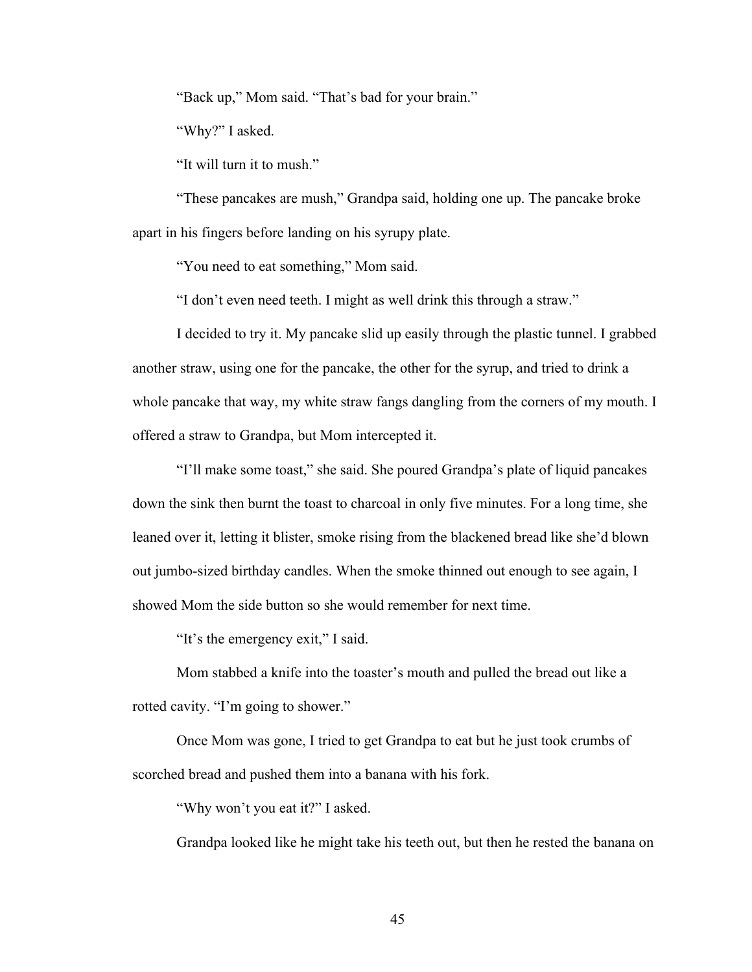"Back up," Mom said. "That's bad for your brain."

"Why?" I asked.

"It will turn it to mush."

"These pancakes are mush," Grandpa said, holding one up. The pancake broke apart in his fingers before landing on his syrupy plate.

"You need to eat something," Mom said.

"I don't even need teeth. I might as well drink this through a straw."

I decided to try it. My pancake slid up easily through the plastic tunnel. I grabbed another straw, using one for the pancake, the other for the syrup, and tried to drink a whole pancake that way, my white straw fangs dangling from the corners of my mouth. I offered a straw to Grandpa, but Mom intercepted it.

"I'll make some toast," she said. She poured Grandpa's plate of liquid pancakes down the sink then burnt the toast to charcoal in only five minutes. For a long time, she leaned over it, letting it blister, smoke rising from the blackened bread like she'd blown out jumbo-sized birthday candles. When the smoke thinned out enough to see again, I showed Mom the side button so she would remember for next time.

"It's the emergency exit," I said.

Mom stabbed a knife into the toaster's mouth and pulled the bread out like a rotted cavity. "I'm going to shower."

Once Mom was gone, I tried to get Grandpa to eat but he just took crumbs of scorched bread and pushed them into a banana with his fork.

"Why won't you eat it?" I asked.

Grandpa looked like he might take his teeth out, but then he rested the banana on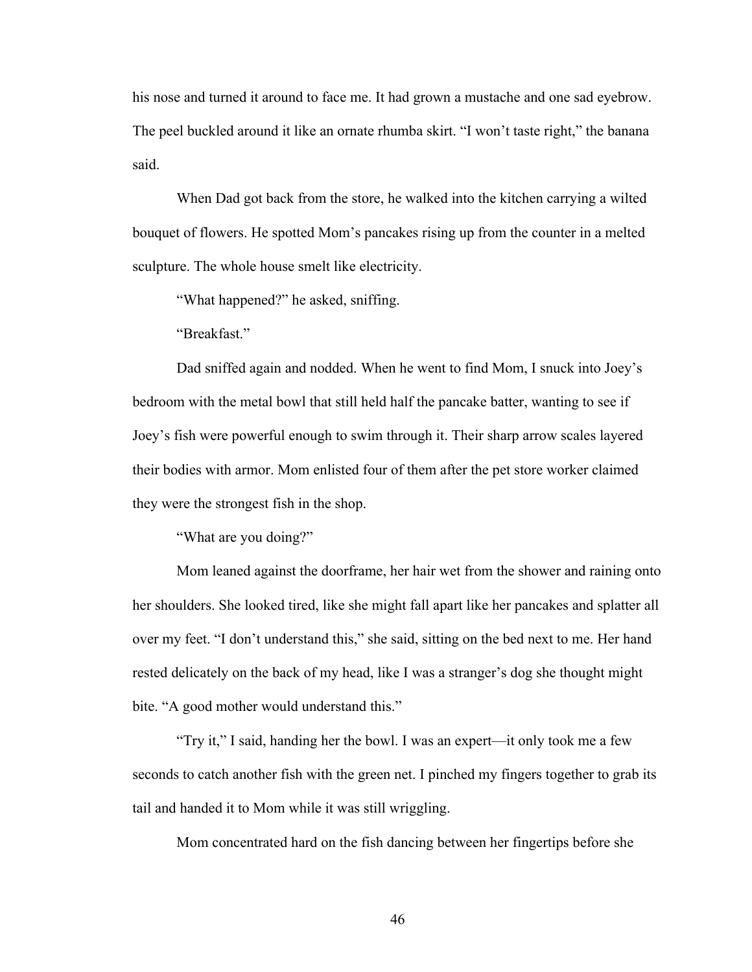his nose and turned it around to face me. It had grown a mustache and one sad eyebrow. The peel buckled around it like an ornate rhumba skirt. "I won't taste right," the banana said.

When Dad got back from the store, he walked into the kitchen carrying a wilted bouquet of flowers. He spotted Mom's pancakes rising up from the counter in a melted sculpture. The whole house smelt like electricity.

"What happened?" he asked, sniffing.

"Breakfast."

Dad sniffed again and nodded. When he went to find Mom, I snuck into Joey's bedroom with the metal bowl that still held half the pancake batter, wanting to see if Joey's fish were powerful enough to swim through it. Their sharp arrow scales layered their bodies with armor. Mom enlisted four of them after the pet store worker claimed they were the strongest fish in the shop.

"What are you doing?"

Mom leaned against the doorframe, her hair wet from the shower and raining onto her shoulders. She looked tired, like she might fall apart like her pancakes and splatter all over my feet. "I don't understand this," she said, sitting on the bed next to me. Her hand rested delicately on the back of my head, like I was a stranger's dog she thought might bite. "A good mother would understand this."

"Try it," I said, handing her the bowl. I was an expert—it only took me a few seconds to catch another fish with the green net. I pinched my fingers together to grab its tail and handed it to Mom while it was still wriggling.

Mom concentrated hard on the fish dancing between her fingertips before she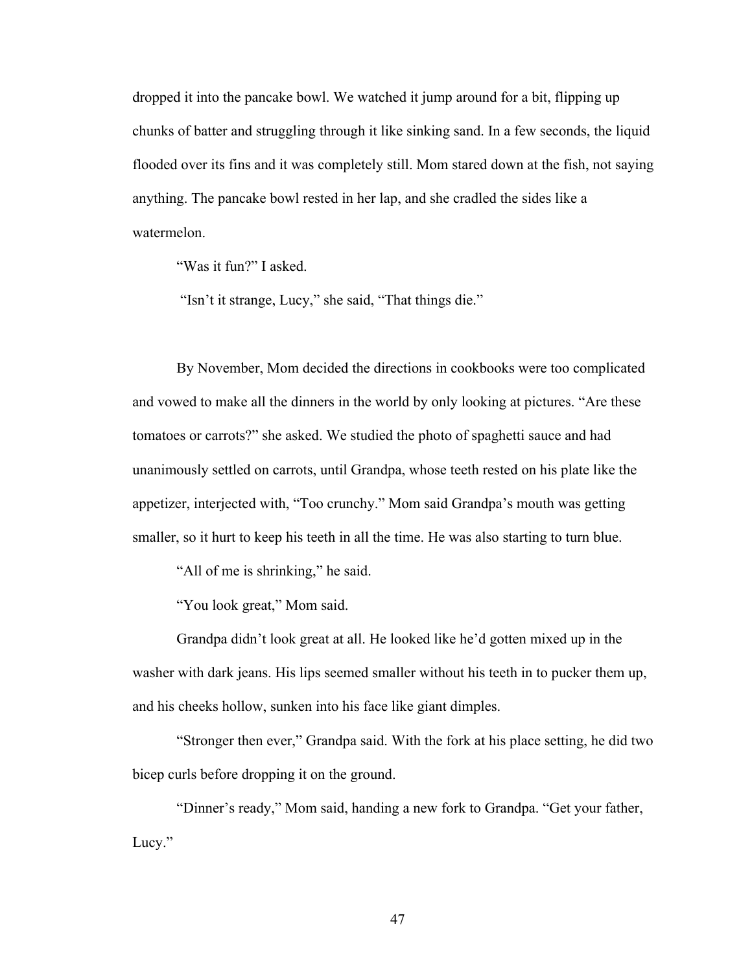dropped it into the pancake bowl. We watched it jump around for a bit, flipping up chunks of batter and struggling through it like sinking sand. In a few seconds, the liquid flooded over its fins and it was completely still. Mom stared down at the fish, not saying anything. The pancake bowl rested in her lap, and she cradled the sides like a watermelon.

"Was it fun?" I asked.

"Isn't it strange, Lucy," she said, "That things die."

By November, Mom decided the directions in cookbooks were too complicated and vowed to make all the dinners in the world by only looking at pictures. "Are these tomatoes or carrots?" she asked. We studied the photo of spaghetti sauce and had unanimously settled on carrots, until Grandpa, whose teeth rested on his plate like the appetizer, interjected with, "Too crunchy." Mom said Grandpa's mouth was getting smaller, so it hurt to keep his teeth in all the time. He was also starting to turn blue.

"All of me is shrinking," he said.

"You look great," Mom said.

Grandpa didn't look great at all. He looked like he'd gotten mixed up in the washer with dark jeans. His lips seemed smaller without his teeth in to pucker them up, and his cheeks hollow, sunken into his face like giant dimples.

"Stronger then ever," Grandpa said. With the fork at his place setting, he did two bicep curls before dropping it on the ground.

"Dinner's ready," Mom said, handing a new fork to Grandpa. "Get your father, Lucy."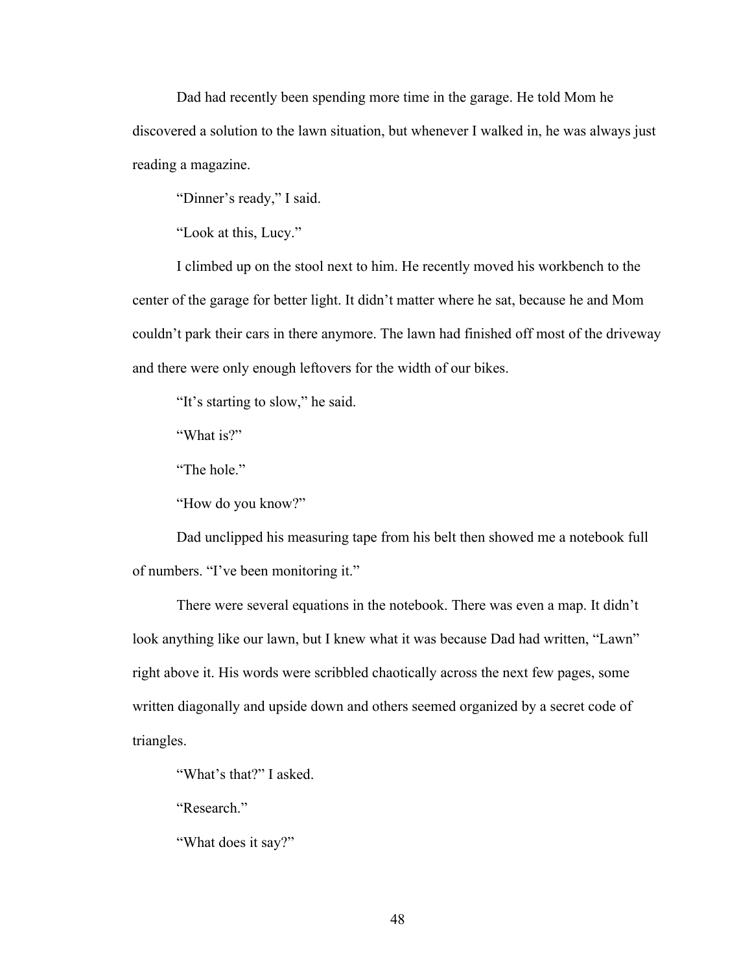Dad had recently been spending more time in the garage. He told Mom he discovered a solution to the lawn situation, but whenever I walked in, he was always just reading a magazine.

"Dinner's ready," I said.

"Look at this, Lucy."

I climbed up on the stool next to him. He recently moved his workbench to the center of the garage for better light. It didn't matter where he sat, because he and Mom couldn't park their cars in there anymore. The lawn had finished off most of the driveway and there were only enough leftovers for the width of our bikes.

"It's starting to slow," he said.

"What is?"

"The hole."

"How do you know?"

Dad unclipped his measuring tape from his belt then showed me a notebook full of numbers. "I've been monitoring it."

There were several equations in the notebook. There was even a map. It didn't look anything like our lawn, but I knew what it was because Dad had written, "Lawn" right above it. His words were scribbled chaotically across the next few pages, some written diagonally and upside down and others seemed organized by a secret code of triangles.

"What's that?" I asked.

"Research."

"What does it say?"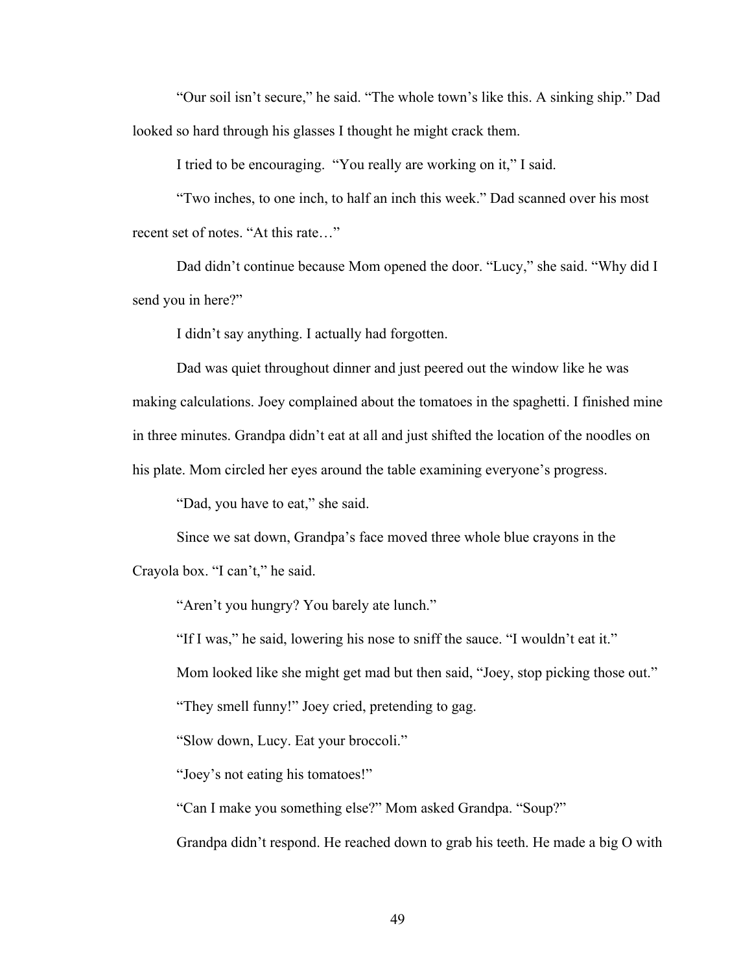"Our soil isn't secure," he said. "The whole town's like this. A sinking ship." Dad looked so hard through his glasses I thought he might crack them.

I tried to be encouraging. "You really are working on it," I said.

"Two inches, to one inch, to half an inch this week." Dad scanned over his most recent set of notes. "At this rate…"

Dad didn't continue because Mom opened the door. "Lucy," she said. "Why did I send you in here?"

I didn't say anything. I actually had forgotten.

Dad was quiet throughout dinner and just peered out the window like he was making calculations. Joey complained about the tomatoes in the spaghetti. I finished mine in three minutes. Grandpa didn't eat at all and just shifted the location of the noodles on his plate. Mom circled her eyes around the table examining everyone's progress.

"Dad, you have to eat," she said.

Since we sat down, Grandpa's face moved three whole blue crayons in the Crayola box. "I can't," he said.

"Aren't you hungry? You barely ate lunch."

"If I was," he said, lowering his nose to sniff the sauce. "I wouldn't eat it."

Mom looked like she might get mad but then said, "Joey, stop picking those out."

"They smell funny!" Joey cried, pretending to gag.

"Slow down, Lucy. Eat your broccoli."

"Joey's not eating his tomatoes!"

"Can I make you something else?" Mom asked Grandpa. "Soup?"

Grandpa didn't respond. He reached down to grab his teeth. He made a big O with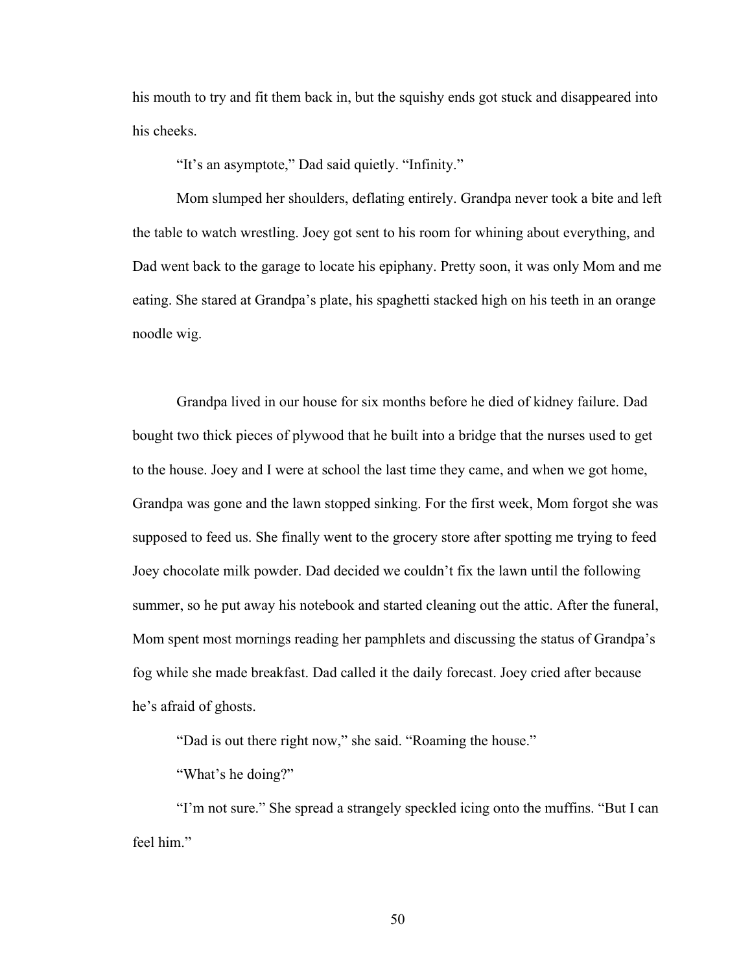his mouth to try and fit them back in, but the squishy ends got stuck and disappeared into his cheeks.

"It's an asymptote," Dad said quietly. "Infinity."

Mom slumped her shoulders, deflating entirely. Grandpa never took a bite and left the table to watch wrestling. Joey got sent to his room for whining about everything, and Dad went back to the garage to locate his epiphany. Pretty soon, it was only Mom and me eating. She stared at Grandpa's plate, his spaghetti stacked high on his teeth in an orange noodle wig.

Grandpa lived in our house for six months before he died of kidney failure. Dad bought two thick pieces of plywood that he built into a bridge that the nurses used to get to the house. Joey and I were at school the last time they came, and when we got home, Grandpa was gone and the lawn stopped sinking. For the first week, Mom forgot she was supposed to feed us. She finally went to the grocery store after spotting me trying to feed Joey chocolate milk powder. Dad decided we couldn't fix the lawn until the following summer, so he put away his notebook and started cleaning out the attic. After the funeral, Mom spent most mornings reading her pamphlets and discussing the status of Grandpa's fog while she made breakfast. Dad called it the daily forecast. Joey cried after because he's afraid of ghosts.

"Dad is out there right now," she said. "Roaming the house."

"What's he doing?"

"I'm not sure." She spread a strangely speckled icing onto the muffins. "But I can feel him."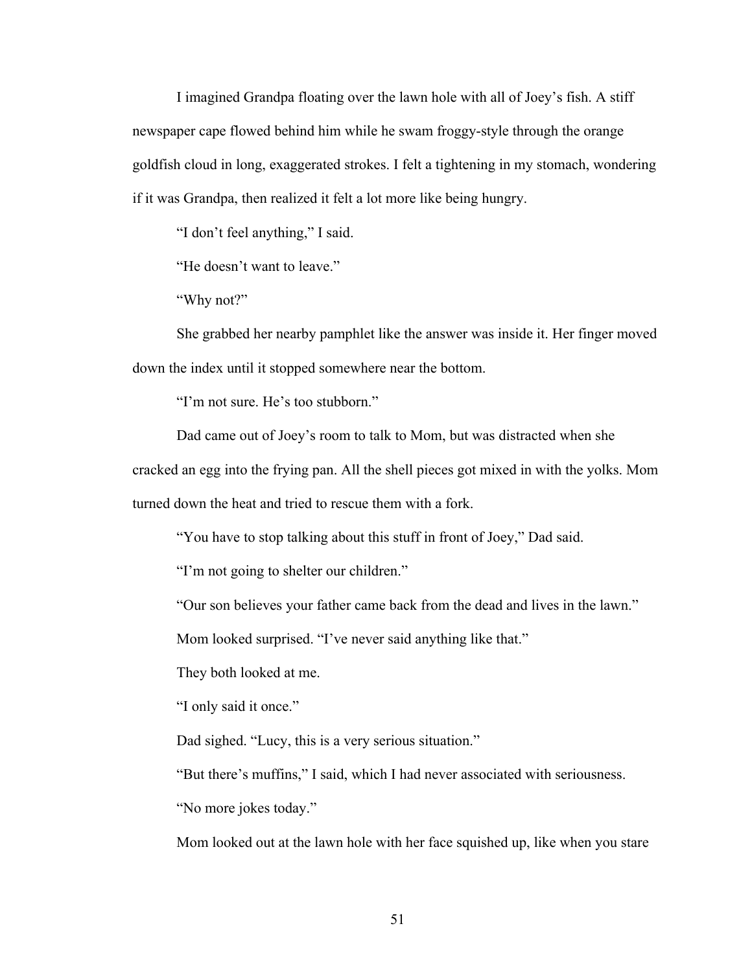I imagined Grandpa floating over the lawn hole with all of Joey's fish. A stiff newspaper cape flowed behind him while he swam froggy-style through the orange goldfish cloud in long, exaggerated strokes. I felt a tightening in my stomach, wondering if it was Grandpa, then realized it felt a lot more like being hungry.

"I don't feel anything," I said.

"He doesn't want to leave."

"Why not?"

She grabbed her nearby pamphlet like the answer was inside it. Her finger moved down the index until it stopped somewhere near the bottom.

"I'm not sure. He's too stubborn."

Dad came out of Joey's room to talk to Mom, but was distracted when she cracked an egg into the frying pan. All the shell pieces got mixed in with the yolks. Mom turned down the heat and tried to rescue them with a fork.

"You have to stop talking about this stuff in front of Joey," Dad said.

"I'm not going to shelter our children."

"Our son believes your father came back from the dead and lives in the lawn."

Mom looked surprised. "I've never said anything like that."

They both looked at me.

"I only said it once."

Dad sighed. "Lucy, this is a very serious situation."

"But there's muffins," I said, which I had never associated with seriousness.

"No more jokes today."

Mom looked out at the lawn hole with her face squished up, like when you stare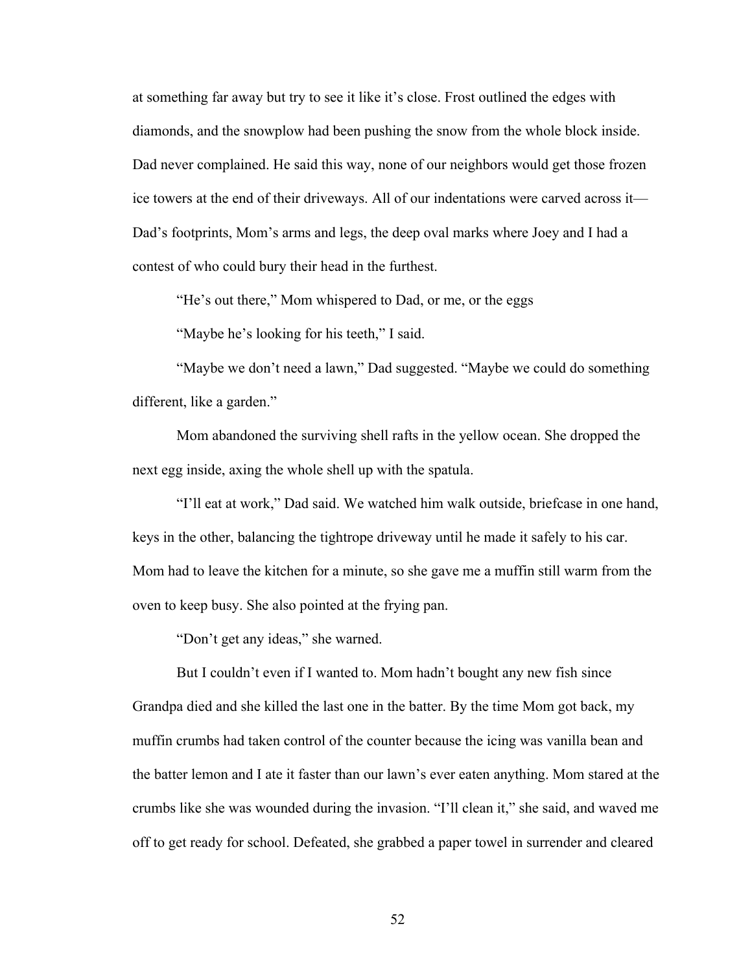at something far away but try to see it like it's close. Frost outlined the edges with diamonds, and the snowplow had been pushing the snow from the whole block inside. Dad never complained. He said this way, none of our neighbors would get those frozen ice towers at the end of their driveways. All of our indentations were carved across it— Dad's footprints, Mom's arms and legs, the deep oval marks where Joey and I had a contest of who could bury their head in the furthest.

"He's out there," Mom whispered to Dad, or me, or the eggs

"Maybe he's looking for his teeth," I said.

"Maybe we don't need a lawn," Dad suggested. "Maybe we could do something different, like a garden."

Mom abandoned the surviving shell rafts in the yellow ocean. She dropped the next egg inside, axing the whole shell up with the spatula.

"I'll eat at work," Dad said. We watched him walk outside, briefcase in one hand, keys in the other, balancing the tightrope driveway until he made it safely to his car. Mom had to leave the kitchen for a minute, so she gave me a muffin still warm from the oven to keep busy. She also pointed at the frying pan.

"Don't get any ideas," she warned.

But I couldn't even if I wanted to. Mom hadn't bought any new fish since Grandpa died and she killed the last one in the batter. By the time Mom got back, my muffin crumbs had taken control of the counter because the icing was vanilla bean and the batter lemon and I ate it faster than our lawn's ever eaten anything. Mom stared at the crumbs like she was wounded during the invasion. "I'll clean it," she said, and waved me off to get ready for school. Defeated, she grabbed a paper towel in surrender and cleared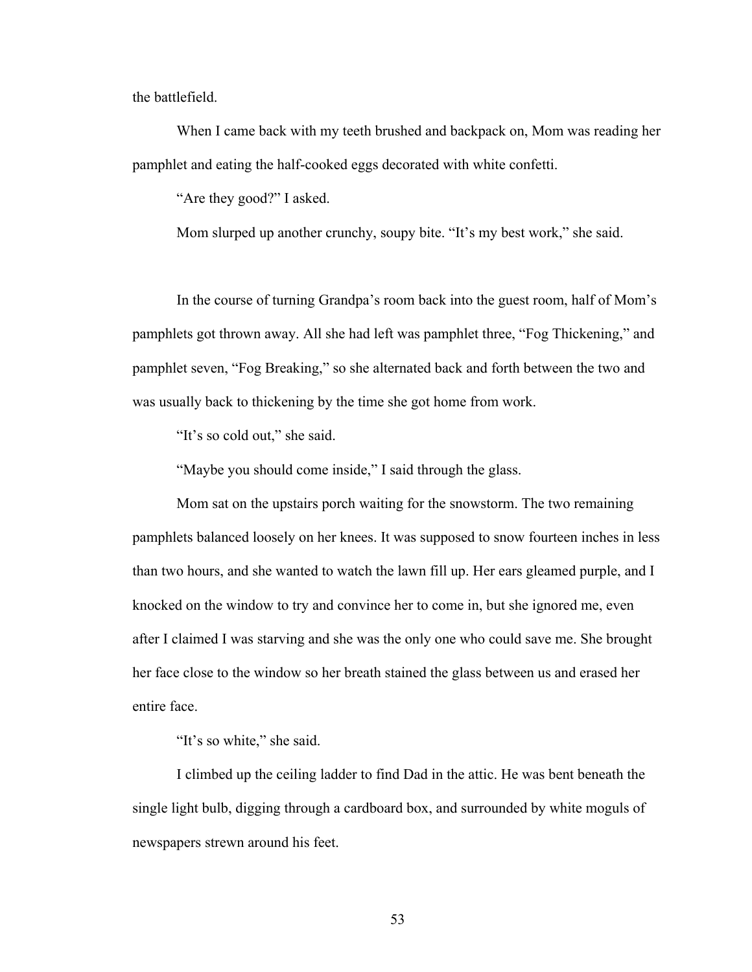the battlefield.

When I came back with my teeth brushed and backpack on, Mom was reading her pamphlet and eating the half-cooked eggs decorated with white confetti.

"Are they good?" I asked.

Mom slurped up another crunchy, soupy bite. "It's my best work," she said.

In the course of turning Grandpa's room back into the guest room, half of Mom's pamphlets got thrown away. All she had left was pamphlet three, "Fog Thickening," and pamphlet seven, "Fog Breaking," so she alternated back and forth between the two and was usually back to thickening by the time she got home from work.

"It's so cold out," she said.

"Maybe you should come inside," I said through the glass.

Mom sat on the upstairs porch waiting for the snowstorm. The two remaining pamphlets balanced loosely on her knees. It was supposed to snow fourteen inches in less than two hours, and she wanted to watch the lawn fill up. Her ears gleamed purple, and I knocked on the window to try and convince her to come in, but she ignored me, even after I claimed I was starving and she was the only one who could save me. She brought her face close to the window so her breath stained the glass between us and erased her entire face.

"It's so white," she said.

I climbed up the ceiling ladder to find Dad in the attic. He was bent beneath the single light bulb, digging through a cardboard box, and surrounded by white moguls of newspapers strewn around his feet.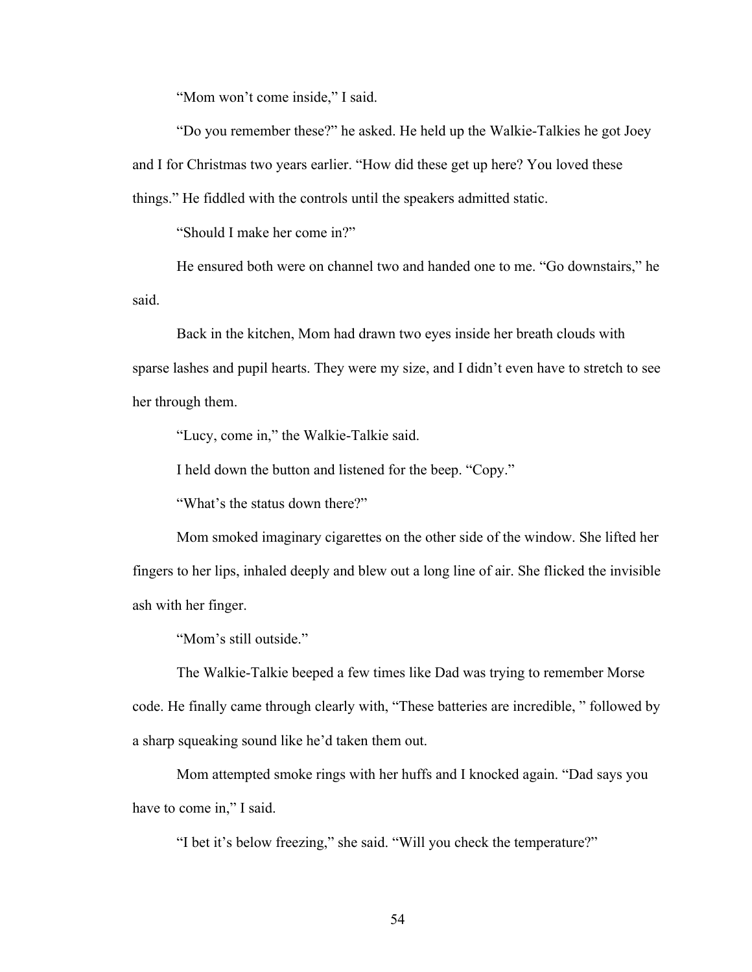"Mom won't come inside," I said.

"Do you remember these?" he asked. He held up the Walkie-Talkies he got Joey and I for Christmas two years earlier. "How did these get up here? You loved these things." He fiddled with the controls until the speakers admitted static.

"Should I make her come in?"

He ensured both were on channel two and handed one to me. "Go downstairs," he said.

Back in the kitchen, Mom had drawn two eyes inside her breath clouds with sparse lashes and pupil hearts. They were my size, and I didn't even have to stretch to see her through them.

"Lucy, come in," the Walkie-Talkie said.

I held down the button and listened for the beep. "Copy."

"What's the status down there?"

Mom smoked imaginary cigarettes on the other side of the window. She lifted her fingers to her lips, inhaled deeply and blew out a long line of air. She flicked the invisible ash with her finger.

"Mom's still outside."

The Walkie-Talkie beeped a few times like Dad was trying to remember Morse code. He finally came through clearly with, "These batteries are incredible, " followed by a sharp squeaking sound like he'd taken them out.

Mom attempted smoke rings with her huffs and I knocked again. "Dad says you have to come in," I said.

"I bet it's below freezing," she said. "Will you check the temperature?"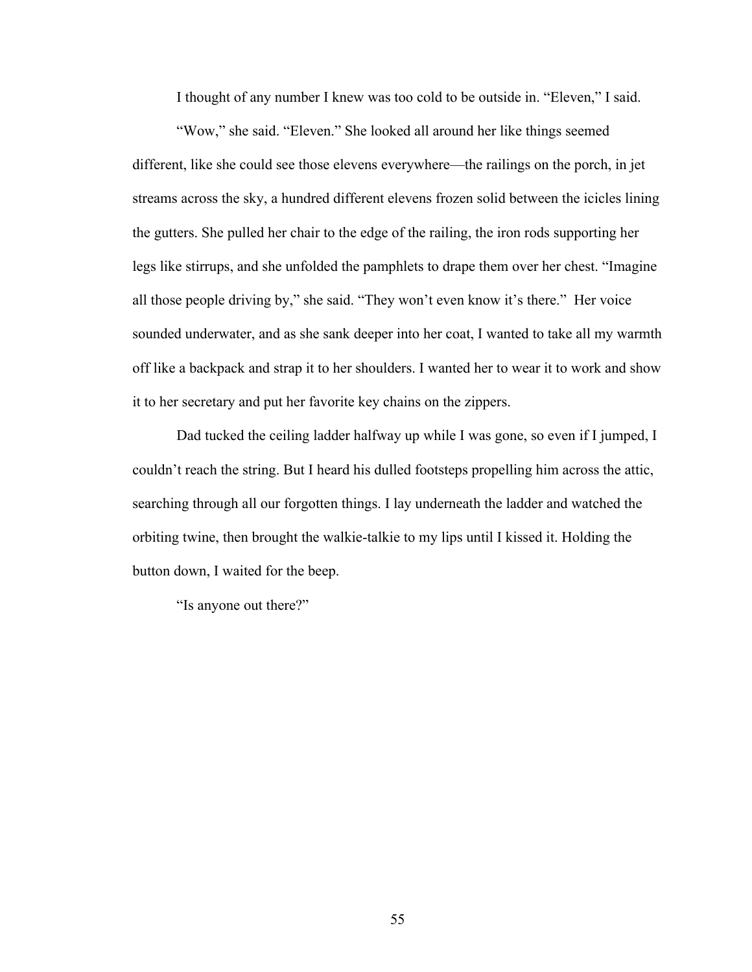I thought of any number I knew was too cold to be outside in. "Eleven," I said.

"Wow," she said. "Eleven." She looked all around her like things seemed different, like she could see those elevens everywhere—the railings on the porch, in jet streams across the sky, a hundred different elevens frozen solid between the icicles lining the gutters. She pulled her chair to the edge of the railing, the iron rods supporting her legs like stirrups, and she unfolded the pamphlets to drape them over her chest. "Imagine all those people driving by," she said. "They won't even know it's there." Her voice sounded underwater, and as she sank deeper into her coat, I wanted to take all my warmth off like a backpack and strap it to her shoulders. I wanted her to wear it to work and show it to her secretary and put her favorite key chains on the zippers.

Dad tucked the ceiling ladder halfway up while I was gone, so even if I jumped, I couldn't reach the string. But I heard his dulled footsteps propelling him across the attic, searching through all our forgotten things. I lay underneath the ladder and watched the orbiting twine, then brought the walkie-talkie to my lips until I kissed it. Holding the button down, I waited for the beep.

"Is anyone out there?"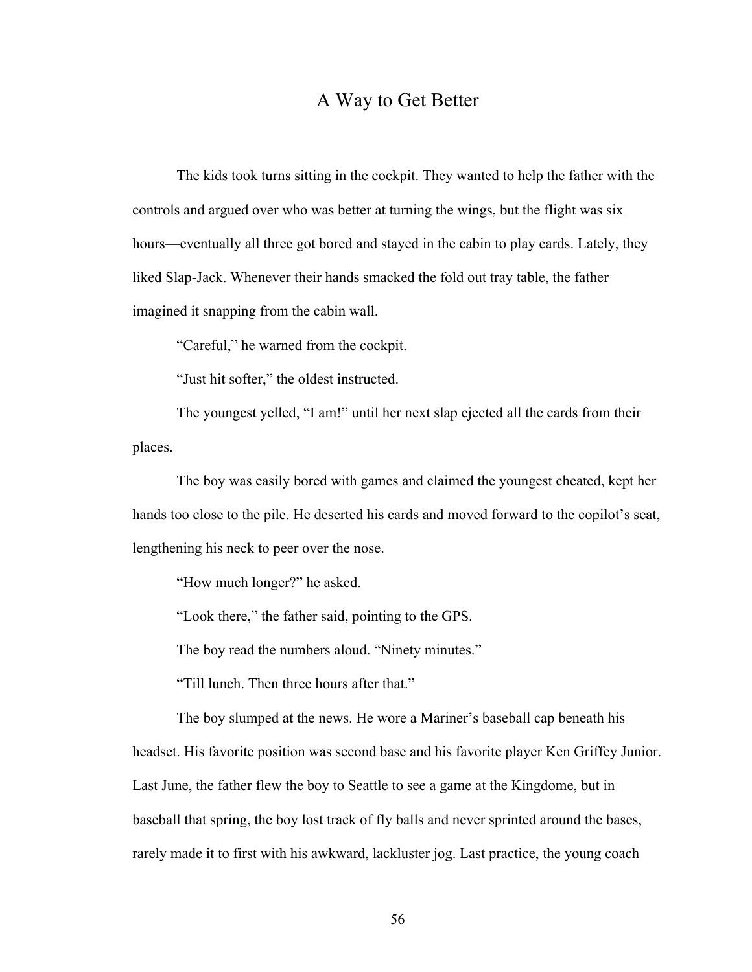## A Way to Get Better

The kids took turns sitting in the cockpit. They wanted to help the father with the controls and argued over who was better at turning the wings, but the flight was six hours—eventually all three got bored and stayed in the cabin to play cards. Lately, they liked Slap-Jack. Whenever their hands smacked the fold out tray table, the father imagined it snapping from the cabin wall.

"Careful," he warned from the cockpit.

"Just hit softer," the oldest instructed.

The youngest yelled, "I am!" until her next slap ejected all the cards from their places.

The boy was easily bored with games and claimed the youngest cheated, kept her hands too close to the pile. He deserted his cards and moved forward to the copilot's seat, lengthening his neck to peer over the nose.

"How much longer?" he asked.

"Look there," the father said, pointing to the GPS.

The boy read the numbers aloud. "Ninety minutes."

"Till lunch. Then three hours after that."

The boy slumped at the news. He wore a Mariner's baseball cap beneath his

headset. His favorite position was second base and his favorite player Ken Griffey Junior. Last June, the father flew the boy to Seattle to see a game at the Kingdome, but in baseball that spring, the boy lost track of fly balls and never sprinted around the bases, rarely made it to first with his awkward, lackluster jog. Last practice, the young coach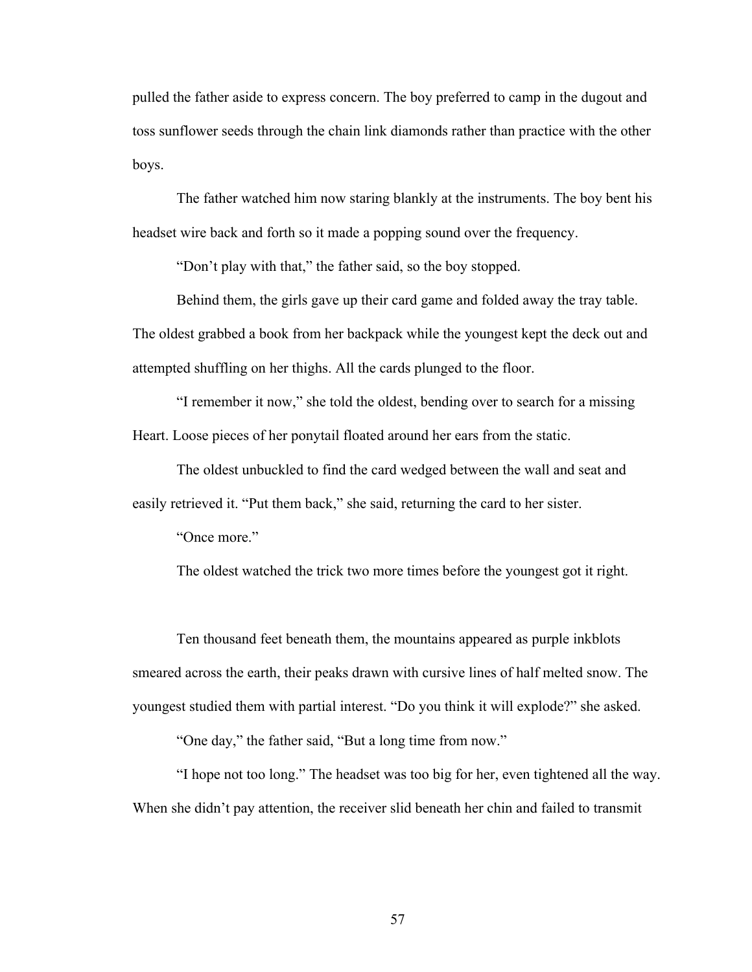pulled the father aside to express concern. The boy preferred to camp in the dugout and toss sunflower seeds through the chain link diamonds rather than practice with the other boys.

The father watched him now staring blankly at the instruments. The boy bent his headset wire back and forth so it made a popping sound over the frequency.

"Don't play with that," the father said, so the boy stopped.

Behind them, the girls gave up their card game and folded away the tray table. The oldest grabbed a book from her backpack while the youngest kept the deck out and attempted shuffling on her thighs. All the cards plunged to the floor.

"I remember it now," she told the oldest, bending over to search for a missing Heart. Loose pieces of her ponytail floated around her ears from the static.

The oldest unbuckled to find the card wedged between the wall and seat and easily retrieved it. "Put them back," she said, returning the card to her sister.

"Once more."

The oldest watched the trick two more times before the youngest got it right.

Ten thousand feet beneath them, the mountains appeared as purple inkblots smeared across the earth, their peaks drawn with cursive lines of half melted snow. The youngest studied them with partial interest. "Do you think it will explode?" she asked.

"One day," the father said, "But a long time from now."

"I hope not too long." The headset was too big for her, even tightened all the way. When she didn't pay attention, the receiver slid beneath her chin and failed to transmit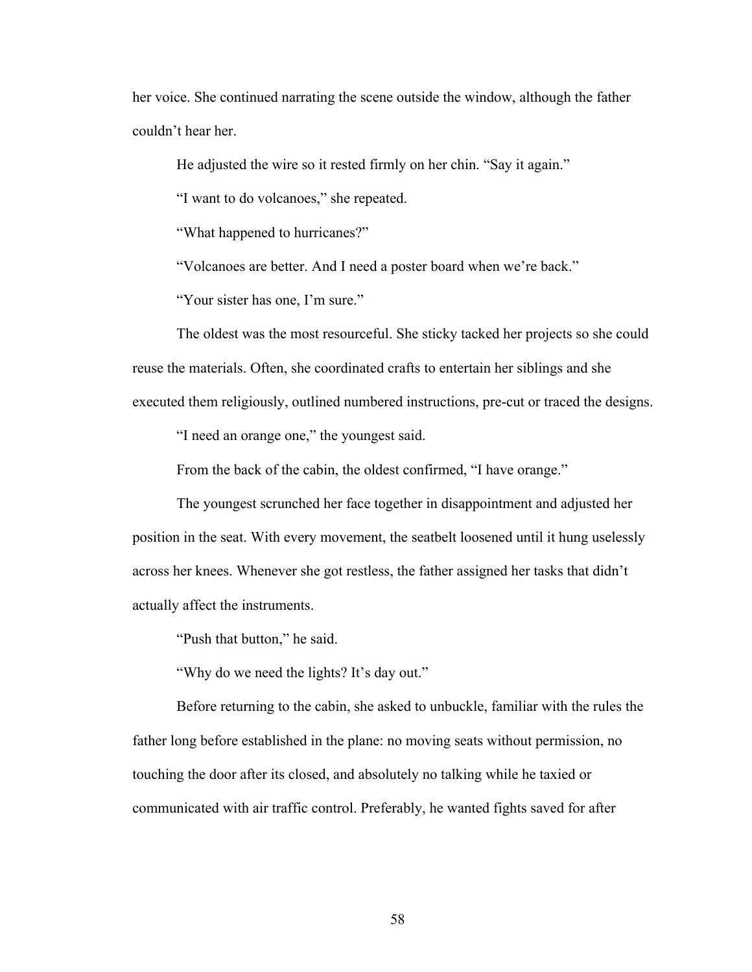her voice. She continued narrating the scene outside the window, although the father couldn't hear her.

He adjusted the wire so it rested firmly on her chin. "Say it again."

"I want to do volcanoes," she repeated.

"What happened to hurricanes?"

"Volcanoes are better. And I need a poster board when we're back."

"Your sister has one, I'm sure."

The oldest was the most resourceful. She sticky tacked her projects so she could reuse the materials. Often, she coordinated crafts to entertain her siblings and she executed them religiously, outlined numbered instructions, pre-cut or traced the designs.

"I need an orange one," the youngest said.

From the back of the cabin, the oldest confirmed, "I have orange."

The youngest scrunched her face together in disappointment and adjusted her position in the seat. With every movement, the seatbelt loosened until it hung uselessly across her knees. Whenever she got restless, the father assigned her tasks that didn't actually affect the instruments.

"Push that button," he said.

"Why do we need the lights? It's day out."

Before returning to the cabin, she asked to unbuckle, familiar with the rules the father long before established in the plane: no moving seats without permission, no touching the door after its closed, and absolutely no talking while he taxied or communicated with air traffic control. Preferably, he wanted fights saved for after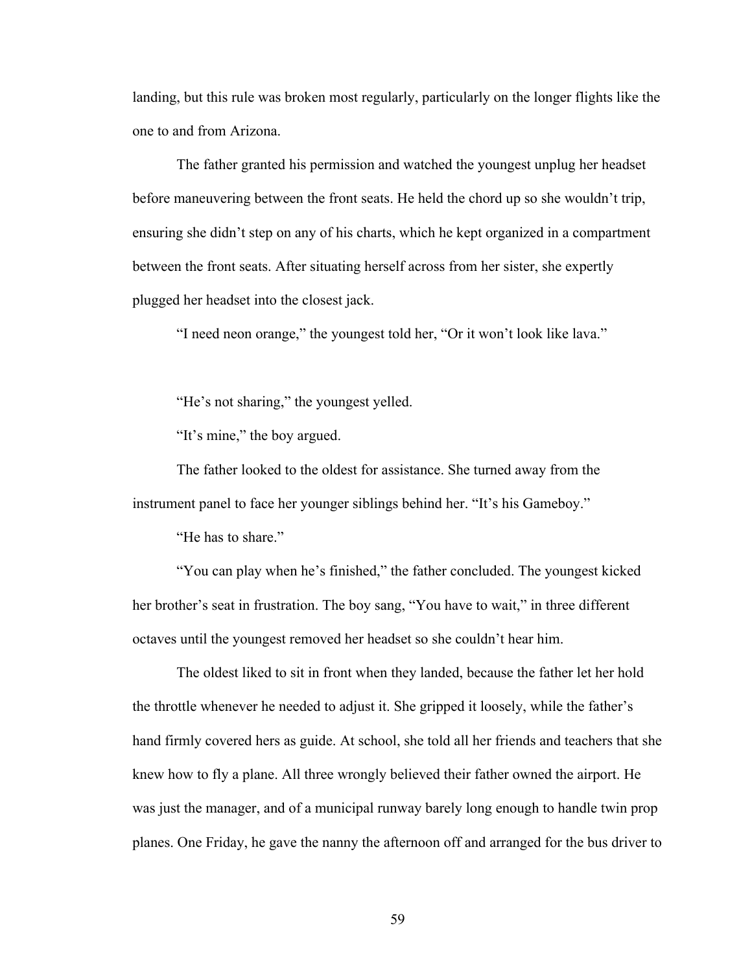landing, but this rule was broken most regularly, particularly on the longer flights like the one to and from Arizona.

The father granted his permission and watched the youngest unplug her headset before maneuvering between the front seats. He held the chord up so she wouldn't trip, ensuring she didn't step on any of his charts, which he kept organized in a compartment between the front seats. After situating herself across from her sister, she expertly plugged her headset into the closest jack.

"I need neon orange," the youngest told her, "Or it won't look like lava."

"He's not sharing," the youngest yelled.

"It's mine," the boy argued.

The father looked to the oldest for assistance. She turned away from the instrument panel to face her younger siblings behind her. "It's his Gameboy."

"He has to share."

"You can play when he's finished," the father concluded. The youngest kicked her brother's seat in frustration. The boy sang, "You have to wait," in three different octaves until the youngest removed her headset so she couldn't hear him.

The oldest liked to sit in front when they landed, because the father let her hold the throttle whenever he needed to adjust it. She gripped it loosely, while the father's hand firmly covered hers as guide. At school, she told all her friends and teachers that she knew how to fly a plane. All three wrongly believed their father owned the airport. He was just the manager, and of a municipal runway barely long enough to handle twin prop planes. One Friday, he gave the nanny the afternoon off and arranged for the bus driver to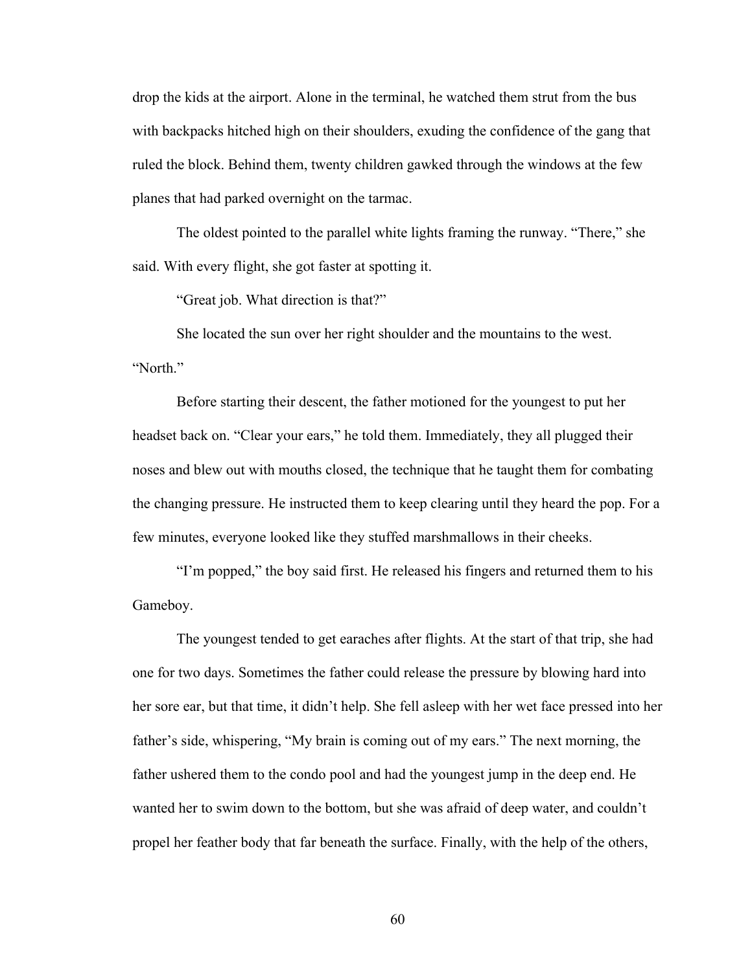drop the kids at the airport. Alone in the terminal, he watched them strut from the bus with backpacks hitched high on their shoulders, exuding the confidence of the gang that ruled the block. Behind them, twenty children gawked through the windows at the few planes that had parked overnight on the tarmac.

The oldest pointed to the parallel white lights framing the runway. "There," she said. With every flight, she got faster at spotting it.

"Great job. What direction is that?"

She located the sun over her right shoulder and the mountains to the west. "North"

Before starting their descent, the father motioned for the youngest to put her headset back on. "Clear your ears," he told them. Immediately, they all plugged their noses and blew out with mouths closed, the technique that he taught them for combating the changing pressure. He instructed them to keep clearing until they heard the pop. For a few minutes, everyone looked like they stuffed marshmallows in their cheeks.

"I'm popped," the boy said first. He released his fingers and returned them to his Gameboy.

The youngest tended to get earaches after flights. At the start of that trip, she had one for two days. Sometimes the father could release the pressure by blowing hard into her sore ear, but that time, it didn't help. She fell asleep with her wet face pressed into her father's side, whispering, "My brain is coming out of my ears." The next morning, the father ushered them to the condo pool and had the youngest jump in the deep end. He wanted her to swim down to the bottom, but she was afraid of deep water, and couldn't propel her feather body that far beneath the surface. Finally, with the help of the others,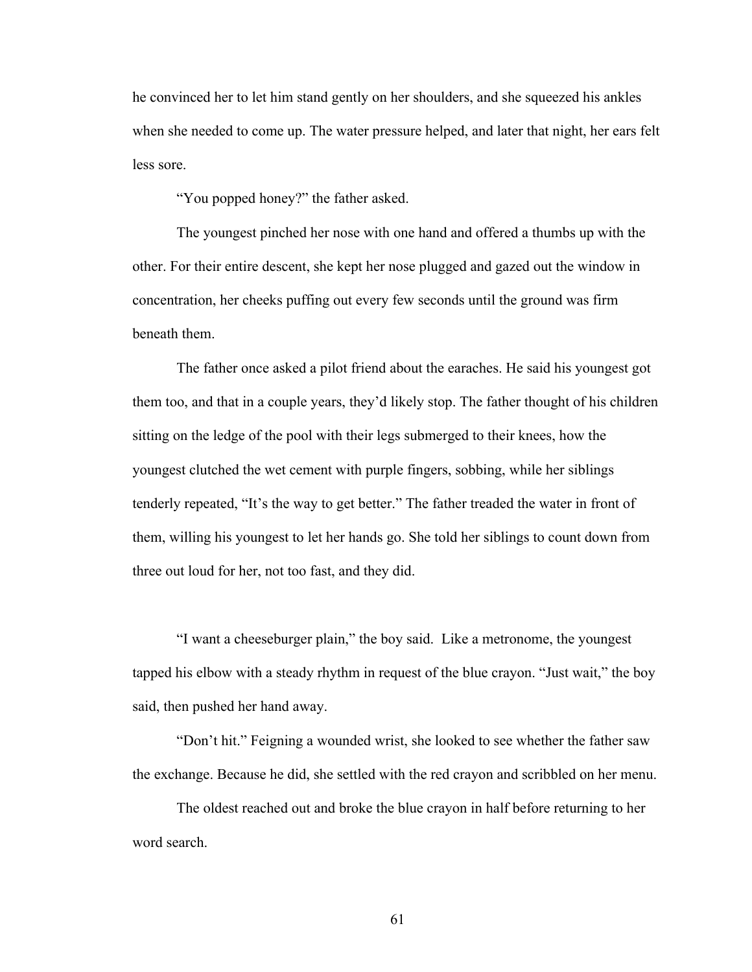he convinced her to let him stand gently on her shoulders, and she squeezed his ankles when she needed to come up. The water pressure helped, and later that night, her ears felt less sore.

"You popped honey?" the father asked.

The youngest pinched her nose with one hand and offered a thumbs up with the other. For their entire descent, she kept her nose plugged and gazed out the window in concentration, her cheeks puffing out every few seconds until the ground was firm beneath them.

The father once asked a pilot friend about the earaches. He said his youngest got them too, and that in a couple years, they'd likely stop. The father thought of his children sitting on the ledge of the pool with their legs submerged to their knees, how the youngest clutched the wet cement with purple fingers, sobbing, while her siblings tenderly repeated, "It's the way to get better." The father treaded the water in front of them, willing his youngest to let her hands go. She told her siblings to count down from three out loud for her, not too fast, and they did.

"I want a cheeseburger plain," the boy said. Like a metronome, the youngest tapped his elbow with a steady rhythm in request of the blue crayon. "Just wait," the boy said, then pushed her hand away.

"Don't hit." Feigning a wounded wrist, she looked to see whether the father saw the exchange. Because he did, she settled with the red crayon and scribbled on her menu.

The oldest reached out and broke the blue crayon in half before returning to her word search.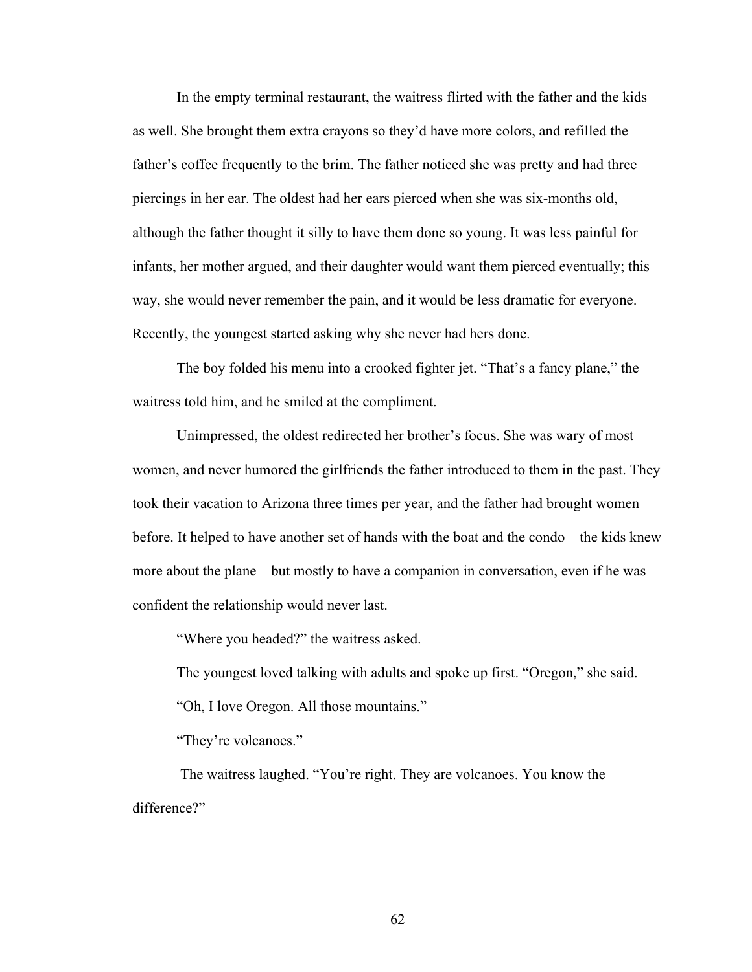In the empty terminal restaurant, the waitress flirted with the father and the kids as well. She brought them extra crayons so they'd have more colors, and refilled the father's coffee frequently to the brim. The father noticed she was pretty and had three piercings in her ear. The oldest had her ears pierced when she was six-months old, although the father thought it silly to have them done so young. It was less painful for infants, her mother argued, and their daughter would want them pierced eventually; this way, she would never remember the pain, and it would be less dramatic for everyone. Recently, the youngest started asking why she never had hers done.

The boy folded his menu into a crooked fighter jet. "That's a fancy plane," the waitress told him, and he smiled at the compliment.

Unimpressed, the oldest redirected her brother's focus. She was wary of most women, and never humored the girlfriends the father introduced to them in the past. They took their vacation to Arizona three times per year, and the father had brought women before. It helped to have another set of hands with the boat and the condo—the kids knew more about the plane—but mostly to have a companion in conversation, even if he was confident the relationship would never last.

"Where you headed?" the waitress asked.

The youngest loved talking with adults and spoke up first. "Oregon," she said.

"Oh, I love Oregon. All those mountains."

"They're volcanoes."

The waitress laughed. "You're right. They are volcanoes. You know the difference?"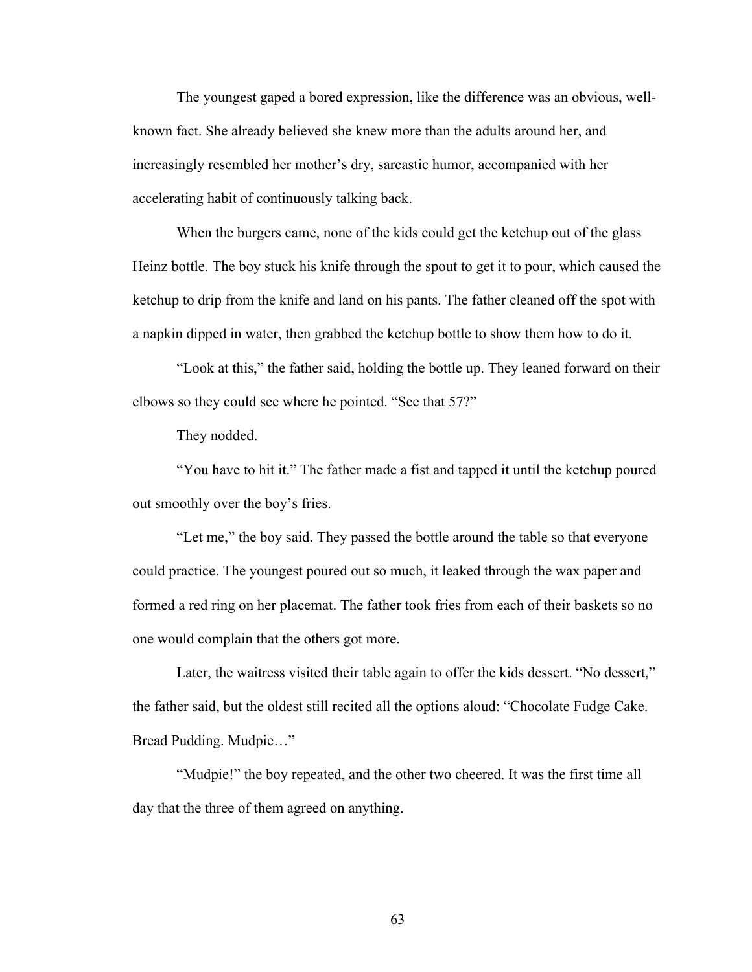The youngest gaped a bored expression, like the difference was an obvious, wellknown fact. She already believed she knew more than the adults around her, and increasingly resembled her mother's dry, sarcastic humor, accompanied with her accelerating habit of continuously talking back.

When the burgers came, none of the kids could get the ketchup out of the glass Heinz bottle. The boy stuck his knife through the spout to get it to pour, which caused the ketchup to drip from the knife and land on his pants. The father cleaned off the spot with a napkin dipped in water, then grabbed the ketchup bottle to show them how to do it.

"Look at this," the father said, holding the bottle up. They leaned forward on their elbows so they could see where he pointed. "See that 57?"

They nodded.

"You have to hit it." The father made a fist and tapped it until the ketchup poured out smoothly over the boy's fries.

"Let me," the boy said. They passed the bottle around the table so that everyone could practice. The youngest poured out so much, it leaked through the wax paper and formed a red ring on her placemat. The father took fries from each of their baskets so no one would complain that the others got more.

Later, the waitress visited their table again to offer the kids dessert. "No dessert," the father said, but the oldest still recited all the options aloud: "Chocolate Fudge Cake. Bread Pudding. Mudpie…"

"Mudpie!" the boy repeated, and the other two cheered. It was the first time all day that the three of them agreed on anything.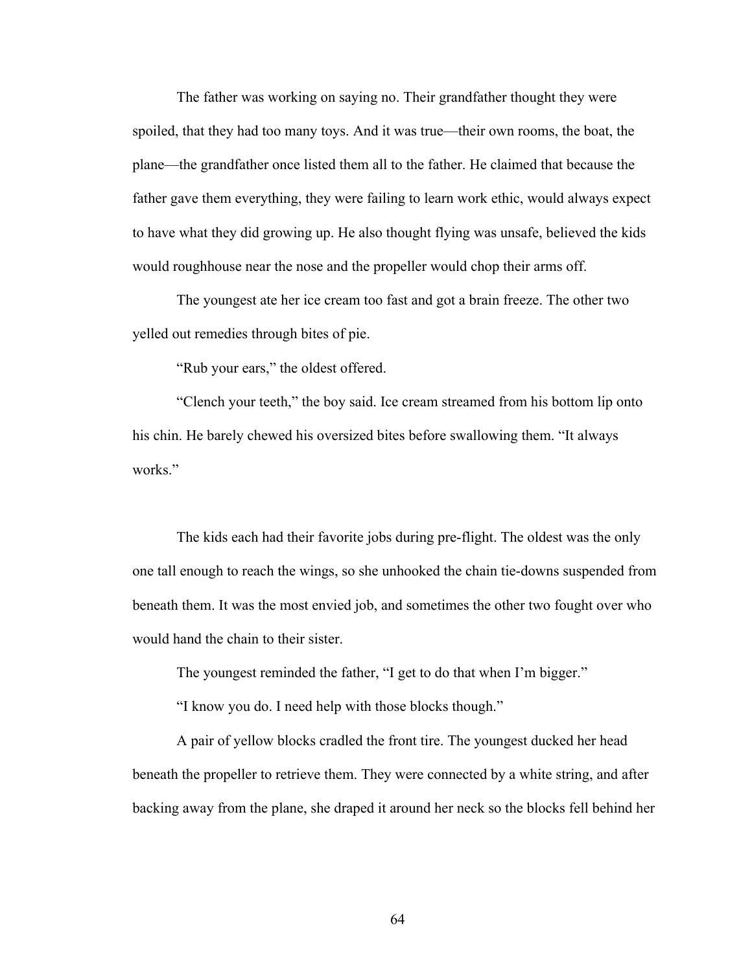The father was working on saying no. Their grandfather thought they were spoiled, that they had too many toys. And it was true—their own rooms, the boat, the plane—the grandfather once listed them all to the father. He claimed that because the father gave them everything, they were failing to learn work ethic, would always expect to have what they did growing up. He also thought flying was unsafe, believed the kids would roughhouse near the nose and the propeller would chop their arms off.

The youngest ate her ice cream too fast and got a brain freeze. The other two yelled out remedies through bites of pie.

"Rub your ears," the oldest offered.

"Clench your teeth," the boy said. Ice cream streamed from his bottom lip onto his chin. He barely chewed his oversized bites before swallowing them. "It always works."

The kids each had their favorite jobs during pre-flight. The oldest was the only one tall enough to reach the wings, so she unhooked the chain tie-downs suspended from beneath them. It was the most envied job, and sometimes the other two fought over who would hand the chain to their sister.

The youngest reminded the father, "I get to do that when I'm bigger."

"I know you do. I need help with those blocks though."

A pair of yellow blocks cradled the front tire. The youngest ducked her head beneath the propeller to retrieve them. They were connected by a white string, and after backing away from the plane, she draped it around her neck so the blocks fell behind her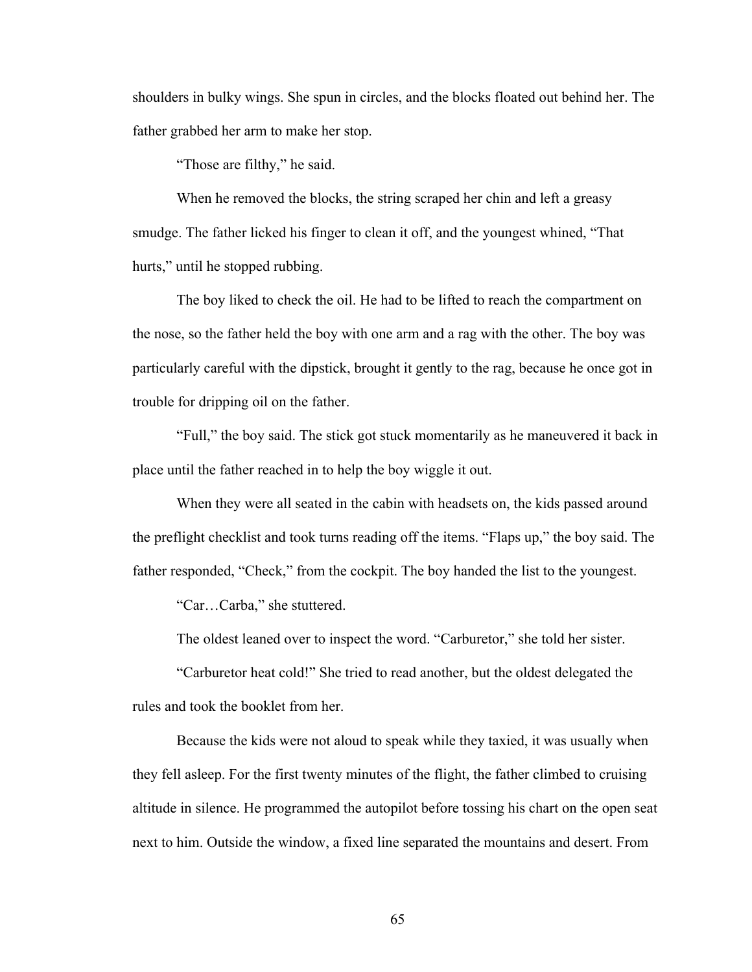shoulders in bulky wings. She spun in circles, and the blocks floated out behind her. The father grabbed her arm to make her stop.

"Those are filthy," he said.

When he removed the blocks, the string scraped her chin and left a greasy smudge. The father licked his finger to clean it off, and the youngest whined, "That hurts," until he stopped rubbing.

The boy liked to check the oil. He had to be lifted to reach the compartment on the nose, so the father held the boy with one arm and a rag with the other. The boy was particularly careful with the dipstick, brought it gently to the rag, because he once got in trouble for dripping oil on the father.

"Full," the boy said. The stick got stuck momentarily as he maneuvered it back in place until the father reached in to help the boy wiggle it out.

When they were all seated in the cabin with headsets on, the kids passed around the preflight checklist and took turns reading off the items. "Flaps up," the boy said. The father responded, "Check," from the cockpit. The boy handed the list to the youngest.

"Car…Carba," she stuttered.

The oldest leaned over to inspect the word. "Carburetor," she told her sister.

"Carburetor heat cold!" She tried to read another, but the oldest delegated the rules and took the booklet from her.

Because the kids were not aloud to speak while they taxied, it was usually when they fell asleep. For the first twenty minutes of the flight, the father climbed to cruising altitude in silence. He programmed the autopilot before tossing his chart on the open seat next to him. Outside the window, a fixed line separated the mountains and desert. From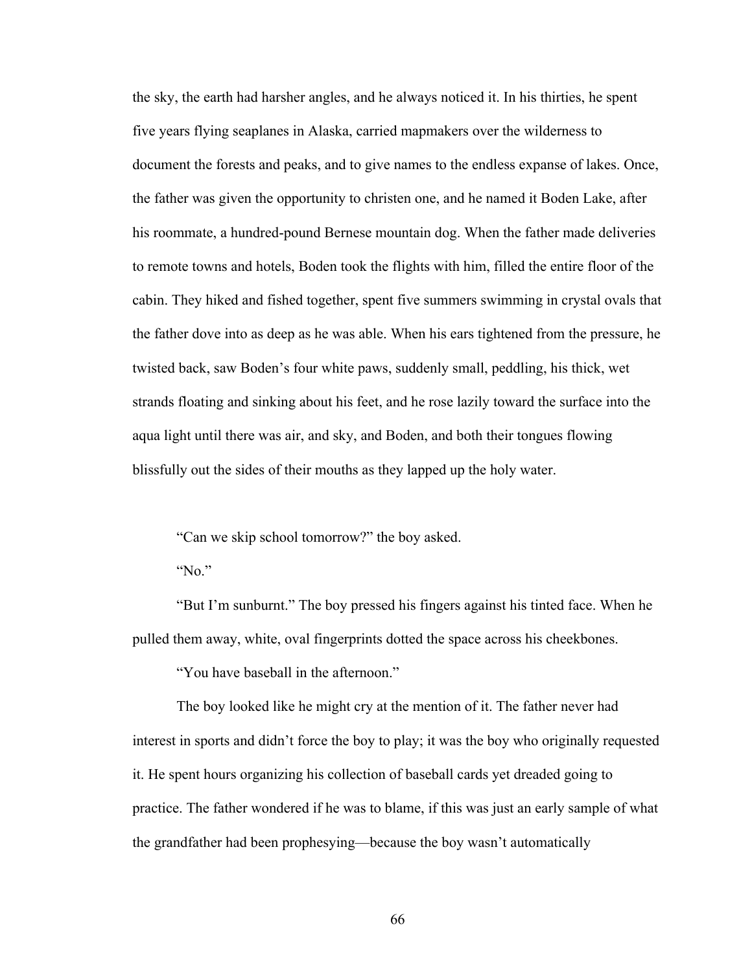the sky, the earth had harsher angles, and he always noticed it. In his thirties, he spent five years flying seaplanes in Alaska, carried mapmakers over the wilderness to document the forests and peaks, and to give names to the endless expanse of lakes. Once, the father was given the opportunity to christen one, and he named it Boden Lake, after his roommate, a hundred-pound Bernese mountain dog. When the father made deliveries to remote towns and hotels, Boden took the flights with him, filled the entire floor of the cabin. They hiked and fished together, spent five summers swimming in crystal ovals that the father dove into as deep as he was able. When his ears tightened from the pressure, he twisted back, saw Boden's four white paws, suddenly small, peddling, his thick, wet strands floating and sinking about his feet, and he rose lazily toward the surface into the aqua light until there was air, and sky, and Boden, and both their tongues flowing blissfully out the sides of their mouths as they lapped up the holy water.

"Can we skip school tomorrow?" the boy asked.

"No."

"But I'm sunburnt." The boy pressed his fingers against his tinted face. When he pulled them away, white, oval fingerprints dotted the space across his cheekbones.

"You have baseball in the afternoon."

The boy looked like he might cry at the mention of it. The father never had interest in sports and didn't force the boy to play; it was the boy who originally requested it. He spent hours organizing his collection of baseball cards yet dreaded going to practice. The father wondered if he was to blame, if this was just an early sample of what the grandfather had been prophesying—because the boy wasn't automatically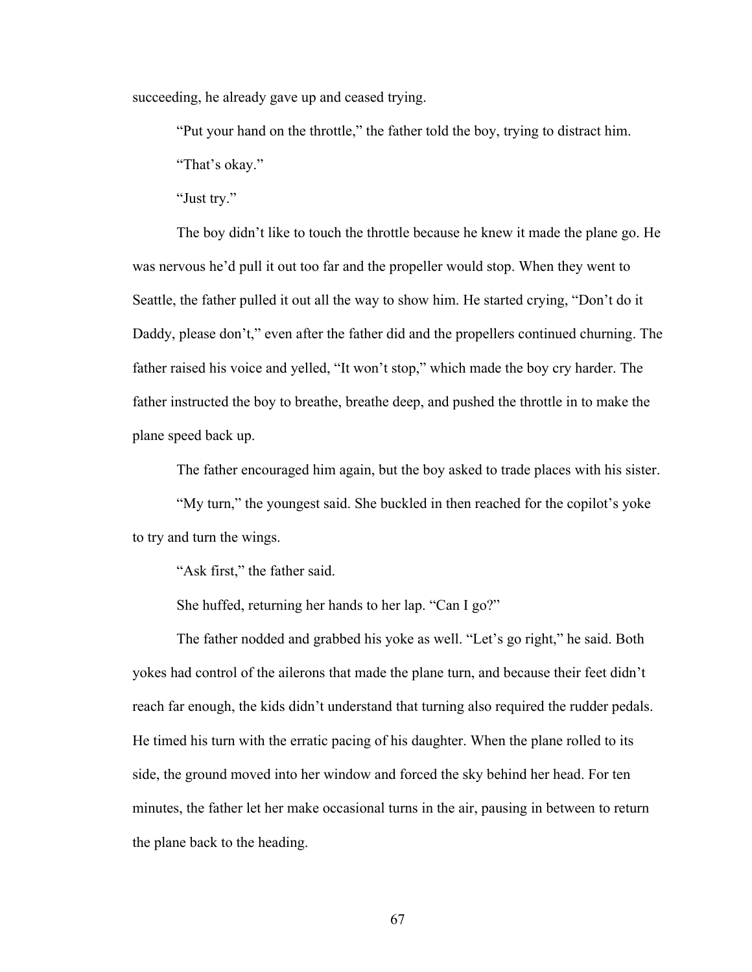succeeding, he already gave up and ceased trying.

"Put your hand on the throttle," the father told the boy, trying to distract him.

"That's okay."

"Just try."

The boy didn't like to touch the throttle because he knew it made the plane go. He was nervous he'd pull it out too far and the propeller would stop. When they went to Seattle, the father pulled it out all the way to show him. He started crying, "Don't do it Daddy, please don't," even after the father did and the propellers continued churning. The father raised his voice and yelled, "It won't stop," which made the boy cry harder. The father instructed the boy to breathe, breathe deep, and pushed the throttle in to make the plane speed back up.

The father encouraged him again, but the boy asked to trade places with his sister.

"My turn," the youngest said. She buckled in then reached for the copilot's yoke to try and turn the wings.

"Ask first," the father said.

She huffed, returning her hands to her lap. "Can I go?"

The father nodded and grabbed his yoke as well. "Let's go right," he said. Both yokes had control of the ailerons that made the plane turn, and because their feet didn't reach far enough, the kids didn't understand that turning also required the rudder pedals. He timed his turn with the erratic pacing of his daughter. When the plane rolled to its side, the ground moved into her window and forced the sky behind her head. For ten minutes, the father let her make occasional turns in the air, pausing in between to return the plane back to the heading.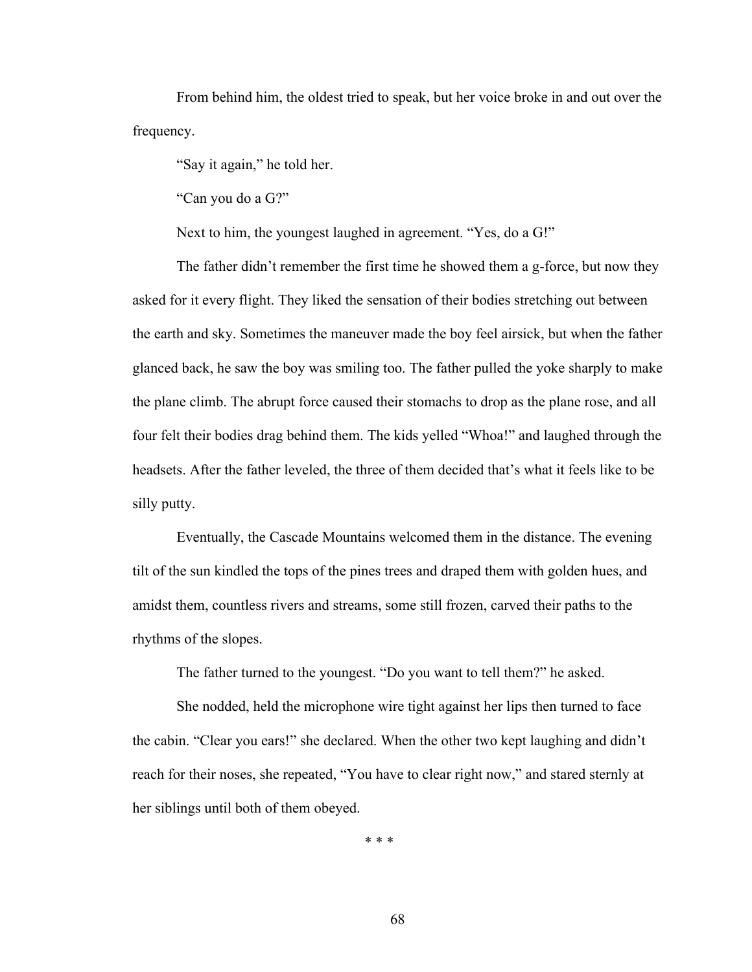From behind him, the oldest tried to speak, but her voice broke in and out over the frequency.

"Say it again," he told her.

"Can you do a G?"

Next to him, the youngest laughed in agreement. "Yes, do a G!"

The father didn't remember the first time he showed them a g-force, but now they asked for it every flight. They liked the sensation of their bodies stretching out between the earth and sky. Sometimes the maneuver made the boy feel airsick, but when the father glanced back, he saw the boy was smiling too. The father pulled the yoke sharply to make the plane climb. The abrupt force caused their stomachs to drop as the plane rose, and all four felt their bodies drag behind them. The kids yelled "Whoa!" and laughed through the headsets. After the father leveled, the three of them decided that's what it feels like to be silly putty.

Eventually, the Cascade Mountains welcomed them in the distance. The evening tilt of the sun kindled the tops of the pines trees and draped them with golden hues, and amidst them, countless rivers and streams, some still frozen, carved their paths to the rhythms of the slopes.

The father turned to the youngest. "Do you want to tell them?" he asked.

She nodded, held the microphone wire tight against her lips then turned to face the cabin. "Clear you ears!" she declared. When the other two kept laughing and didn't reach for their noses, she repeated, "You have to clear right now," and stared sternly at her siblings until both of them obeyed.

\* \* \*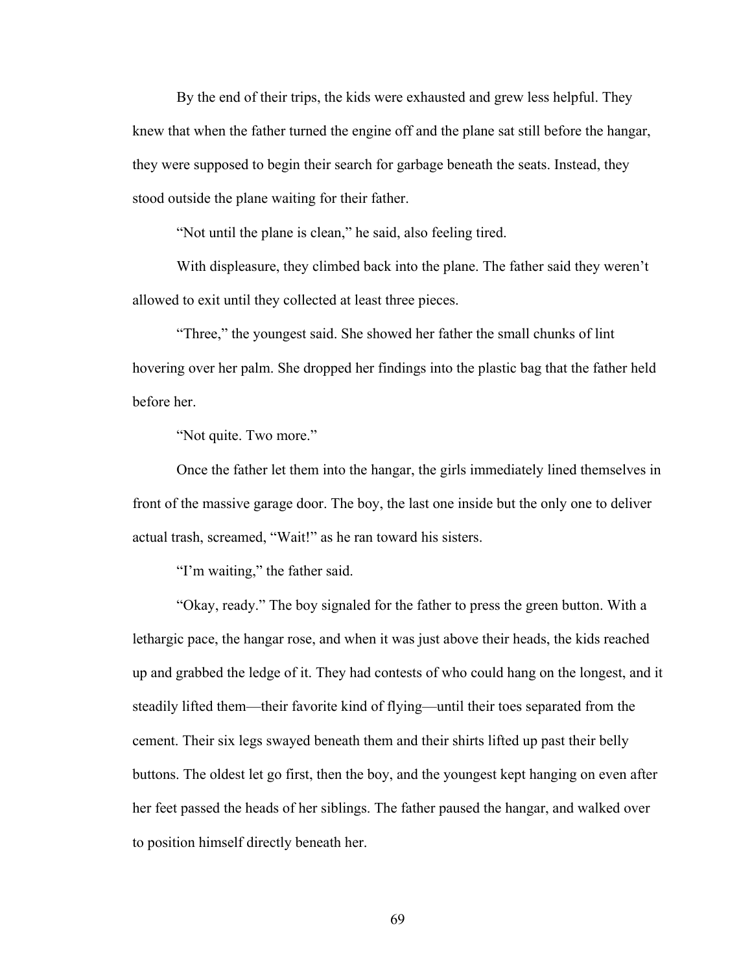By the end of their trips, the kids were exhausted and grew less helpful. They knew that when the father turned the engine off and the plane sat still before the hangar, they were supposed to begin their search for garbage beneath the seats. Instead, they stood outside the plane waiting for their father.

"Not until the plane is clean," he said, also feeling tired.

With displeasure, they climbed back into the plane. The father said they weren't allowed to exit until they collected at least three pieces.

"Three," the youngest said. She showed her father the small chunks of lint hovering over her palm. She dropped her findings into the plastic bag that the father held before her.

"Not quite. Two more."

Once the father let them into the hangar, the girls immediately lined themselves in front of the massive garage door. The boy, the last one inside but the only one to deliver actual trash, screamed, "Wait!" as he ran toward his sisters.

"I'm waiting," the father said.

"Okay, ready." The boy signaled for the father to press the green button. With a lethargic pace, the hangar rose, and when it was just above their heads, the kids reached up and grabbed the ledge of it. They had contests of who could hang on the longest, and it steadily lifted them—their favorite kind of flying—until their toes separated from the cement. Their six legs swayed beneath them and their shirts lifted up past their belly buttons. The oldest let go first, then the boy, and the youngest kept hanging on even after her feet passed the heads of her siblings. The father paused the hangar, and walked over to position himself directly beneath her.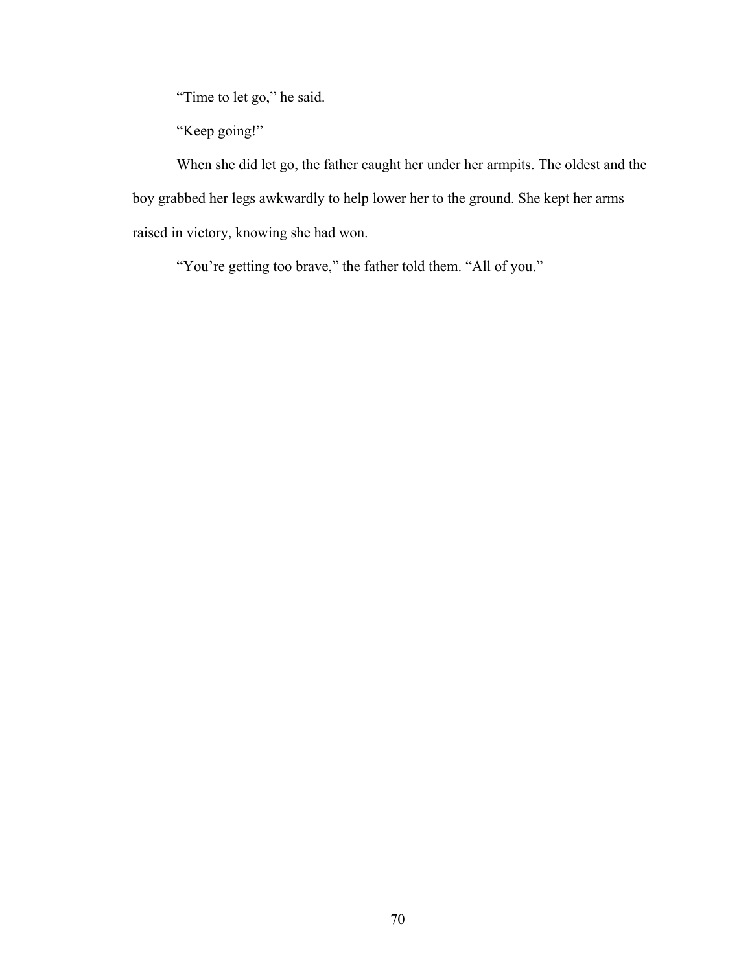"Time to let go," he said.

"Keep going!"

When she did let go, the father caught her under her armpits. The oldest and the boy grabbed her legs awkwardly to help lower her to the ground. She kept her arms raised in victory, knowing she had won.

"You're getting too brave," the father told them. "All of you."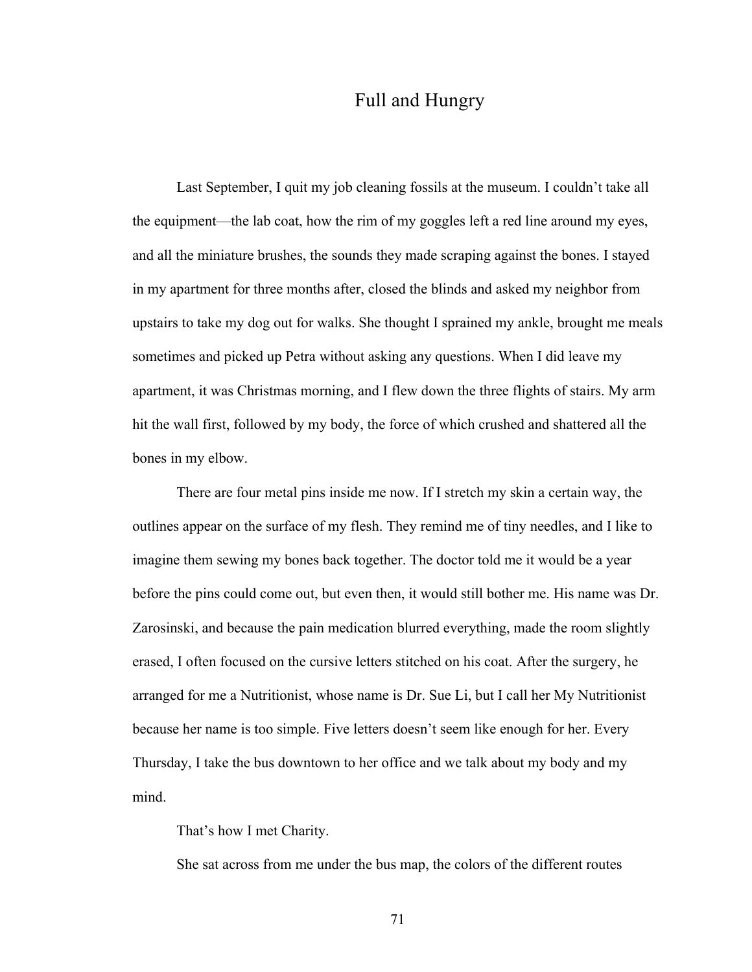## Full and Hungry

Last September, I quit my job cleaning fossils at the museum. I couldn't take all the equipment—the lab coat, how the rim of my goggles left a red line around my eyes, and all the miniature brushes, the sounds they made scraping against the bones. I stayed in my apartment for three months after, closed the blinds and asked my neighbor from upstairs to take my dog out for walks. She thought I sprained my ankle, brought me meals sometimes and picked up Petra without asking any questions. When I did leave my apartment, it was Christmas morning, and I flew down the three flights of stairs. My arm hit the wall first, followed by my body, the force of which crushed and shattered all the bones in my elbow.

There are four metal pins inside me now. If I stretch my skin a certain way, the outlines appear on the surface of my flesh. They remind me of tiny needles, and I like to imagine them sewing my bones back together. The doctor told me it would be a year before the pins could come out, but even then, it would still bother me. His name was Dr. Zarosinski, and because the pain medication blurred everything, made the room slightly erased, I often focused on the cursive letters stitched on his coat. After the surgery, he arranged for me a Nutritionist, whose name is Dr. Sue Li, but I call her My Nutritionist because her name is too simple. Five letters doesn't seem like enough for her. Every Thursday, I take the bus downtown to her office and we talk about my body and my mind.

That's how I met Charity.

She sat across from me under the bus map, the colors of the different routes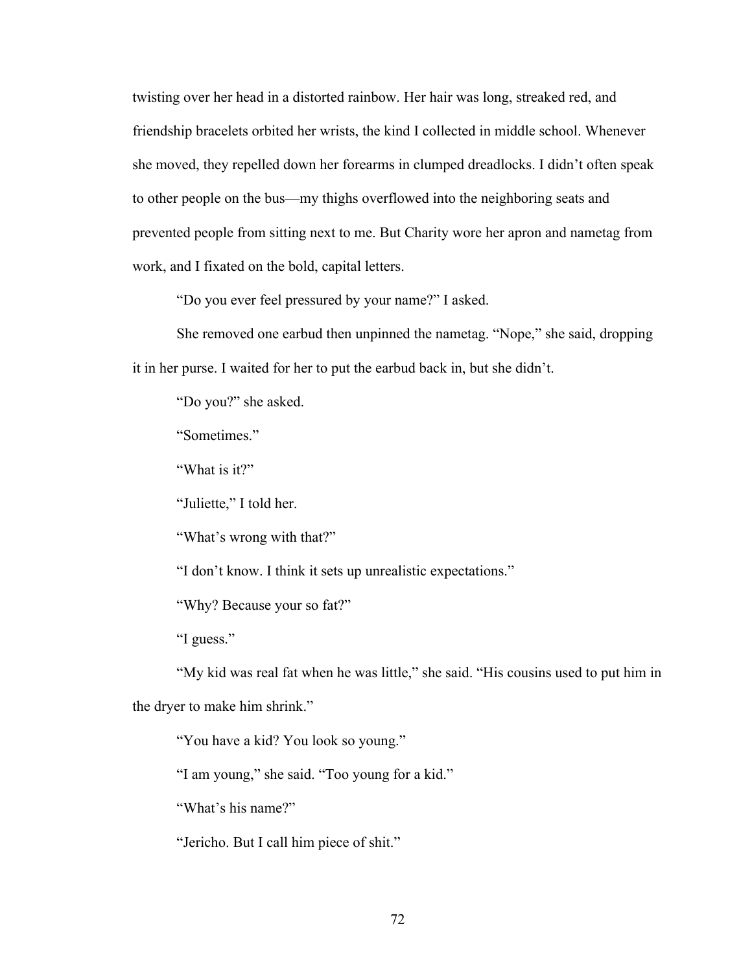twisting over her head in a distorted rainbow. Her hair was long, streaked red, and friendship bracelets orbited her wrists, the kind I collected in middle school. Whenever she moved, they repelled down her forearms in clumped dreadlocks. I didn't often speak to other people on the bus—my thighs overflowed into the neighboring seats and prevented people from sitting next to me. But Charity wore her apron and nametag from work, and I fixated on the bold, capital letters.

"Do you ever feel pressured by your name?" I asked.

She removed one earbud then unpinned the nametag. "Nope," she said, dropping it in her purse. I waited for her to put the earbud back in, but she didn't.

"Do you?" she asked.

"Sometimes."

"What is it?"

"Juliette," I told her.

"What's wrong with that?"

"I don't know. I think it sets up unrealistic expectations."

"Why? Because your so fat?"

"I guess."

"My kid was real fat when he was little," she said. "His cousins used to put him in the dryer to make him shrink."

"You have a kid? You look so young."

"I am young," she said. "Too young for a kid."

"What's his name?"

"Jericho. But I call him piece of shit."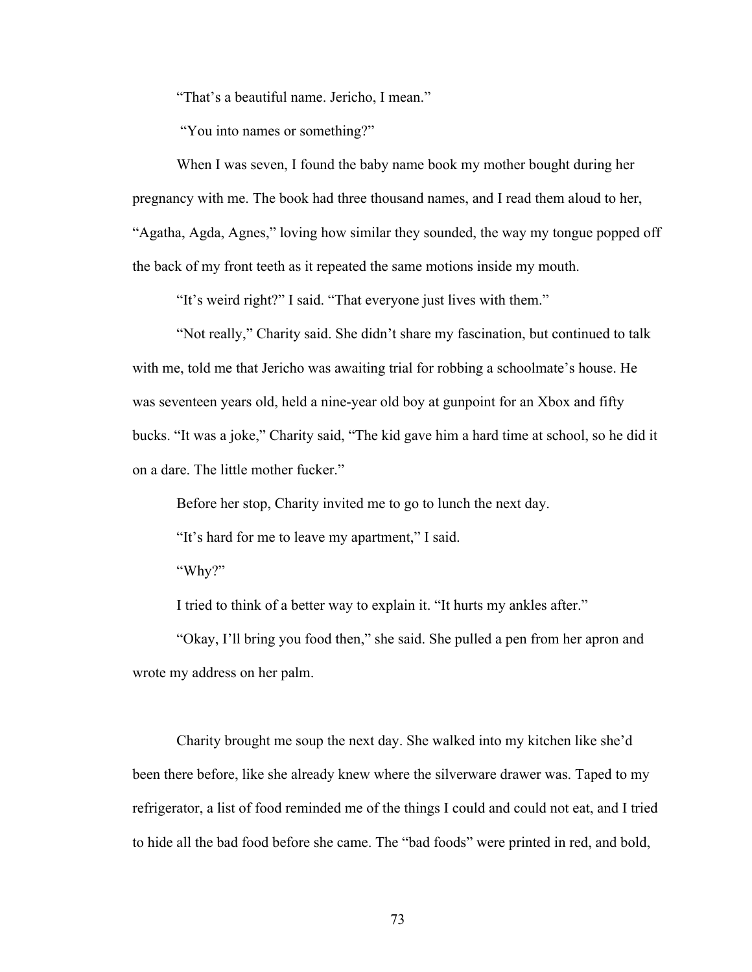"That's a beautiful name. Jericho, I mean."

"You into names or something?"

When I was seven, I found the baby name book my mother bought during her pregnancy with me. The book had three thousand names, and I read them aloud to her, "Agatha, Agda, Agnes," loving how similar they sounded, the way my tongue popped off the back of my front teeth as it repeated the same motions inside my mouth.

"It's weird right?" I said. "That everyone just lives with them."

"Not really," Charity said. She didn't share my fascination, but continued to talk with me, told me that Jericho was awaiting trial for robbing a schoolmate's house. He was seventeen years old, held a nine-year old boy at gunpoint for an Xbox and fifty bucks. "It was a joke," Charity said, "The kid gave him a hard time at school, so he did it on a dare. The little mother fucker."

Before her stop, Charity invited me to go to lunch the next day.

"It's hard for me to leave my apartment," I said.

"Why?"

I tried to think of a better way to explain it. "It hurts my ankles after."

"Okay, I'll bring you food then," she said. She pulled a pen from her apron and wrote my address on her palm.

Charity brought me soup the next day. She walked into my kitchen like she'd been there before, like she already knew where the silverware drawer was. Taped to my refrigerator, a list of food reminded me of the things I could and could not eat, and I tried to hide all the bad food before she came. The "bad foods" were printed in red, and bold,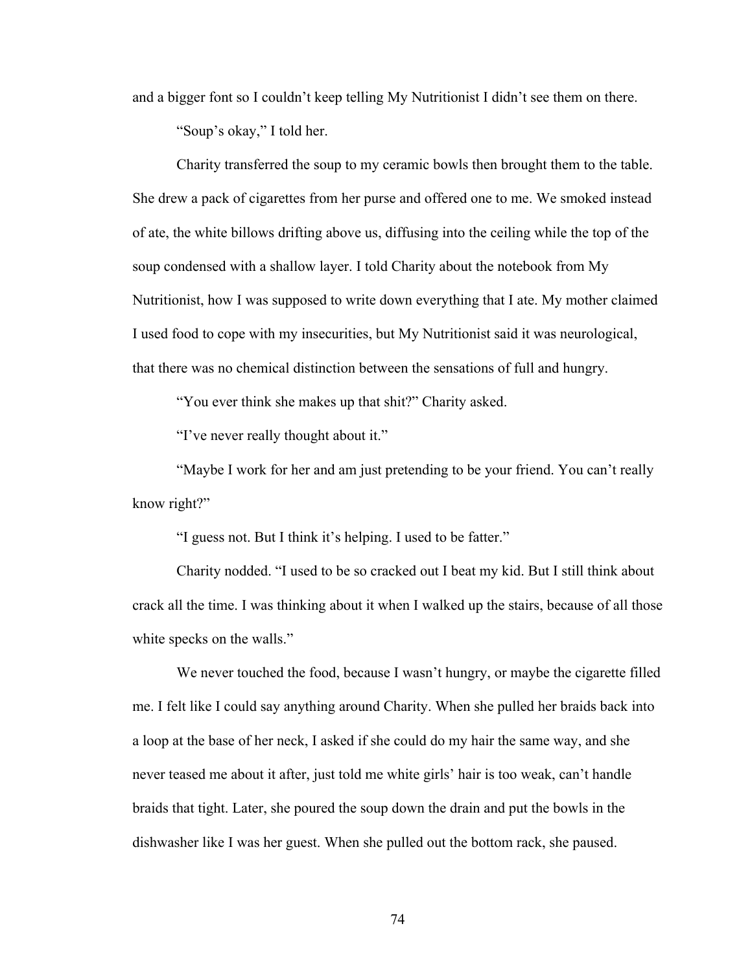and a bigger font so I couldn't keep telling My Nutritionist I didn't see them on there.

"Soup's okay," I told her.

Charity transferred the soup to my ceramic bowls then brought them to the table. She drew a pack of cigarettes from her purse and offered one to me. We smoked instead of ate, the white billows drifting above us, diffusing into the ceiling while the top of the soup condensed with a shallow layer. I told Charity about the notebook from My Nutritionist, how I was supposed to write down everything that I ate. My mother claimed I used food to cope with my insecurities, but My Nutritionist said it was neurological, that there was no chemical distinction between the sensations of full and hungry.

"You ever think she makes up that shit?" Charity asked.

"I've never really thought about it."

"Maybe I work for her and am just pretending to be your friend. You can't really know right?"

"I guess not. But I think it's helping. I used to be fatter."

Charity nodded. "I used to be so cracked out I beat my kid. But I still think about crack all the time. I was thinking about it when I walked up the stairs, because of all those white specks on the walls."

We never touched the food, because I wasn't hungry, or maybe the cigarette filled me. I felt like I could say anything around Charity. When she pulled her braids back into a loop at the base of her neck, I asked if she could do my hair the same way, and she never teased me about it after, just told me white girls' hair is too weak, can't handle braids that tight. Later, she poured the soup down the drain and put the bowls in the dishwasher like I was her guest. When she pulled out the bottom rack, she paused.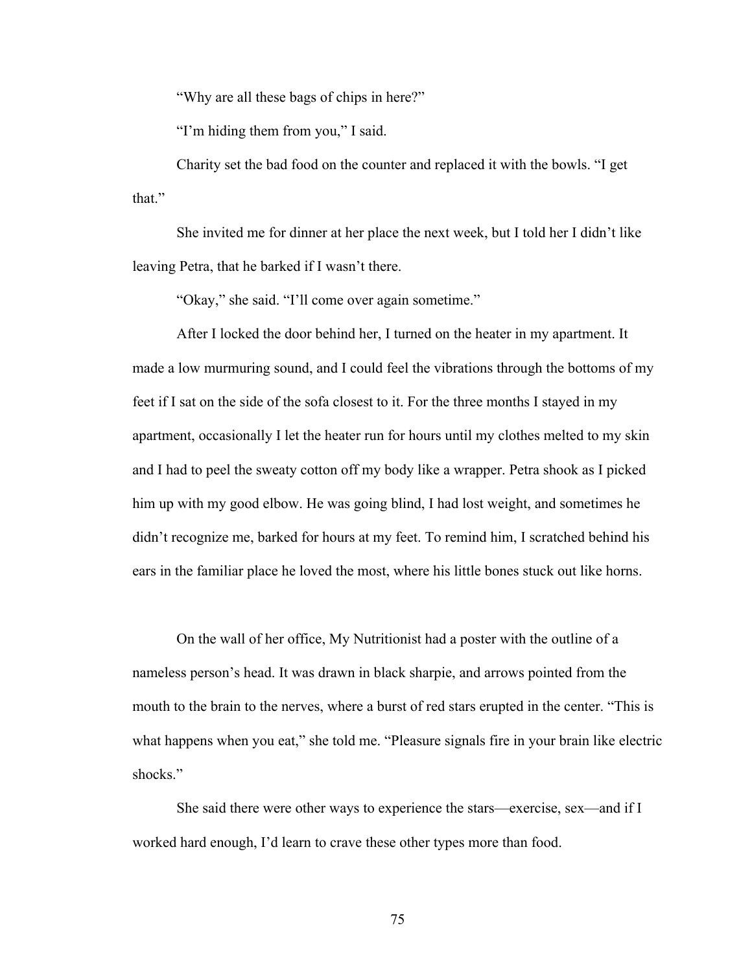"Why are all these bags of chips in here?"

"I'm hiding them from you," I said.

Charity set the bad food on the counter and replaced it with the bowls. "I get that."

She invited me for dinner at her place the next week, but I told her I didn't like leaving Petra, that he barked if I wasn't there.

"Okay," she said. "I'll come over again sometime."

After I locked the door behind her, I turned on the heater in my apartment. It made a low murmuring sound, and I could feel the vibrations through the bottoms of my feet if I sat on the side of the sofa closest to it. For the three months I stayed in my apartment, occasionally I let the heater run for hours until my clothes melted to my skin and I had to peel the sweaty cotton off my body like a wrapper. Petra shook as I picked him up with my good elbow. He was going blind, I had lost weight, and sometimes he didn't recognize me, barked for hours at my feet. To remind him, I scratched behind his ears in the familiar place he loved the most, where his little bones stuck out like horns.

On the wall of her office, My Nutritionist had a poster with the outline of a nameless person's head. It was drawn in black sharpie, and arrows pointed from the mouth to the brain to the nerves, where a burst of red stars erupted in the center. "This is what happens when you eat," she told me. "Pleasure signals fire in your brain like electric shocks."

She said there were other ways to experience the stars—exercise, sex—and if I worked hard enough, I'd learn to crave these other types more than food.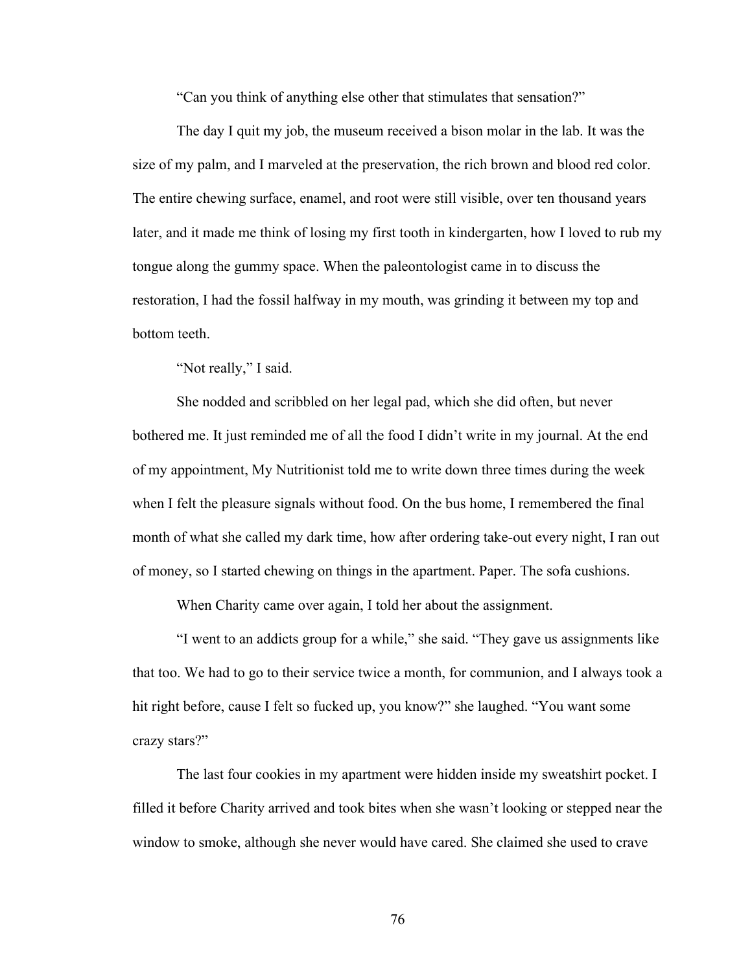"Can you think of anything else other that stimulates that sensation?"

The day I quit my job, the museum received a bison molar in the lab. It was the size of my palm, and I marveled at the preservation, the rich brown and blood red color. The entire chewing surface, enamel, and root were still visible, over ten thousand years later, and it made me think of losing my first tooth in kindergarten, how I loved to rub my tongue along the gummy space. When the paleontologist came in to discuss the restoration, I had the fossil halfway in my mouth, was grinding it between my top and bottom teeth.

"Not really," I said.

She nodded and scribbled on her legal pad, which she did often, but never bothered me. It just reminded me of all the food I didn't write in my journal. At the end of my appointment, My Nutritionist told me to write down three times during the week when I felt the pleasure signals without food. On the bus home, I remembered the final month of what she called my dark time, how after ordering take-out every night, I ran out of money, so I started chewing on things in the apartment. Paper. The sofa cushions.

When Charity came over again, I told her about the assignment.

"I went to an addicts group for a while," she said. "They gave us assignments like that too. We had to go to their service twice a month, for communion, and I always took a hit right before, cause I felt so fucked up, you know?" she laughed. "You want some crazy stars?"

The last four cookies in my apartment were hidden inside my sweatshirt pocket. I filled it before Charity arrived and took bites when she wasn't looking or stepped near the window to smoke, although she never would have cared. She claimed she used to crave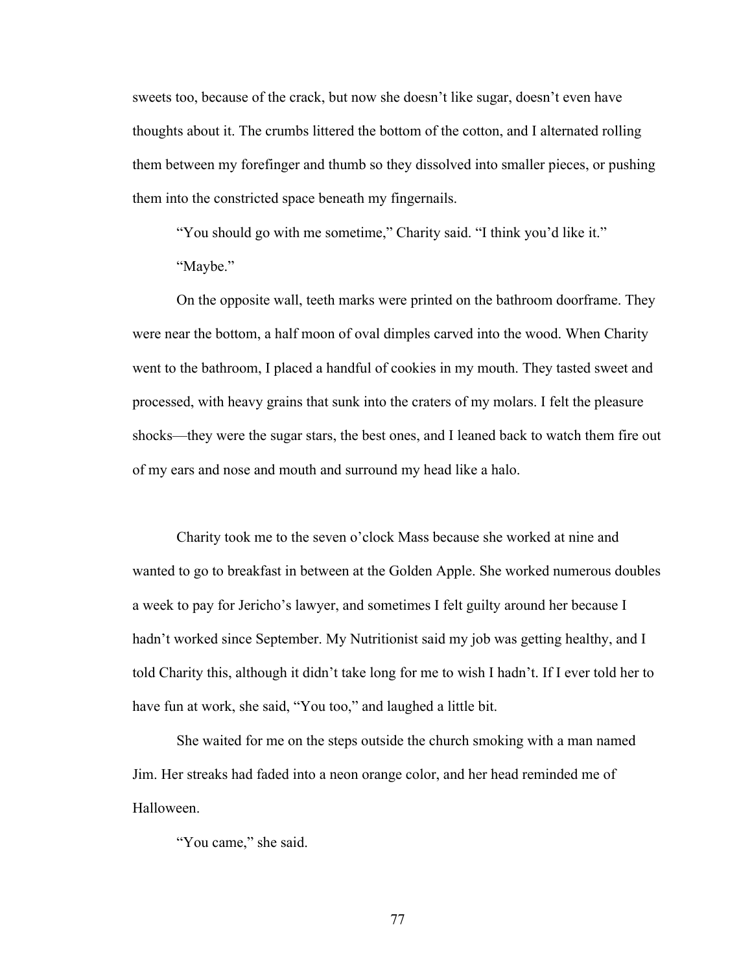sweets too, because of the crack, but now she doesn't like sugar, doesn't even have thoughts about it. The crumbs littered the bottom of the cotton, and I alternated rolling them between my forefinger and thumb so they dissolved into smaller pieces, or pushing them into the constricted space beneath my fingernails.

"You should go with me sometime," Charity said. "I think you'd like it." "Maybe."

On the opposite wall, teeth marks were printed on the bathroom doorframe. They were near the bottom, a half moon of oval dimples carved into the wood. When Charity went to the bathroom, I placed a handful of cookies in my mouth. They tasted sweet and processed, with heavy grains that sunk into the craters of my molars. I felt the pleasure shocks—they were the sugar stars, the best ones, and I leaned back to watch them fire out of my ears and nose and mouth and surround my head like a halo.

Charity took me to the seven o'clock Mass because she worked at nine and wanted to go to breakfast in between at the Golden Apple. She worked numerous doubles a week to pay for Jericho's lawyer, and sometimes I felt guilty around her because I hadn't worked since September. My Nutritionist said my job was getting healthy, and I told Charity this, although it didn't take long for me to wish I hadn't. If I ever told her to have fun at work, she said, "You too," and laughed a little bit.

She waited for me on the steps outside the church smoking with a man named Jim. Her streaks had faded into a neon orange color, and her head reminded me of Halloween.

"You came," she said.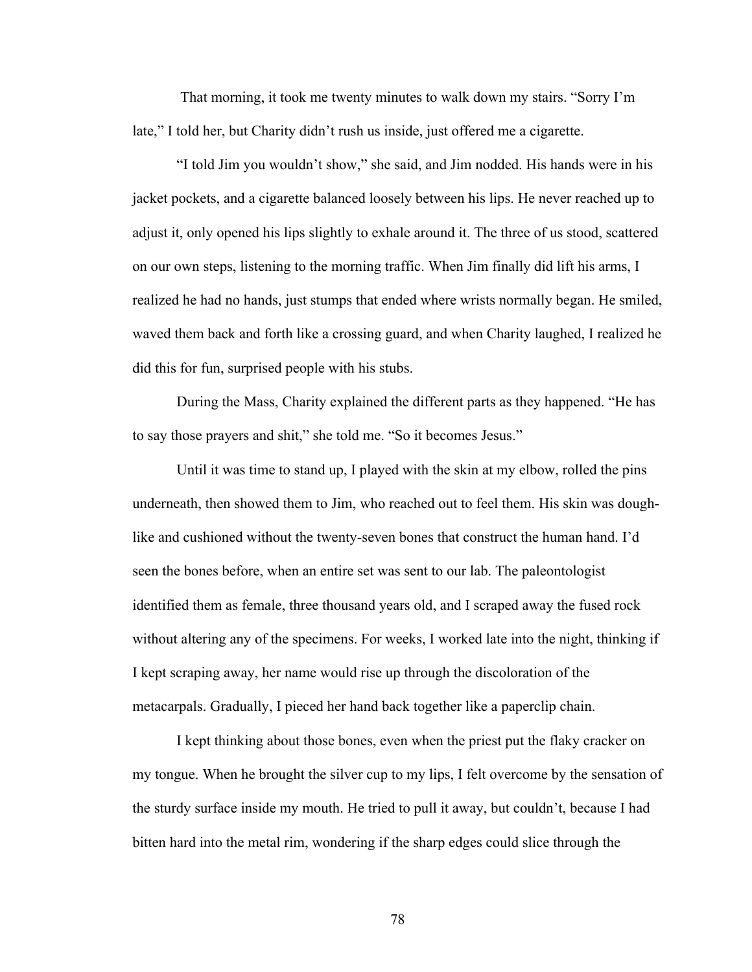That morning, it took me twenty minutes to walk down my stairs. "Sorry I'm late," I told her, but Charity didn't rush us inside, just offered me a cigarette.

"I told Jim you wouldn't show," she said, and Jim nodded. His hands were in his jacket pockets, and a cigarette balanced loosely between his lips. He never reached up to adjust it, only opened his lips slightly to exhale around it. The three of us stood, scattered on our own steps, listening to the morning traffic. When Jim finally did lift his arms, I realized he had no hands, just stumps that ended where wrists normally began. He smiled, waved them back and forth like a crossing guard, and when Charity laughed, I realized he did this for fun, surprised people with his stubs.

During the Mass, Charity explained the different parts as they happened. "He has to say those prayers and shit," she told me. "So it becomes Jesus."

Until it was time to stand up, I played with the skin at my elbow, rolled the pins underneath, then showed them to Jim, who reached out to feel them. His skin was doughlike and cushioned without the twenty-seven bones that construct the human hand. I'd seen the bones before, when an entire set was sent to our lab. The paleontologist identified them as female, three thousand years old, and I scraped away the fused rock without altering any of the specimens. For weeks, I worked late into the night, thinking if I kept scraping away, her name would rise up through the discoloration of the metacarpals. Gradually, I pieced her hand back together like a paperclip chain.

I kept thinking about those bones, even when the priest put the flaky cracker on my tongue. When he brought the silver cup to my lips, I felt overcome by the sensation of the sturdy surface inside my mouth. He tried to pull it away, but couldn't, because I had bitten hard into the metal rim, wondering if the sharp edges could slice through the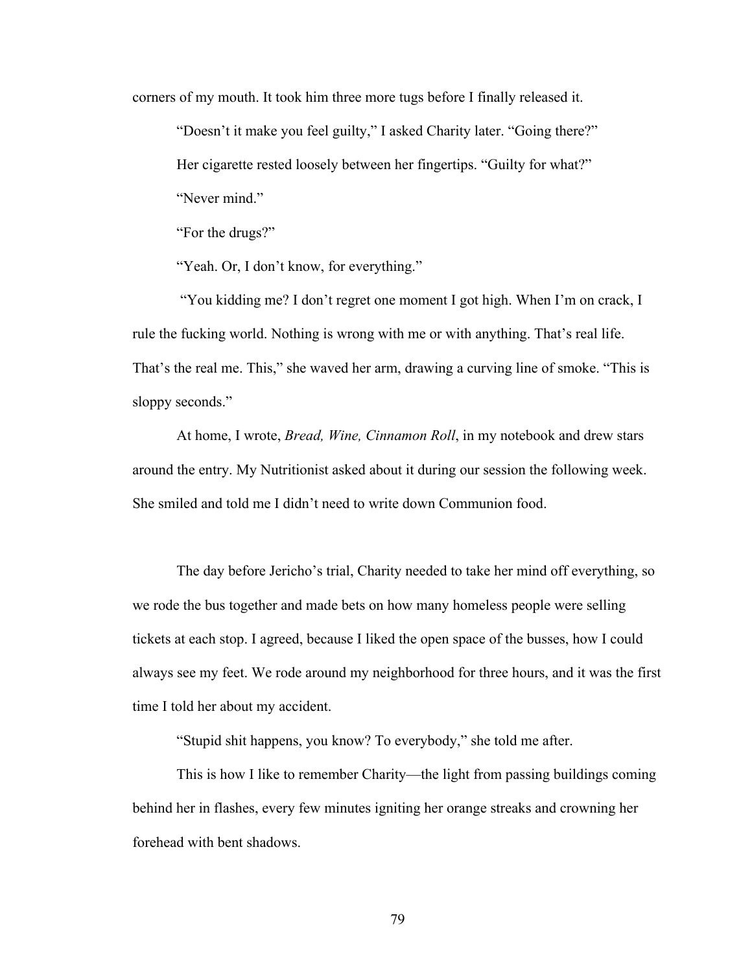corners of my mouth. It took him three more tugs before I finally released it.

"Doesn't it make you feel guilty," I asked Charity later. "Going there?"

Her cigarette rested loosely between her fingertips. "Guilty for what?"

"Never mind."

"For the drugs?"

"Yeah. Or, I don't know, for everything."

"You kidding me? I don't regret one moment I got high. When I'm on crack, I rule the fucking world. Nothing is wrong with me or with anything. That's real life. That's the real me. This," she waved her arm, drawing a curving line of smoke. "This is sloppy seconds."

At home, I wrote, *Bread, Wine, Cinnamon Roll*, in my notebook and drew stars around the entry. My Nutritionist asked about it during our session the following week. She smiled and told me I didn't need to write down Communion food.

The day before Jericho's trial, Charity needed to take her mind off everything, so we rode the bus together and made bets on how many homeless people were selling tickets at each stop. I agreed, because I liked the open space of the busses, how I could always see my feet. We rode around my neighborhood for three hours, and it was the first time I told her about my accident.

"Stupid shit happens, you know? To everybody," she told me after.

This is how I like to remember Charity—the light from passing buildings coming behind her in flashes, every few minutes igniting her orange streaks and crowning her forehead with bent shadows.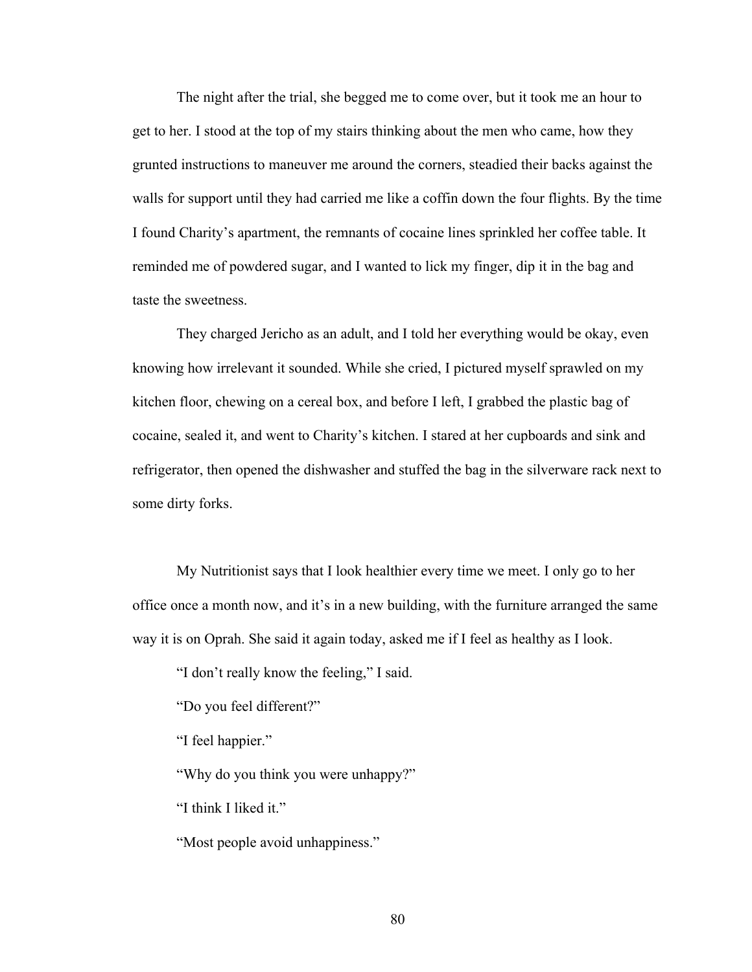The night after the trial, she begged me to come over, but it took me an hour to get to her. I stood at the top of my stairs thinking about the men who came, how they grunted instructions to maneuver me around the corners, steadied their backs against the walls for support until they had carried me like a coffin down the four flights. By the time I found Charity's apartment, the remnants of cocaine lines sprinkled her coffee table. It reminded me of powdered sugar, and I wanted to lick my finger, dip it in the bag and taste the sweetness.

They charged Jericho as an adult, and I told her everything would be okay, even knowing how irrelevant it sounded. While she cried, I pictured myself sprawled on my kitchen floor, chewing on a cereal box, and before I left, I grabbed the plastic bag of cocaine, sealed it, and went to Charity's kitchen. I stared at her cupboards and sink and refrigerator, then opened the dishwasher and stuffed the bag in the silverware rack next to some dirty forks.

My Nutritionist says that I look healthier every time we meet. I only go to her office once a month now, and it's in a new building, with the furniture arranged the same way it is on Oprah. She said it again today, asked me if I feel as healthy as I look.

"I don't really know the feeling," I said.

"Do you feel different?"

"I feel happier."

"Why do you think you were unhappy?"

"I think I liked it."

"Most people avoid unhappiness."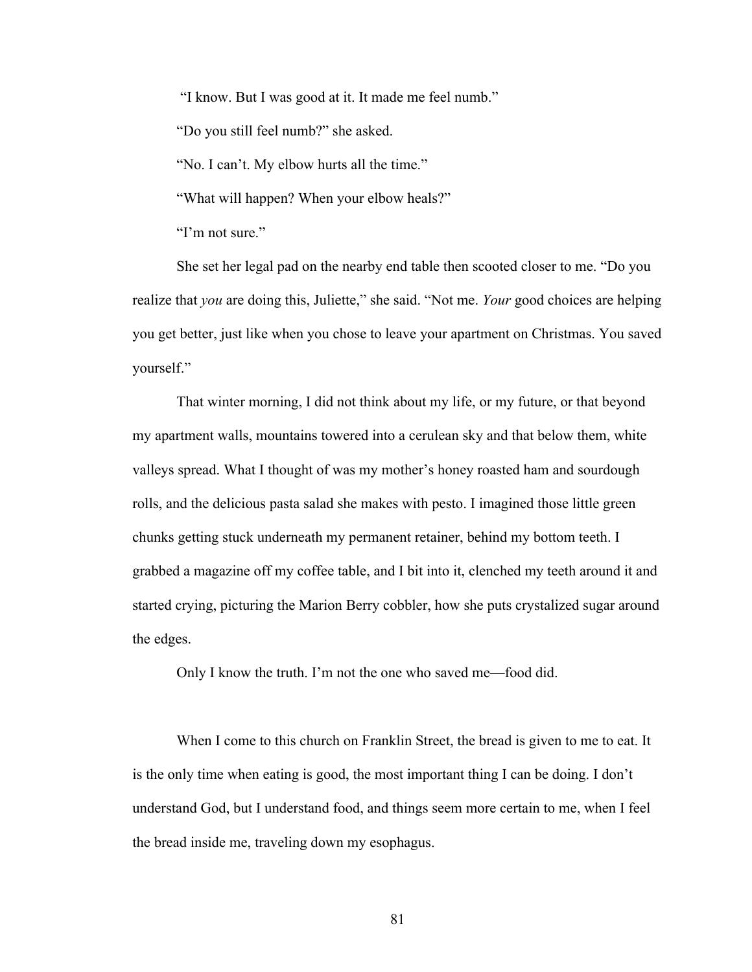"I know. But I was good at it. It made me feel numb."

"Do you still feel numb?" she asked.

"No. I can't. My elbow hurts all the time."

"What will happen? When your elbow heals?"

"I'm not sure."

She set her legal pad on the nearby end table then scooted closer to me. "Do you realize that *you* are doing this, Juliette," she said. "Not me. *Your* good choices are helping you get better, just like when you chose to leave your apartment on Christmas. You saved yourself."

That winter morning, I did not think about my life, or my future, or that beyond my apartment walls, mountains towered into a cerulean sky and that below them, white valleys spread. What I thought of was my mother's honey roasted ham and sourdough rolls, and the delicious pasta salad she makes with pesto. I imagined those little green chunks getting stuck underneath my permanent retainer, behind my bottom teeth. I grabbed a magazine off my coffee table, and I bit into it, clenched my teeth around it and started crying, picturing the Marion Berry cobbler, how she puts crystalized sugar around the edges.

Only I know the truth. I'm not the one who saved me—food did.

When I come to this church on Franklin Street, the bread is given to me to eat. It is the only time when eating is good, the most important thing I can be doing. I don't understand God, but I understand food, and things seem more certain to me, when I feel the bread inside me, traveling down my esophagus.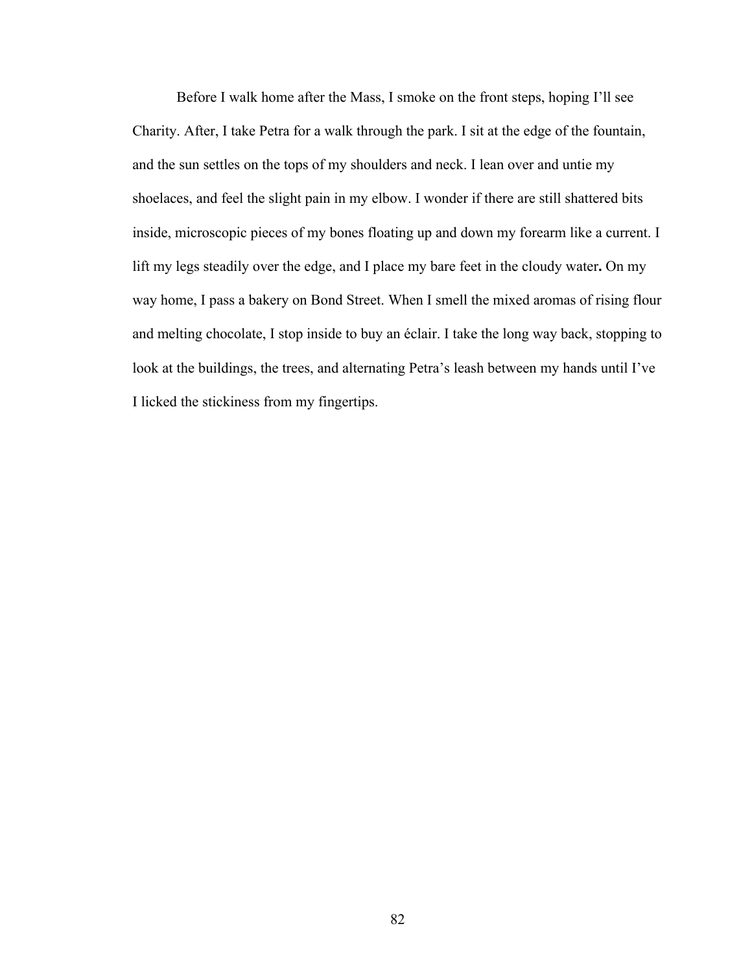Before I walk home after the Mass, I smoke on the front steps, hoping I'll see Charity. After, I take Petra for a walk through the park. I sit at the edge of the fountain, and the sun settles on the tops of my shoulders and neck. I lean over and untie my shoelaces, and feel the slight pain in my elbow. I wonder if there are still shattered bits inside, microscopic pieces of my bones floating up and down my forearm like a current. I lift my legs steadily over the edge, and I place my bare feet in the cloudy water**.** On my way home, I pass a bakery on Bond Street. When I smell the mixed aromas of rising flour and melting chocolate, I stop inside to buy an éclair. I take the long way back, stopping to look at the buildings, the trees, and alternating Petra's leash between my hands until I've I licked the stickiness from my fingertips.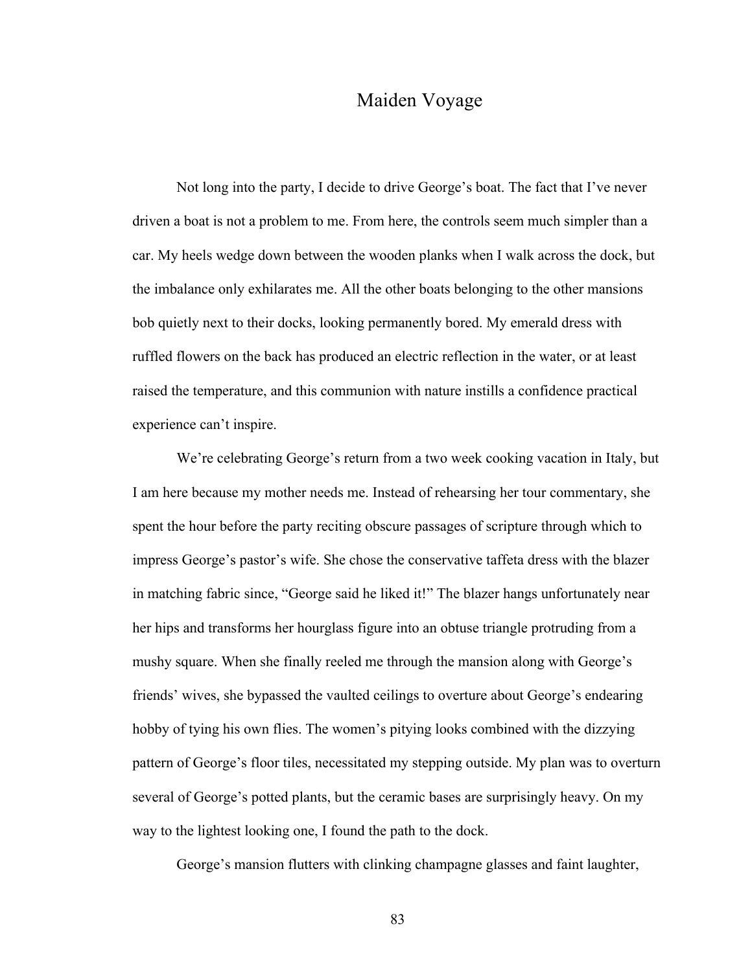## Maiden Voyage

Not long into the party, I decide to drive George's boat. The fact that I've never driven a boat is not a problem to me. From here, the controls seem much simpler than a car. My heels wedge down between the wooden planks when I walk across the dock, but the imbalance only exhilarates me. All the other boats belonging to the other mansions bob quietly next to their docks, looking permanently bored. My emerald dress with ruffled flowers on the back has produced an electric reflection in the water, or at least raised the temperature, and this communion with nature instills a confidence practical experience can't inspire.

We're celebrating George's return from a two week cooking vacation in Italy, but I am here because my mother needs me. Instead of rehearsing her tour commentary, she spent the hour before the party reciting obscure passages of scripture through which to impress George's pastor's wife. She chose the conservative taffeta dress with the blazer in matching fabric since, "George said he liked it!" The blazer hangs unfortunately near her hips and transforms her hourglass figure into an obtuse triangle protruding from a mushy square. When she finally reeled me through the mansion along with George's friends' wives, she bypassed the vaulted ceilings to overture about George's endearing hobby of tying his own flies. The women's pitying looks combined with the dizzying pattern of George's floor tiles, necessitated my stepping outside. My plan was to overturn several of George's potted plants, but the ceramic bases are surprisingly heavy. On my way to the lightest looking one, I found the path to the dock.

George's mansion flutters with clinking champagne glasses and faint laughter,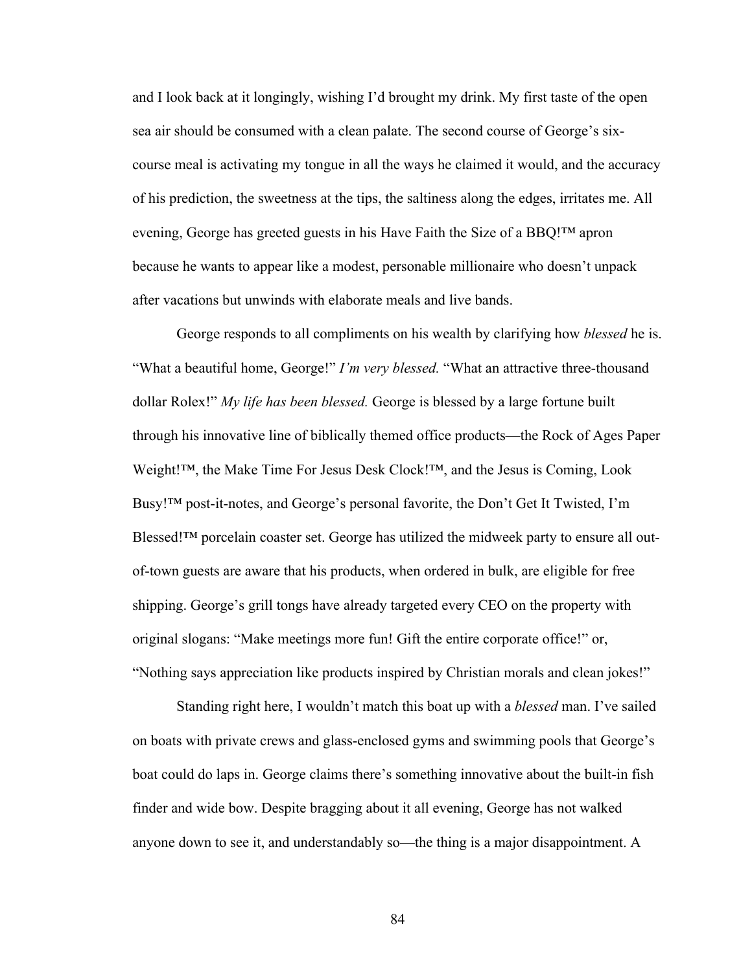and I look back at it longingly, wishing I'd brought my drink. My first taste of the open sea air should be consumed with a clean palate. The second course of George's sixcourse meal is activating my tongue in all the ways he claimed it would, and the accuracy of his prediction, the sweetness at the tips, the saltiness along the edges, irritates me. All evening, George has greeted guests in his Have Faith the Size of a BBQ!™ apron because he wants to appear like a modest, personable millionaire who doesn't unpack after vacations but unwinds with elaborate meals and live bands.

George responds to all compliments on his wealth by clarifying how *blessed* he is. "What a beautiful home, George!" *I'm very blessed.* "What an attractive three-thousand dollar Rolex!" *My life has been blessed.* George is blessed by a large fortune built through his innovative line of biblically themed office products—the Rock of Ages Paper Weight!™, the Make Time For Jesus Desk Clock!™, and the Jesus is Coming, Look Busy!™ post-it-notes, and George's personal favorite, the Don't Get It Twisted, I'm Blessed!™ porcelain coaster set. George has utilized the midweek party to ensure all outof-town guests are aware that his products, when ordered in bulk, are eligible for free shipping. George's grill tongs have already targeted every CEO on the property with original slogans: "Make meetings more fun! Gift the entire corporate office!" or, "Nothing says appreciation like products inspired by Christian morals and clean jokes!"

Standing right here, I wouldn't match this boat up with a *blessed* man. I've sailed on boats with private crews and glass-enclosed gyms and swimming pools that George's boat could do laps in. George claims there's something innovative about the built-in fish finder and wide bow. Despite bragging about it all evening, George has not walked anyone down to see it, and understandably so—the thing is a major disappointment. A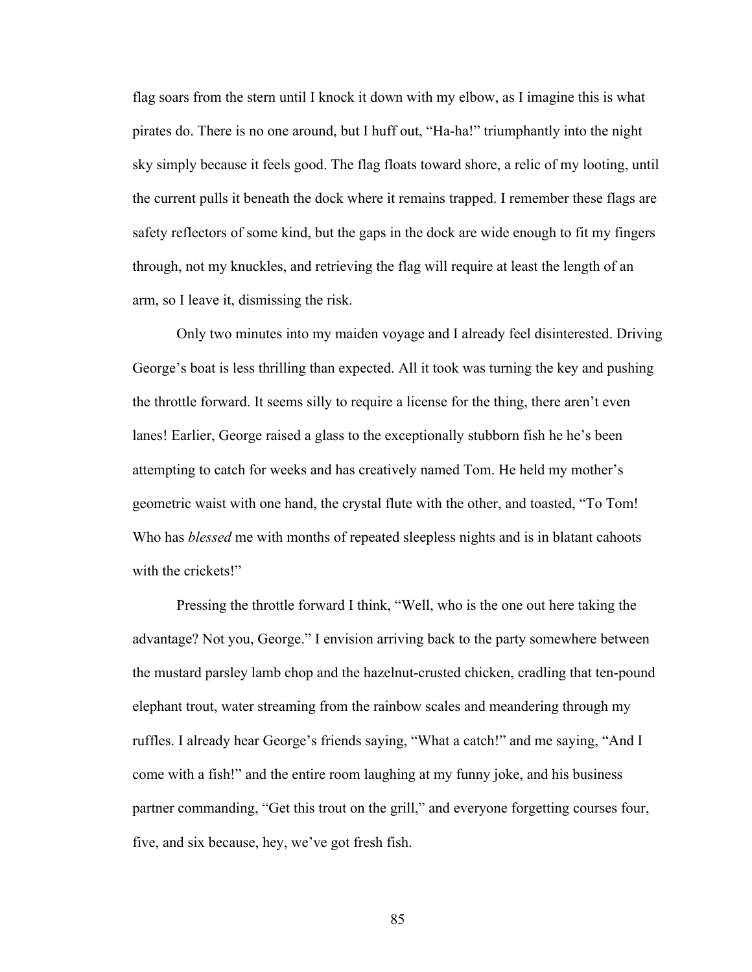flag soars from the stern until I knock it down with my elbow, as I imagine this is what pirates do. There is no one around, but I huff out, "Ha-ha!" triumphantly into the night sky simply because it feels good. The flag floats toward shore, a relic of my looting, until the current pulls it beneath the dock where it remains trapped. I remember these flags are safety reflectors of some kind, but the gaps in the dock are wide enough to fit my fingers through, not my knuckles, and retrieving the flag will require at least the length of an arm, so I leave it, dismissing the risk.

Only two minutes into my maiden voyage and I already feel disinterested. Driving George's boat is less thrilling than expected. All it took was turning the key and pushing the throttle forward. It seems silly to require a license for the thing, there aren't even lanes! Earlier, George raised a glass to the exceptionally stubborn fish he he's been attempting to catch for weeks and has creatively named Tom. He held my mother's geometric waist with one hand, the crystal flute with the other, and toasted, "To Tom! Who has *blessed* me with months of repeated sleepless nights and is in blatant cahoots with the crickets!"

Pressing the throttle forward I think, "Well, who is the one out here taking the advantage? Not you, George." I envision arriving back to the party somewhere between the mustard parsley lamb chop and the hazelnut-crusted chicken, cradling that ten-pound elephant trout, water streaming from the rainbow scales and meandering through my ruffles. I already hear George's friends saying, "What a catch!" and me saying, "And I come with a fish!" and the entire room laughing at my funny joke, and his business partner commanding, "Get this trout on the grill," and everyone forgetting courses four, five, and six because, hey, we've got fresh fish.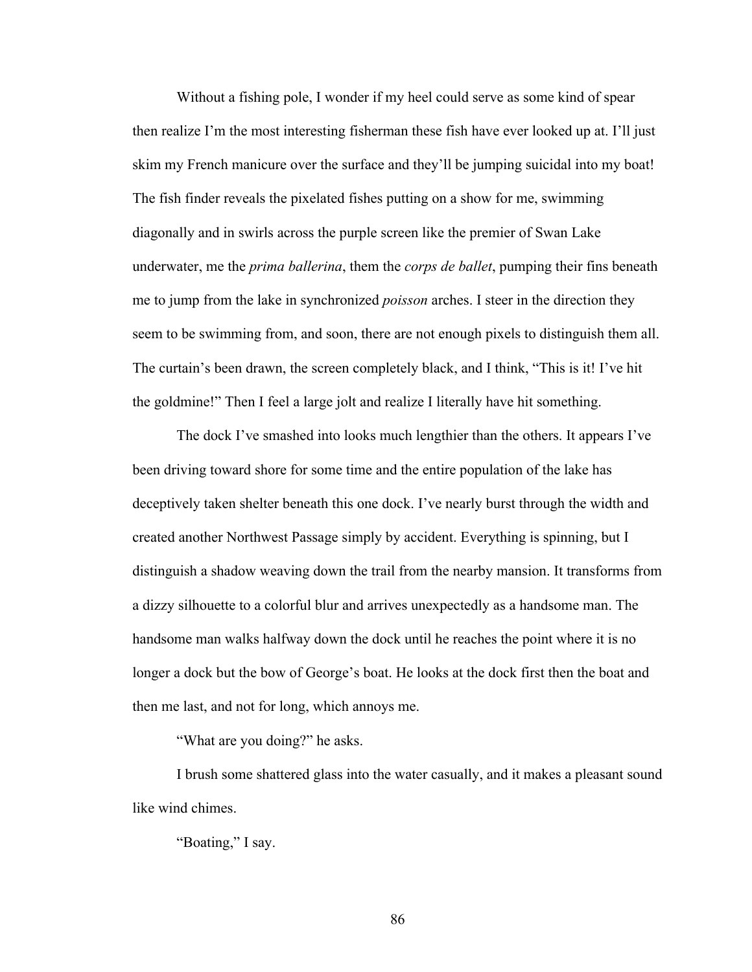Without a fishing pole, I wonder if my heel could serve as some kind of spear then realize I'm the most interesting fisherman these fish have ever looked up at. I'll just skim my French manicure over the surface and they'll be jumping suicidal into my boat! The fish finder reveals the pixelated fishes putting on a show for me, swimming diagonally and in swirls across the purple screen like the premier of Swan Lake underwater, me the *prima ballerina*, them the *corps de ballet*, pumping their fins beneath me to jump from the lake in synchronized *poisson* arches. I steer in the direction they seem to be swimming from, and soon, there are not enough pixels to distinguish them all. The curtain's been drawn, the screen completely black, and I think, "This is it! I've hit the goldmine!" Then I feel a large jolt and realize I literally have hit something.

The dock I've smashed into looks much lengthier than the others. It appears I've been driving toward shore for some time and the entire population of the lake has deceptively taken shelter beneath this one dock. I've nearly burst through the width and created another Northwest Passage simply by accident. Everything is spinning, but I distinguish a shadow weaving down the trail from the nearby mansion. It transforms from a dizzy silhouette to a colorful blur and arrives unexpectedly as a handsome man. The handsome man walks halfway down the dock until he reaches the point where it is no longer a dock but the bow of George's boat. He looks at the dock first then the boat and then me last, and not for long, which annoys me.

"What are you doing?" he asks.

I brush some shattered glass into the water casually, and it makes a pleasant sound like wind chimes.

"Boating," I say.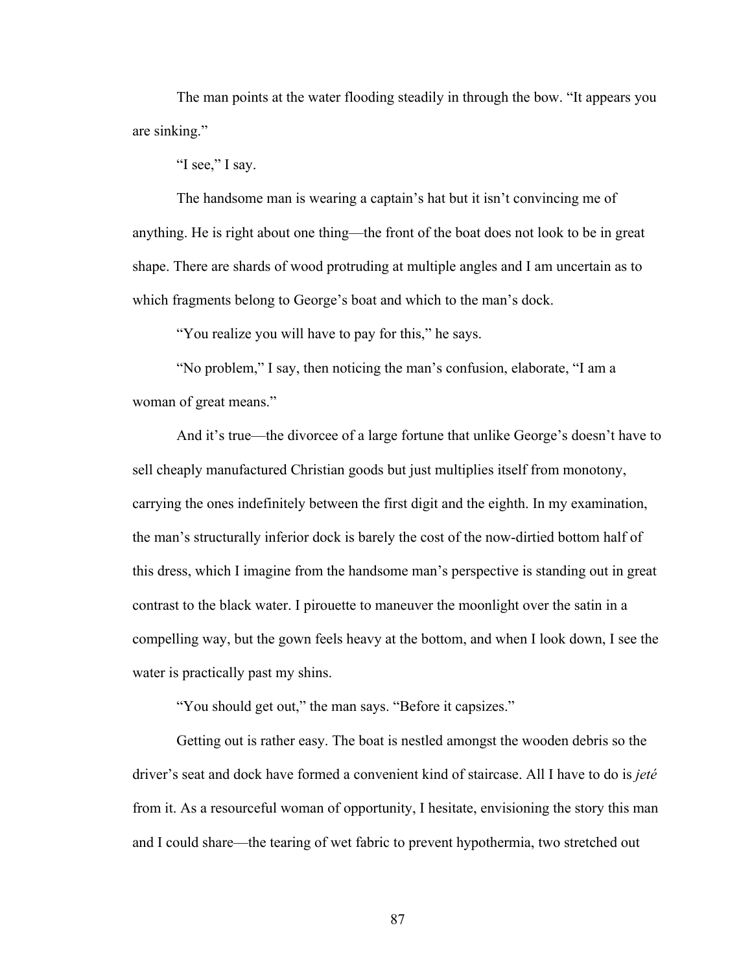The man points at the water flooding steadily in through the bow. "It appears you are sinking."

"I see," I say.

The handsome man is wearing a captain's hat but it isn't convincing me of anything. He is right about one thing—the front of the boat does not look to be in great shape. There are shards of wood protruding at multiple angles and I am uncertain as to which fragments belong to George's boat and which to the man's dock.

"You realize you will have to pay for this," he says.

"No problem," I say, then noticing the man's confusion, elaborate, "I am a woman of great means."

And it's true—the divorcee of a large fortune that unlike George's doesn't have to sell cheaply manufactured Christian goods but just multiplies itself from monotony, carrying the ones indefinitely between the first digit and the eighth. In my examination, the man's structurally inferior dock is barely the cost of the now-dirtied bottom half of this dress, which I imagine from the handsome man's perspective is standing out in great contrast to the black water. I pirouette to maneuver the moonlight over the satin in a compelling way, but the gown feels heavy at the bottom, and when I look down, I see the water is practically past my shins.

"You should get out," the man says. "Before it capsizes."

Getting out is rather easy. The boat is nestled amongst the wooden debris so the driver's seat and dock have formed a convenient kind of staircase. All I have to do is *jeté* from it. As a resourceful woman of opportunity, I hesitate, envisioning the story this man and I could share—the tearing of wet fabric to prevent hypothermia, two stretched out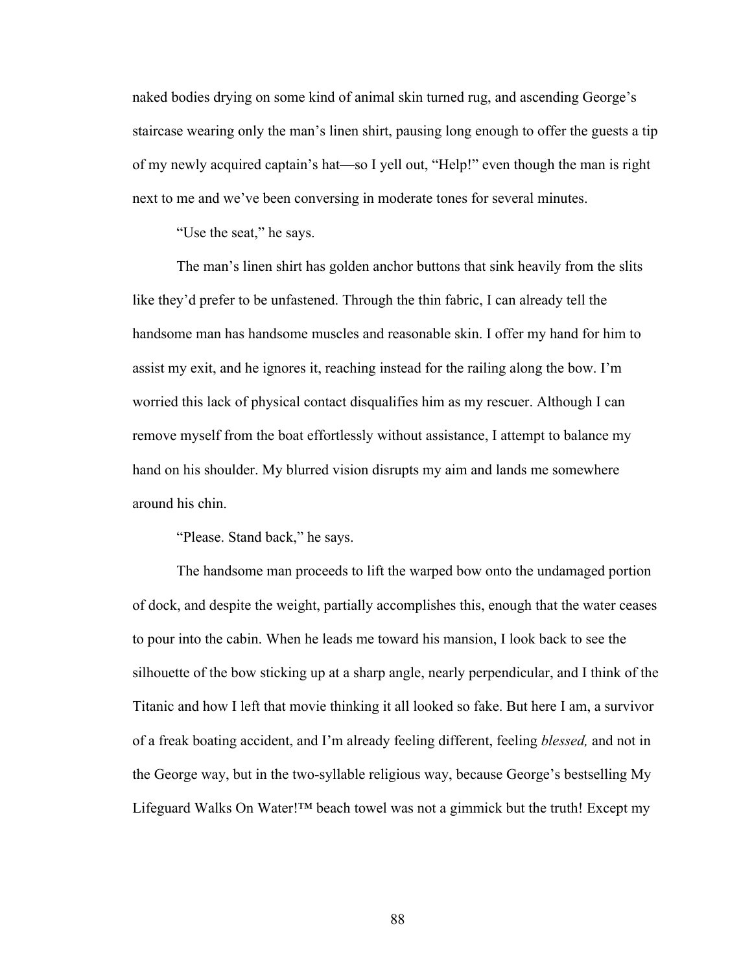naked bodies drying on some kind of animal skin turned rug, and ascending George's staircase wearing only the man's linen shirt, pausing long enough to offer the guests a tip of my newly acquired captain's hat—so I yell out, "Help!" even though the man is right next to me and we've been conversing in moderate tones for several minutes.

"Use the seat," he says.

The man's linen shirt has golden anchor buttons that sink heavily from the slits like they'd prefer to be unfastened. Through the thin fabric, I can already tell the handsome man has handsome muscles and reasonable skin. I offer my hand for him to assist my exit, and he ignores it, reaching instead for the railing along the bow. I'm worried this lack of physical contact disqualifies him as my rescuer. Although I can remove myself from the boat effortlessly without assistance, I attempt to balance my hand on his shoulder. My blurred vision disrupts my aim and lands me somewhere around his chin.

"Please. Stand back," he says.

The handsome man proceeds to lift the warped bow onto the undamaged portion of dock, and despite the weight, partially accomplishes this, enough that the water ceases to pour into the cabin. When he leads me toward his mansion, I look back to see the silhouette of the bow sticking up at a sharp angle, nearly perpendicular, and I think of the Titanic and how I left that movie thinking it all looked so fake. But here I am, a survivor of a freak boating accident, and I'm already feeling different, feeling *blessed,* and not in the George way, but in the two-syllable religious way, because George's bestselling My Lifeguard Walks On Water! $TM$  beach towel was not a gimmick but the truth! Except my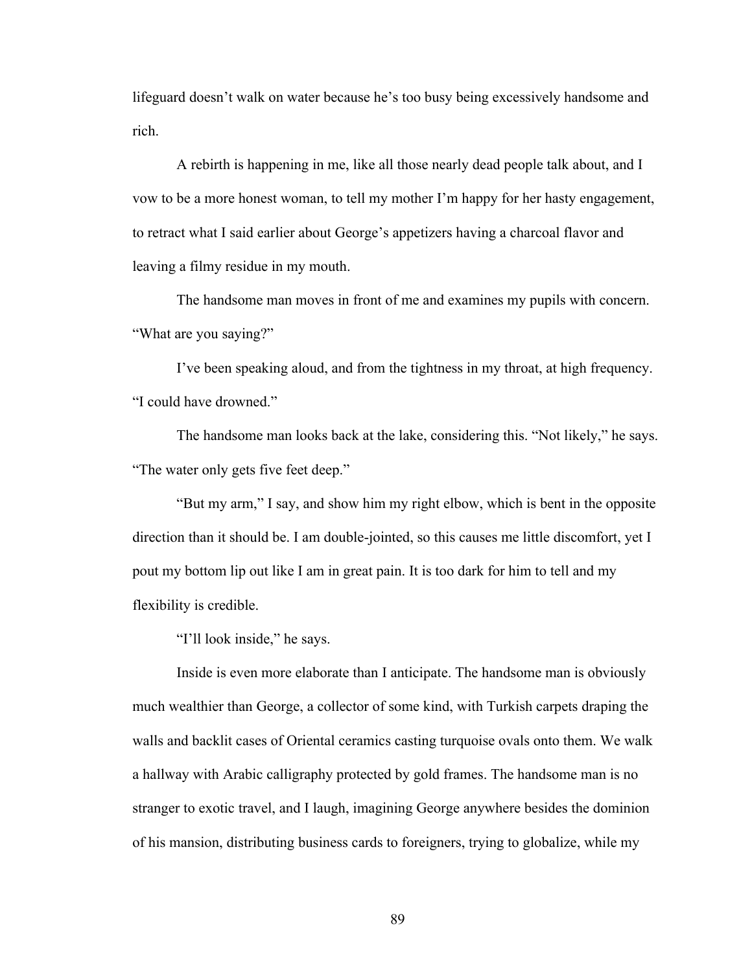lifeguard doesn't walk on water because he's too busy being excessively handsome and rich.

A rebirth is happening in me, like all those nearly dead people talk about, and I vow to be a more honest woman, to tell my mother I'm happy for her hasty engagement, to retract what I said earlier about George's appetizers having a charcoal flavor and leaving a filmy residue in my mouth.

The handsome man moves in front of me and examines my pupils with concern. "What are you saying?"

I've been speaking aloud, and from the tightness in my throat, at high frequency. "I could have drowned."

The handsome man looks back at the lake, considering this. "Not likely," he says. "The water only gets five feet deep."

"But my arm," I say, and show him my right elbow, which is bent in the opposite direction than it should be. I am double-jointed, so this causes me little discomfort, yet I pout my bottom lip out like I am in great pain. It is too dark for him to tell and my flexibility is credible.

"I'll look inside," he says.

Inside is even more elaborate than I anticipate. The handsome man is obviously much wealthier than George, a collector of some kind, with Turkish carpets draping the walls and backlit cases of Oriental ceramics casting turquoise ovals onto them. We walk a hallway with Arabic calligraphy protected by gold frames. The handsome man is no stranger to exotic travel, and I laugh, imagining George anywhere besides the dominion of his mansion, distributing business cards to foreigners, trying to globalize, while my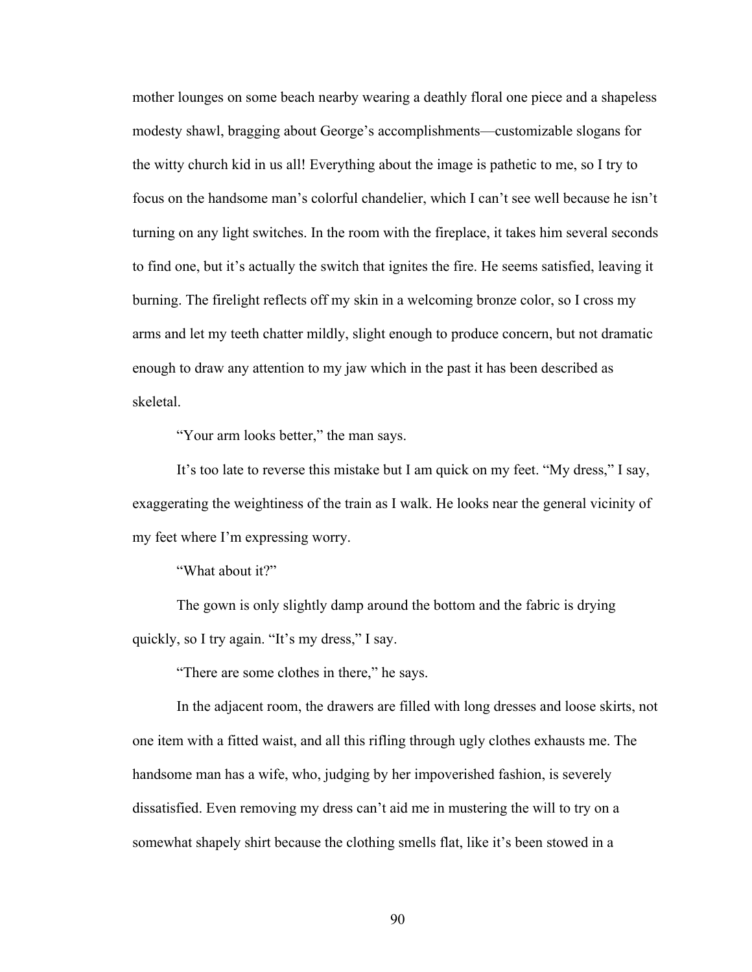mother lounges on some beach nearby wearing a deathly floral one piece and a shapeless modesty shawl, bragging about George's accomplishments—customizable slogans for the witty church kid in us all! Everything about the image is pathetic to me, so I try to focus on the handsome man's colorful chandelier, which I can't see well because he isn't turning on any light switches. In the room with the fireplace, it takes him several seconds to find one, but it's actually the switch that ignites the fire. He seems satisfied, leaving it burning. The firelight reflects off my skin in a welcoming bronze color, so I cross my arms and let my teeth chatter mildly, slight enough to produce concern, but not dramatic enough to draw any attention to my jaw which in the past it has been described as skeletal.

"Your arm looks better," the man says.

It's too late to reverse this mistake but I am quick on my feet. "My dress," I say, exaggerating the weightiness of the train as I walk. He looks near the general vicinity of my feet where I'm expressing worry.

"What about it?"

The gown is only slightly damp around the bottom and the fabric is drying quickly, so I try again. "It's my dress," I say.

"There are some clothes in there," he says.

In the adjacent room, the drawers are filled with long dresses and loose skirts, not one item with a fitted waist, and all this rifling through ugly clothes exhausts me. The handsome man has a wife, who, judging by her impoverished fashion, is severely dissatisfied. Even removing my dress can't aid me in mustering the will to try on a somewhat shapely shirt because the clothing smells flat, like it's been stowed in a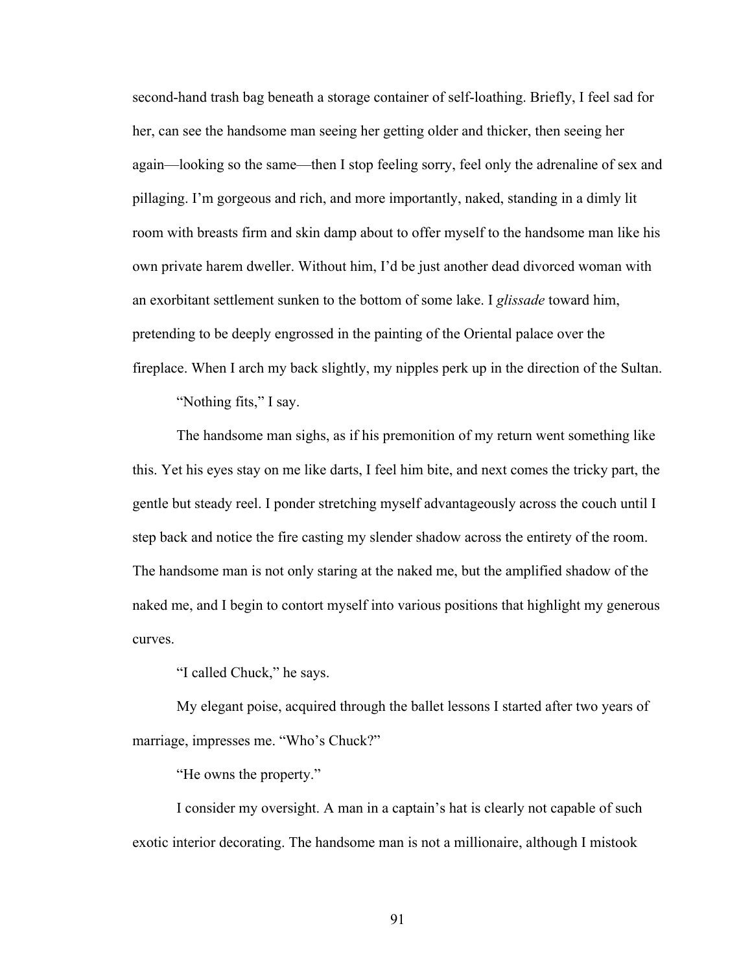second-hand trash bag beneath a storage container of self-loathing. Briefly, I feel sad for her, can see the handsome man seeing her getting older and thicker, then seeing her again—looking so the same—then I stop feeling sorry, feel only the adrenaline of sex and pillaging. I'm gorgeous and rich, and more importantly, naked, standing in a dimly lit room with breasts firm and skin damp about to offer myself to the handsome man like his own private harem dweller. Without him, I'd be just another dead divorced woman with an exorbitant settlement sunken to the bottom of some lake. I *glissade* toward him, pretending to be deeply engrossed in the painting of the Oriental palace over the fireplace. When I arch my back slightly, my nipples perk up in the direction of the Sultan.

"Nothing fits," I say.

The handsome man sighs, as if his premonition of my return went something like this. Yet his eyes stay on me like darts, I feel him bite, and next comes the tricky part, the gentle but steady reel. I ponder stretching myself advantageously across the couch until I step back and notice the fire casting my slender shadow across the entirety of the room. The handsome man is not only staring at the naked me, but the amplified shadow of the naked me, and I begin to contort myself into various positions that highlight my generous curves.

"I called Chuck," he says.

My elegant poise, acquired through the ballet lessons I started after two years of marriage, impresses me. "Who's Chuck?"

"He owns the property."

I consider my oversight. A man in a captain's hat is clearly not capable of such exotic interior decorating. The handsome man is not a millionaire, although I mistook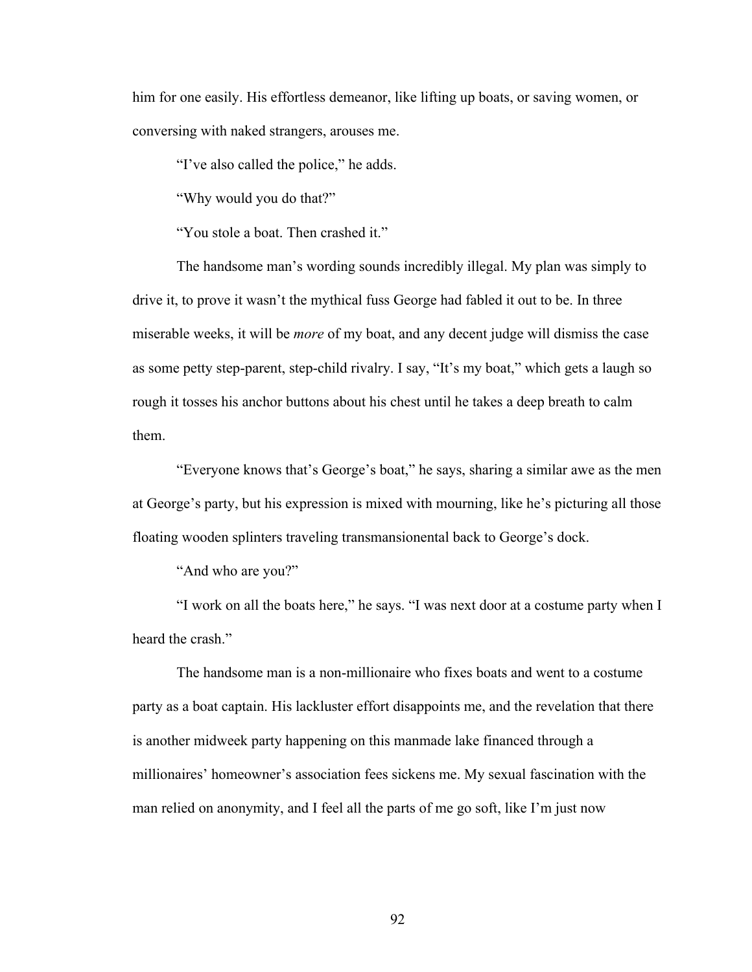him for one easily. His effortless demeanor, like lifting up boats, or saving women, or conversing with naked strangers, arouses me.

"I've also called the police," he adds.

"Why would you do that?"

"You stole a boat. Then crashed it."

The handsome man's wording sounds incredibly illegal. My plan was simply to drive it, to prove it wasn't the mythical fuss George had fabled it out to be. In three miserable weeks, it will be *more* of my boat, and any decent judge will dismiss the case as some petty step-parent, step-child rivalry. I say, "It's my boat," which gets a laugh so rough it tosses his anchor buttons about his chest until he takes a deep breath to calm them.

"Everyone knows that's George's boat," he says, sharing a similar awe as the men at George's party, but his expression is mixed with mourning, like he's picturing all those floating wooden splinters traveling transmansionental back to George's dock.

"And who are you?"

"I work on all the boats here," he says. "I was next door at a costume party when I heard the crash."

The handsome man is a non-millionaire who fixes boats and went to a costume party as a boat captain. His lackluster effort disappoints me, and the revelation that there is another midweek party happening on this manmade lake financed through a millionaires' homeowner's association fees sickens me. My sexual fascination with the man relied on anonymity, and I feel all the parts of me go soft, like I'm just now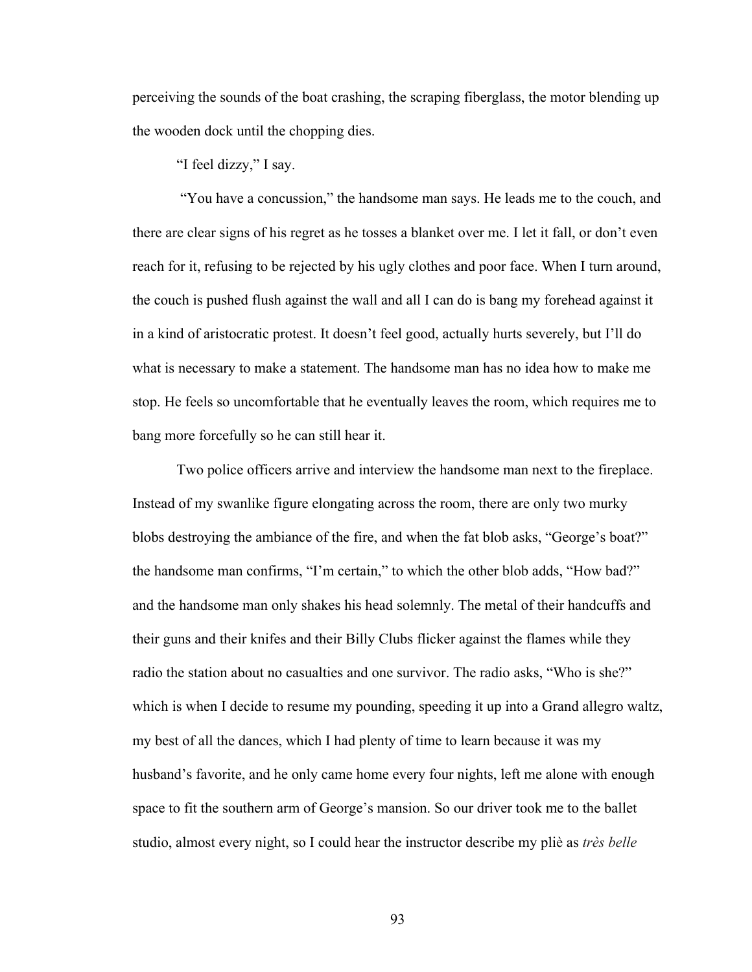perceiving the sounds of the boat crashing, the scraping fiberglass, the motor blending up the wooden dock until the chopping dies.

"I feel dizzy," I say.

"You have a concussion," the handsome man says. He leads me to the couch, and there are clear signs of his regret as he tosses a blanket over me. I let it fall, or don't even reach for it, refusing to be rejected by his ugly clothes and poor face. When I turn around, the couch is pushed flush against the wall and all I can do is bang my forehead against it in a kind of aristocratic protest. It doesn't feel good, actually hurts severely, but I'll do what is necessary to make a statement. The handsome man has no idea how to make me stop. He feels so uncomfortable that he eventually leaves the room, which requires me to bang more forcefully so he can still hear it.

Two police officers arrive and interview the handsome man next to the fireplace. Instead of my swanlike figure elongating across the room, there are only two murky blobs destroying the ambiance of the fire, and when the fat blob asks, "George's boat?" the handsome man confirms, "I'm certain," to which the other blob adds, "How bad?" and the handsome man only shakes his head solemnly. The metal of their handcuffs and their guns and their knifes and their Billy Clubs flicker against the flames while they radio the station about no casualties and one survivor. The radio asks, "Who is she?" which is when I decide to resume my pounding, speeding it up into a Grand allegro waltz, my best of all the dances, which I had plenty of time to learn because it was my husband's favorite, and he only came home every four nights, left me alone with enough space to fit the southern arm of George's mansion. So our driver took me to the ballet studio, almost every night, so I could hear the instructor describe my pliè as *très belle*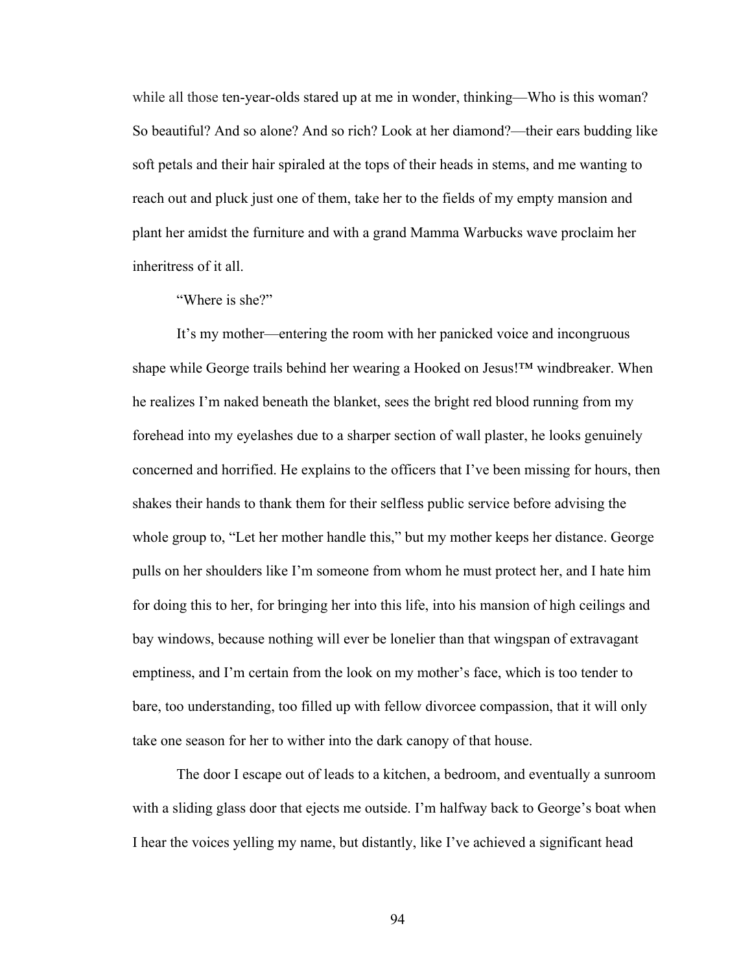while all those ten-year-olds stared up at me in wonder, thinking—Who is this woman? So beautiful? And so alone? And so rich? Look at her diamond?—their ears budding like soft petals and their hair spiraled at the tops of their heads in stems, and me wanting to reach out and pluck just one of them, take her to the fields of my empty mansion and plant her amidst the furniture and with a grand Mamma Warbucks wave proclaim her inheritress of it all.

"Where is she?"

It's my mother—entering the room with her panicked voice and incongruous shape while George trails behind her wearing a Hooked on Jesus!™ windbreaker. When he realizes I'm naked beneath the blanket, sees the bright red blood running from my forehead into my eyelashes due to a sharper section of wall plaster, he looks genuinely concerned and horrified. He explains to the officers that I've been missing for hours, then shakes their hands to thank them for their selfless public service before advising the whole group to, "Let her mother handle this," but my mother keeps her distance. George pulls on her shoulders like I'm someone from whom he must protect her, and I hate him for doing this to her, for bringing her into this life, into his mansion of high ceilings and bay windows, because nothing will ever be lonelier than that wingspan of extravagant emptiness, and I'm certain from the look on my mother's face, which is too tender to bare, too understanding, too filled up with fellow divorcee compassion, that it will only take one season for her to wither into the dark canopy of that house.

The door I escape out of leads to a kitchen, a bedroom, and eventually a sunroom with a sliding glass door that ejects me outside. I'm halfway back to George's boat when I hear the voices yelling my name, but distantly, like I've achieved a significant head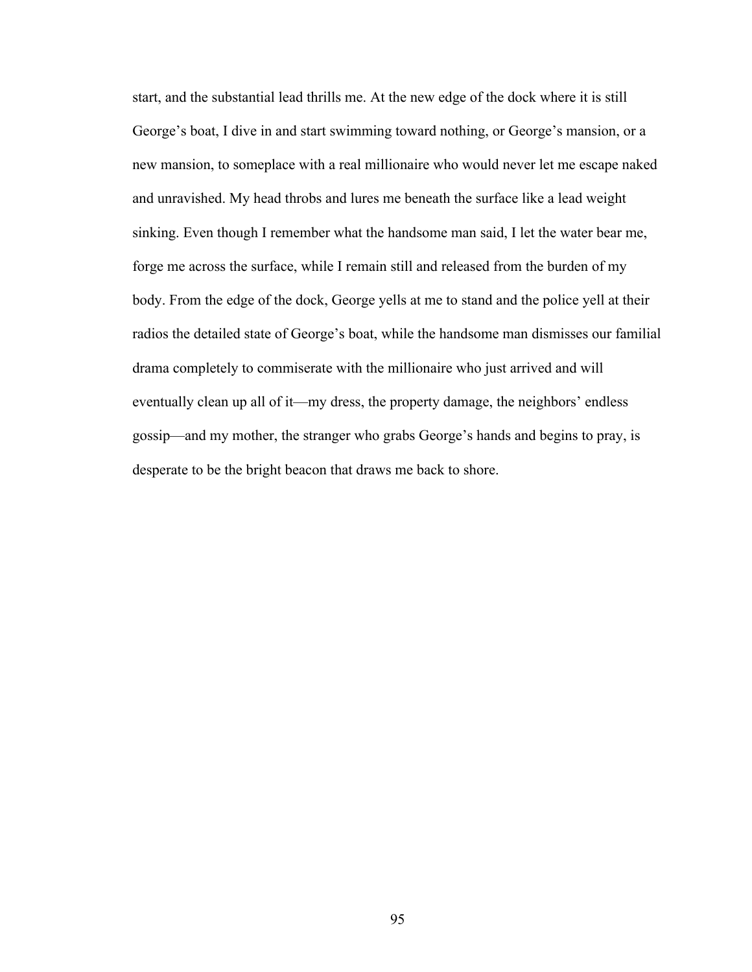start, and the substantial lead thrills me. At the new edge of the dock where it is still George's boat, I dive in and start swimming toward nothing, or George's mansion, or a new mansion, to someplace with a real millionaire who would never let me escape naked and unravished. My head throbs and lures me beneath the surface like a lead weight sinking. Even though I remember what the handsome man said, I let the water bear me, forge me across the surface, while I remain still and released from the burden of my body. From the edge of the dock, George yells at me to stand and the police yell at their radios the detailed state of George's boat, while the handsome man dismisses our familial drama completely to commiserate with the millionaire who just arrived and will eventually clean up all of it—my dress, the property damage, the neighbors' endless gossip—and my mother, the stranger who grabs George's hands and begins to pray, is desperate to be the bright beacon that draws me back to shore.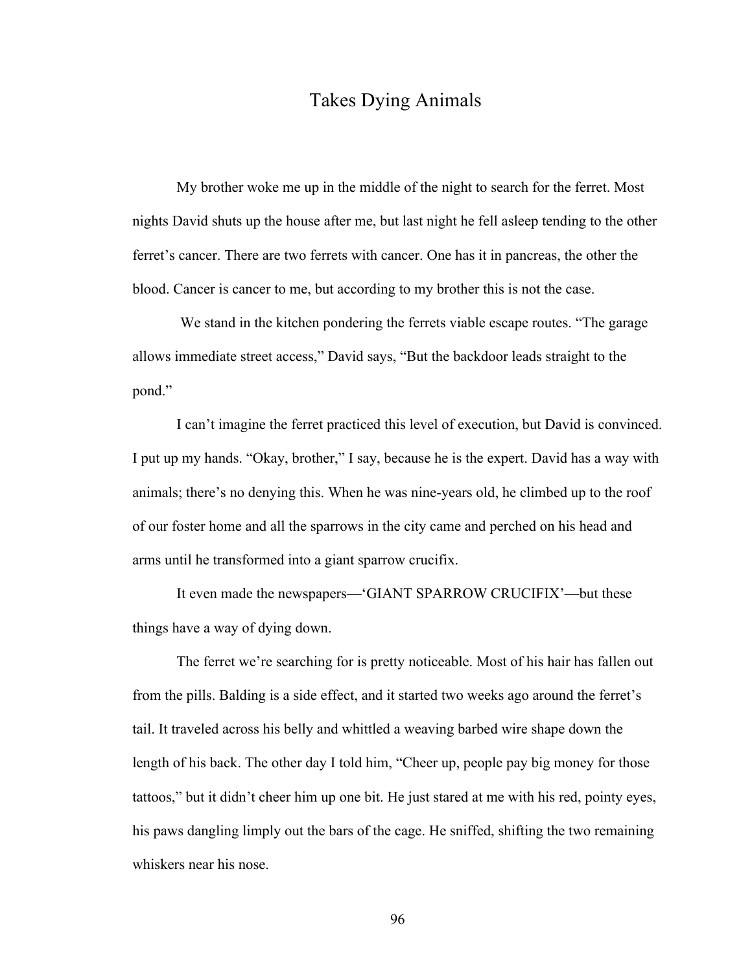## Takes Dying Animals

My brother woke me up in the middle of the night to search for the ferret. Most nights David shuts up the house after me, but last night he fell asleep tending to the other ferret's cancer. There are two ferrets with cancer. One has it in pancreas, the other the blood. Cancer is cancer to me, but according to my brother this is not the case.

We stand in the kitchen pondering the ferrets viable escape routes. "The garage allows immediate street access," David says, "But the backdoor leads straight to the pond."

I can't imagine the ferret practiced this level of execution, but David is convinced. I put up my hands. "Okay, brother," I say, because he is the expert. David has a way with animals; there's no denying this. When he was nine-years old, he climbed up to the roof of our foster home and all the sparrows in the city came and perched on his head and arms until he transformed into a giant sparrow crucifix.

It even made the newspapers—'GIANT SPARROW CRUCIFIX'—but these things have a way of dying down.

The ferret we're searching for is pretty noticeable. Most of his hair has fallen out from the pills. Balding is a side effect, and it started two weeks ago around the ferret's tail. It traveled across his belly and whittled a weaving barbed wire shape down the length of his back. The other day I told him, "Cheer up, people pay big money for those tattoos," but it didn't cheer him up one bit. He just stared at me with his red, pointy eyes, his paws dangling limply out the bars of the cage. He sniffed, shifting the two remaining whiskers near his nose.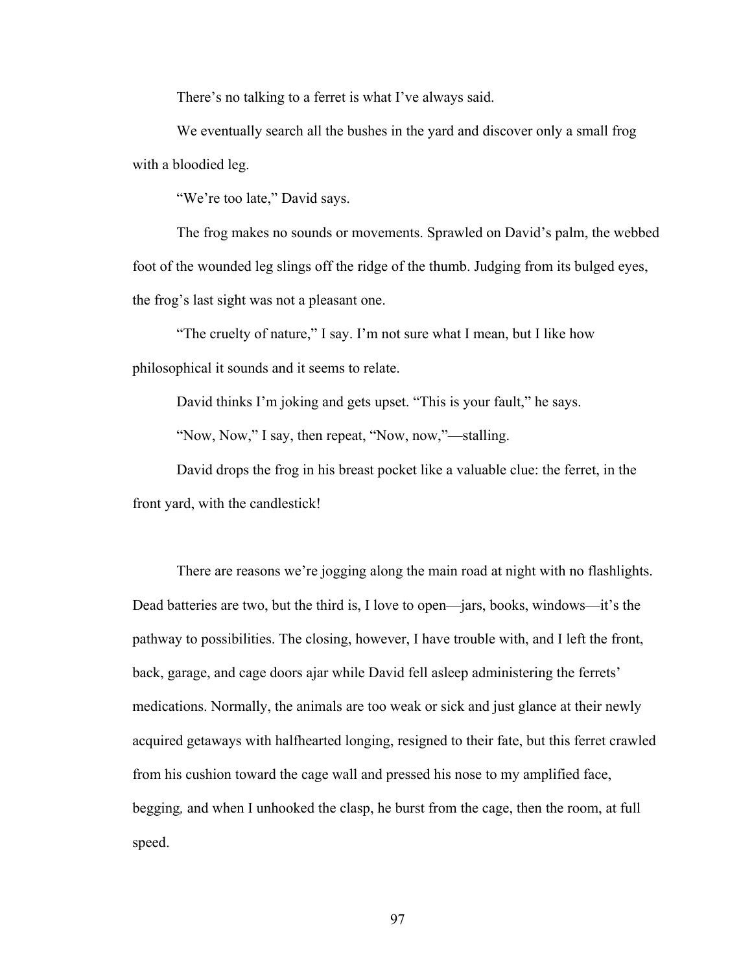There's no talking to a ferret is what I've always said.

We eventually search all the bushes in the yard and discover only a small frog with a bloodied leg.

"We're too late," David says.

The frog makes no sounds or movements. Sprawled on David's palm, the webbed foot of the wounded leg slings off the ridge of the thumb. Judging from its bulged eyes, the frog's last sight was not a pleasant one.

"The cruelty of nature," I say. I'm not sure what I mean, but I like how philosophical it sounds and it seems to relate.

David thinks I'm joking and gets upset. "This is your fault," he says.

"Now, Now," I say, then repeat, "Now, now,"—stalling.

David drops the frog in his breast pocket like a valuable clue: the ferret, in the front yard, with the candlestick!

There are reasons we're jogging along the main road at night with no flashlights. Dead batteries are two, but the third is, I love to open—jars, books, windows—it's the pathway to possibilities. The closing, however, I have trouble with, and I left the front, back, garage, and cage doors ajar while David fell asleep administering the ferrets' medications. Normally, the animals are too weak or sick and just glance at their newly acquired getaways with halfhearted longing, resigned to their fate, but this ferret crawled from his cushion toward the cage wall and pressed his nose to my amplified face, begging*,* and when I unhooked the clasp, he burst from the cage, then the room, at full speed.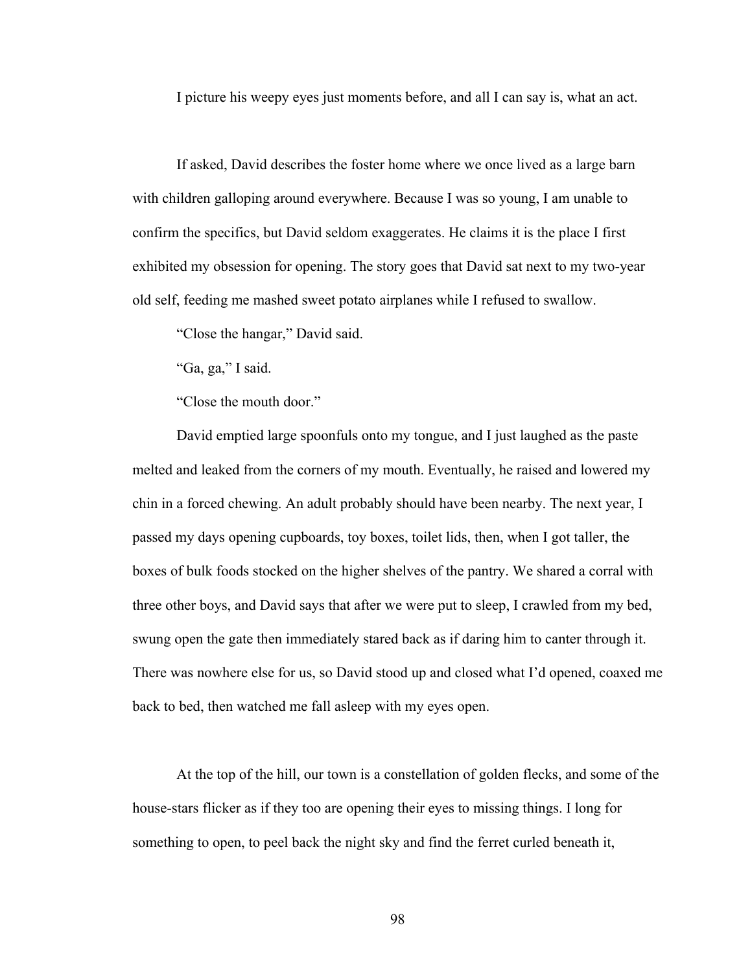I picture his weepy eyes just moments before, and all I can say is, what an act.

If asked, David describes the foster home where we once lived as a large barn with children galloping around everywhere. Because I was so young, I am unable to confirm the specifics, but David seldom exaggerates. He claims it is the place I first exhibited my obsession for opening. The story goes that David sat next to my two-year old self, feeding me mashed sweet potato airplanes while I refused to swallow.

"Close the hangar," David said.

"Ga, ga," I said.

"Close the mouth door."

David emptied large spoonfuls onto my tongue, and I just laughed as the paste melted and leaked from the corners of my mouth. Eventually, he raised and lowered my chin in a forced chewing. An adult probably should have been nearby. The next year, I passed my days opening cupboards, toy boxes, toilet lids, then, when I got taller, the boxes of bulk foods stocked on the higher shelves of the pantry. We shared a corral with three other boys, and David says that after we were put to sleep, I crawled from my bed, swung open the gate then immediately stared back as if daring him to canter through it. There was nowhere else for us, so David stood up and closed what I'd opened, coaxed me back to bed, then watched me fall asleep with my eyes open.

At the top of the hill, our town is a constellation of golden flecks, and some of the house-stars flicker as if they too are opening their eyes to missing things. I long for something to open, to peel back the night sky and find the ferret curled beneath it,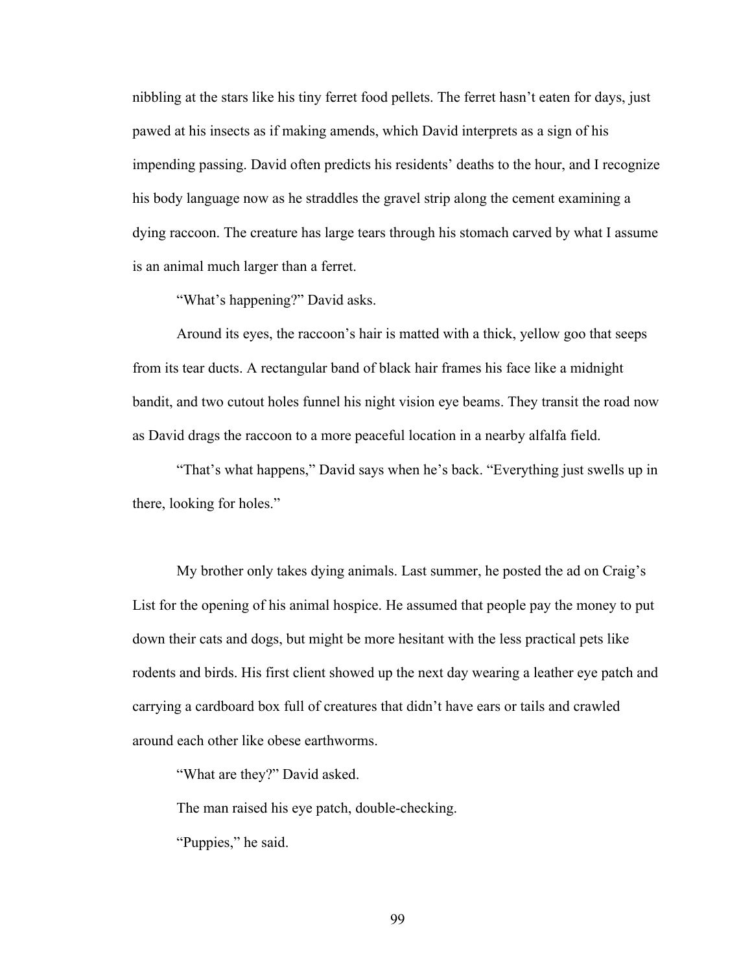nibbling at the stars like his tiny ferret food pellets. The ferret hasn't eaten for days, just pawed at his insects as if making amends, which David interprets as a sign of his impending passing. David often predicts his residents' deaths to the hour, and I recognize his body language now as he straddles the gravel strip along the cement examining a dying raccoon. The creature has large tears through his stomach carved by what I assume is an animal much larger than a ferret.

"What's happening?" David asks.

Around its eyes, the raccoon's hair is matted with a thick, yellow goo that seeps from its tear ducts. A rectangular band of black hair frames his face like a midnight bandit, and two cutout holes funnel his night vision eye beams. They transit the road now as David drags the raccoon to a more peaceful location in a nearby alfalfa field.

"That's what happens," David says when he's back. "Everything just swells up in there, looking for holes."

My brother only takes dying animals. Last summer, he posted the ad on Craig's List for the opening of his animal hospice. He assumed that people pay the money to put down their cats and dogs, but might be more hesitant with the less practical pets like rodents and birds. His first client showed up the next day wearing a leather eye patch and carrying a cardboard box full of creatures that didn't have ears or tails and crawled around each other like obese earthworms.

"What are they?" David asked.

The man raised his eye patch, double-checking.

"Puppies," he said.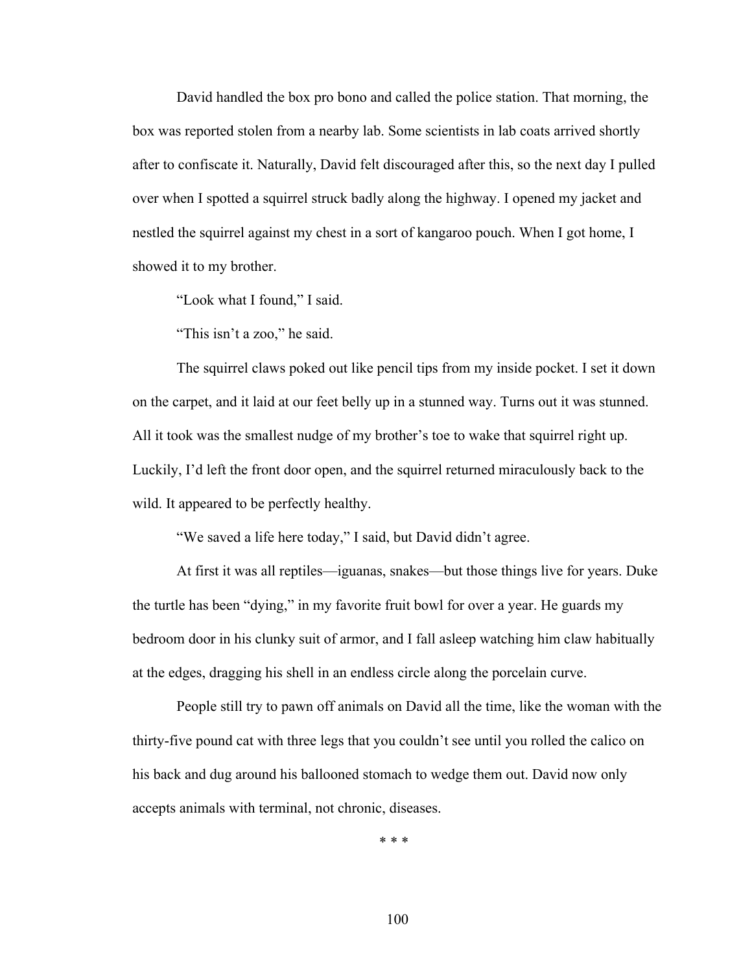David handled the box pro bono and called the police station. That morning, the box was reported stolen from a nearby lab. Some scientists in lab coats arrived shortly after to confiscate it. Naturally, David felt discouraged after this, so the next day I pulled over when I spotted a squirrel struck badly along the highway. I opened my jacket and nestled the squirrel against my chest in a sort of kangaroo pouch. When I got home, I showed it to my brother.

"Look what I found," I said.

"This isn't a zoo," he said.

The squirrel claws poked out like pencil tips from my inside pocket. I set it down on the carpet, and it laid at our feet belly up in a stunned way. Turns out it was stunned. All it took was the smallest nudge of my brother's toe to wake that squirrel right up. Luckily, I'd left the front door open, and the squirrel returned miraculously back to the wild. It appeared to be perfectly healthy.

"We saved a life here today," I said, but David didn't agree.

At first it was all reptiles—iguanas, snakes—but those things live for years. Duke the turtle has been "dying," in my favorite fruit bowl for over a year. He guards my bedroom door in his clunky suit of armor, and I fall asleep watching him claw habitually at the edges, dragging his shell in an endless circle along the porcelain curve.

People still try to pawn off animals on David all the time, like the woman with the thirty-five pound cat with three legs that you couldn't see until you rolled the calico on his back and dug around his ballooned stomach to wedge them out. David now only accepts animals with terminal, not chronic, diseases.

\* \* \*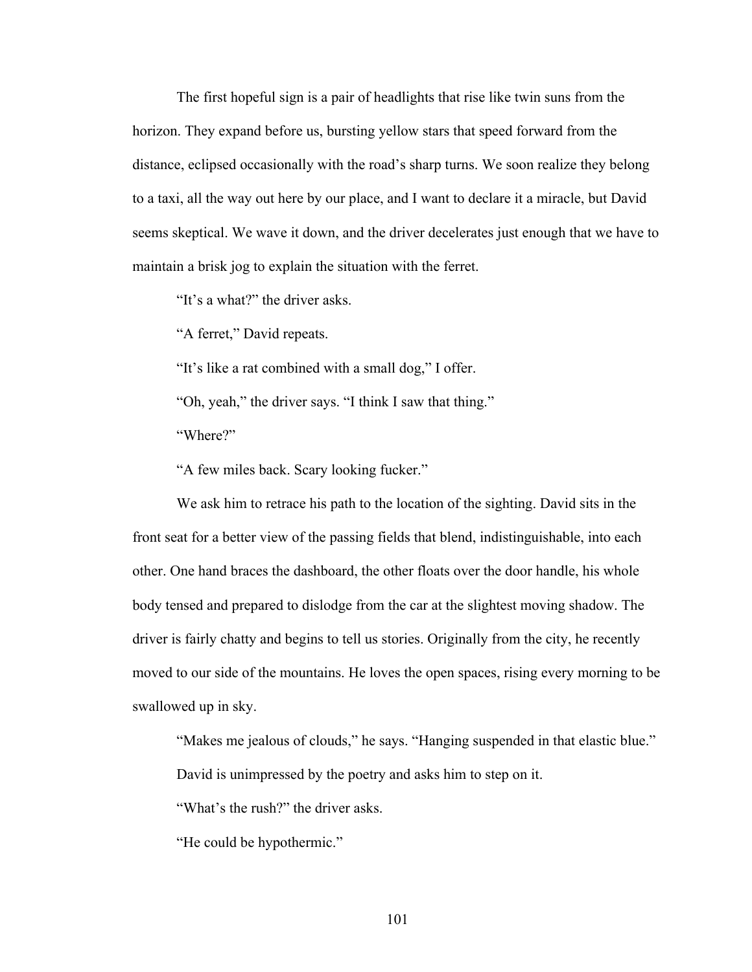The first hopeful sign is a pair of headlights that rise like twin suns from the horizon. They expand before us, bursting yellow stars that speed forward from the distance, eclipsed occasionally with the road's sharp turns. We soon realize they belong to a taxi, all the way out here by our place, and I want to declare it a miracle, but David seems skeptical. We wave it down, and the driver decelerates just enough that we have to maintain a brisk jog to explain the situation with the ferret.

"It's a what?" the driver asks.

"A ferret," David repeats.

"It's like a rat combined with a small dog," I offer.

"Oh, yeah," the driver says. "I think I saw that thing."

"Where?"

"A few miles back. Scary looking fucker."

We ask him to retrace his path to the location of the sighting. David sits in the front seat for a better view of the passing fields that blend, indistinguishable, into each other. One hand braces the dashboard, the other floats over the door handle, his whole body tensed and prepared to dislodge from the car at the slightest moving shadow. The driver is fairly chatty and begins to tell us stories. Originally from the city, he recently moved to our side of the mountains. He loves the open spaces, rising every morning to be swallowed up in sky.

"Makes me jealous of clouds," he says. "Hanging suspended in that elastic blue." David is unimpressed by the poetry and asks him to step on it.

"What's the rush?" the driver asks.

"He could be hypothermic."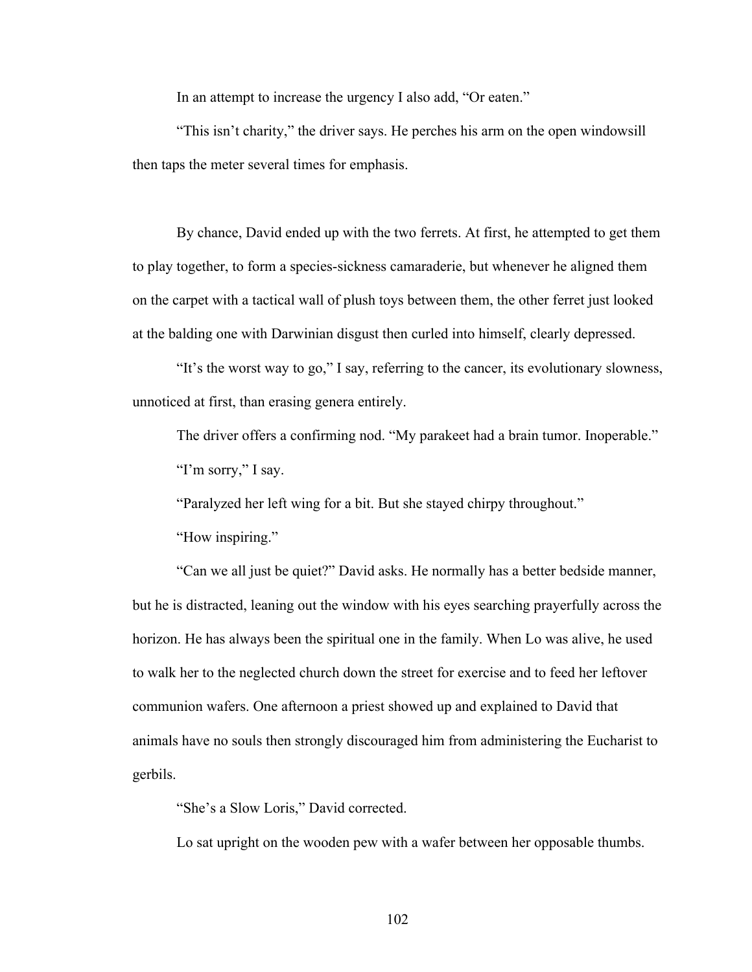In an attempt to increase the urgency I also add, "Or eaten."

"This isn't charity," the driver says. He perches his arm on the open windowsill then taps the meter several times for emphasis.

By chance, David ended up with the two ferrets. At first, he attempted to get them to play together, to form a species-sickness camaraderie, but whenever he aligned them on the carpet with a tactical wall of plush toys between them, the other ferret just looked at the balding one with Darwinian disgust then curled into himself, clearly depressed.

"It's the worst way to go," I say, referring to the cancer, its evolutionary slowness, unnoticed at first, than erasing genera entirely.

The driver offers a confirming nod. "My parakeet had a brain tumor. Inoperable." "I'm sorry," I say.

"Paralyzed her left wing for a bit. But she stayed chirpy throughout."

"How inspiring."

"Can we all just be quiet?" David asks. He normally has a better bedside manner, but he is distracted, leaning out the window with his eyes searching prayerfully across the horizon. He has always been the spiritual one in the family. When Lo was alive, he used to walk her to the neglected church down the street for exercise and to feed her leftover communion wafers. One afternoon a priest showed up and explained to David that animals have no souls then strongly discouraged him from administering the Eucharist to gerbils.

"She's a Slow Loris," David corrected.

Lo sat upright on the wooden pew with a wafer between her opposable thumbs.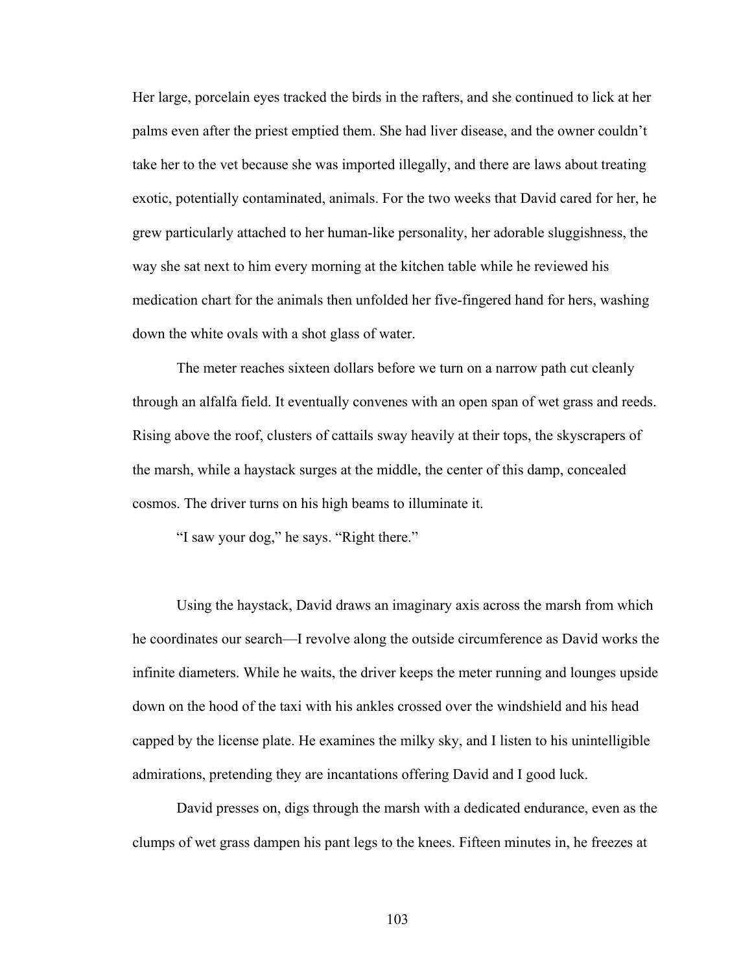Her large, porcelain eyes tracked the birds in the rafters, and she continued to lick at her palms even after the priest emptied them. She had liver disease, and the owner couldn't take her to the vet because she was imported illegally, and there are laws about treating exotic, potentially contaminated, animals. For the two weeks that David cared for her, he grew particularly attached to her human-like personality, her adorable sluggishness, the way she sat next to him every morning at the kitchen table while he reviewed his medication chart for the animals then unfolded her five-fingered hand for hers, washing down the white ovals with a shot glass of water.

The meter reaches sixteen dollars before we turn on a narrow path cut cleanly through an alfalfa field. It eventually convenes with an open span of wet grass and reeds. Rising above the roof, clusters of cattails sway heavily at their tops, the skyscrapers of the marsh, while a haystack surges at the middle, the center of this damp, concealed cosmos. The driver turns on his high beams to illuminate it.

"I saw your dog," he says. "Right there."

Using the haystack, David draws an imaginary axis across the marsh from which he coordinates our search—I revolve along the outside circumference as David works the infinite diameters. While he waits, the driver keeps the meter running and lounges upside down on the hood of the taxi with his ankles crossed over the windshield and his head capped by the license plate. He examines the milky sky, and I listen to his unintelligible admirations, pretending they are incantations offering David and I good luck.

David presses on, digs through the marsh with a dedicated endurance, even as the clumps of wet grass dampen his pant legs to the knees. Fifteen minutes in, he freezes at

103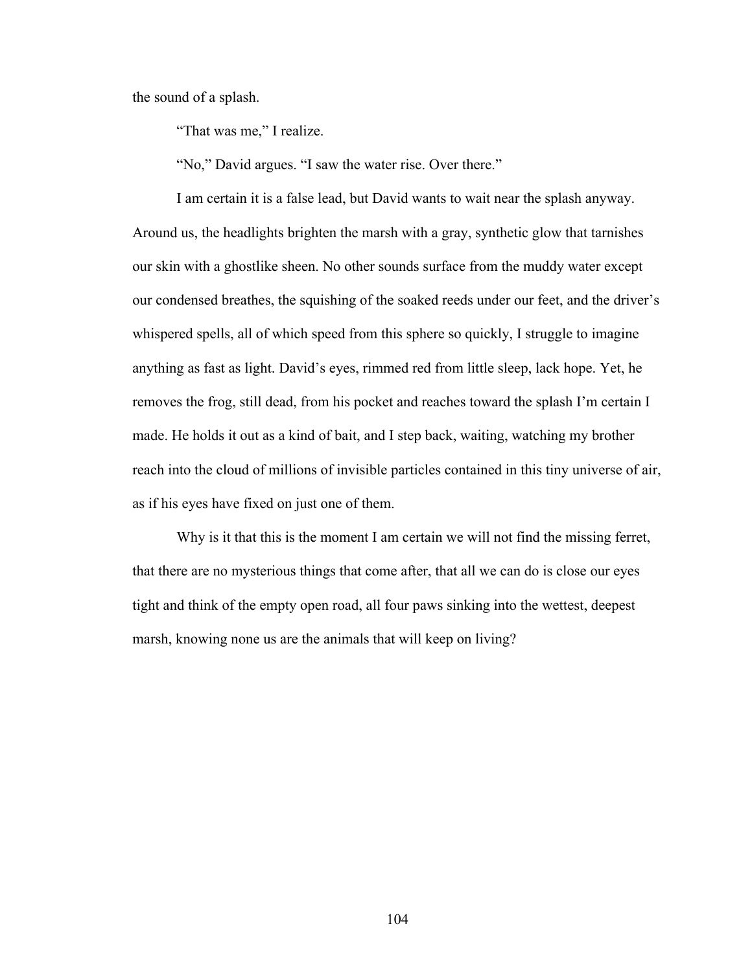the sound of a splash.

"That was me," I realize.

"No," David argues. "I saw the water rise. Over there."

I am certain it is a false lead, but David wants to wait near the splash anyway. Around us, the headlights brighten the marsh with a gray, synthetic glow that tarnishes our skin with a ghostlike sheen. No other sounds surface from the muddy water except our condensed breathes, the squishing of the soaked reeds under our feet, and the driver's whispered spells, all of which speed from this sphere so quickly, I struggle to imagine anything as fast as light. David's eyes, rimmed red from little sleep, lack hope. Yet, he removes the frog, still dead, from his pocket and reaches toward the splash I'm certain I made. He holds it out as a kind of bait, and I step back, waiting, watching my brother reach into the cloud of millions of invisible particles contained in this tiny universe of air, as if his eyes have fixed on just one of them.

Why is it that this is the moment I am certain we will not find the missing ferret, that there are no mysterious things that come after, that all we can do is close our eyes tight and think of the empty open road, all four paws sinking into the wettest, deepest marsh, knowing none us are the animals that will keep on living?

104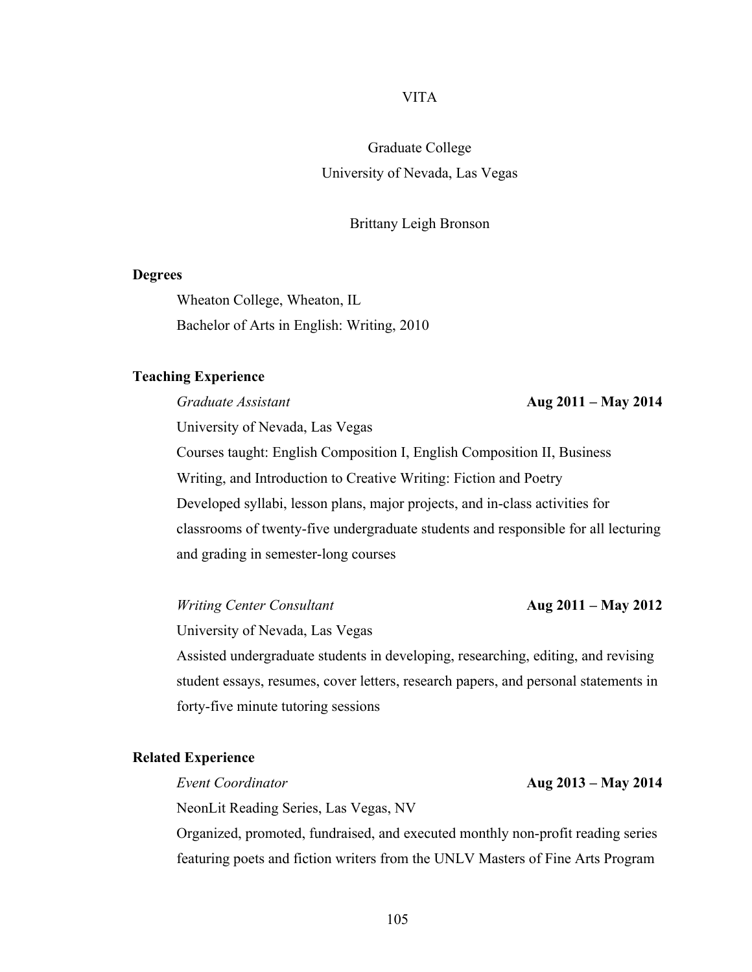# VITA

Graduate College University of Nevada, Las Vegas

### Brittany Leigh Bronson

#### **Degrees**

Wheaton College, Wheaton, IL Bachelor of Arts in English: Writing, 2010

#### **Teaching Experience**

*Graduate Assistant* **Aug 2011 – May 2014** University of Nevada, Las Vegas Courses taught: English Composition I, English Composition II, Business Writing, and Introduction to Creative Writing: Fiction and Poetry Developed syllabi, lesson plans, major projects, and in-class activities for classrooms of twenty-five undergraduate students and responsible for all lecturing and grading in semester-long courses

*Writing Center Consultant* **Aug 2011 – May 2012**

University of Nevada, Las Vegas

Assisted undergraduate students in developing, researching, editing, and revising student essays, resumes, cover letters, research papers, and personal statements in forty-five minute tutoring sessions

### **Related Experience**

NeonLit Reading Series, Las Vegas, NV

Organized, promoted, fundraised, and executed monthly non-profit reading series featuring poets and fiction writers from the UNLV Masters of Fine Arts Program

*Event Coordinator* **Aug 2013 – May 2014**